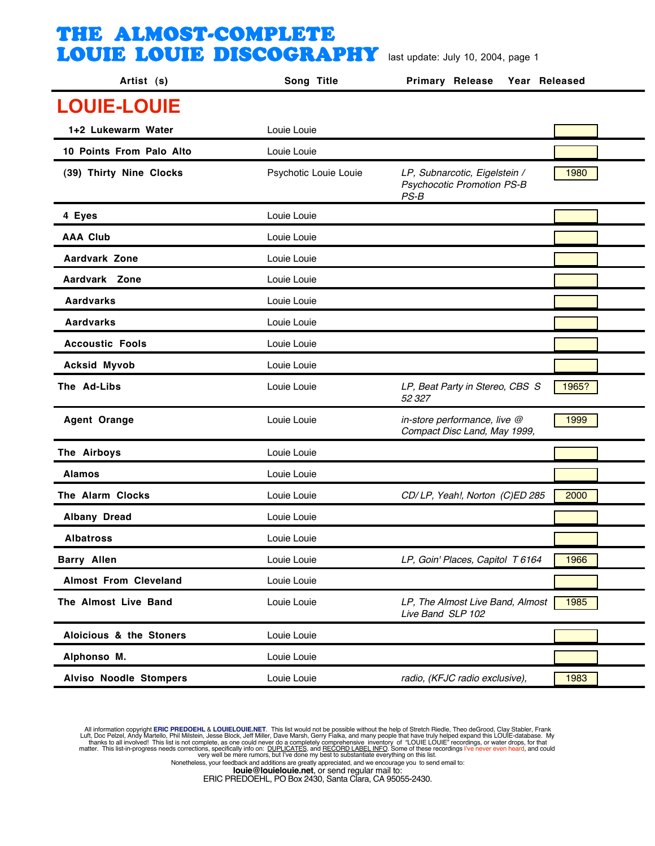| Artist (s)                    | Song Title            | <b>Primary Release</b><br>Year Released                                      |       |
|-------------------------------|-----------------------|------------------------------------------------------------------------------|-------|
| <b>LOUIE-LOUIE</b>            |                       |                                                                              |       |
| 1+2 Lukewarm Water            | Louie Louie           |                                                                              |       |
| 10 Points From Palo Alto      | Louie Louie           |                                                                              |       |
| (39) Thirty Nine Clocks       | Psychotic Louie Louie | LP, Subnarcotic, Eigelstein /<br><b>Psychocotic Promotion PS-B</b><br>$PS-B$ | 1980  |
| 4 Eyes                        | Louie Louie           |                                                                              |       |
| <b>AAA Club</b>               | Louie Louie           |                                                                              |       |
| Aardvark Zone                 | Louie Louie           |                                                                              |       |
| Aardvark Zone                 | Louie Louie           |                                                                              |       |
| <b>Aardvarks</b>              | Louie Louie           |                                                                              |       |
| Aardvarks                     | Louie Louie           |                                                                              |       |
| <b>Accoustic Fools</b>        | Louie Louie           |                                                                              |       |
| <b>Acksid Myvob</b>           | Louie Louie           |                                                                              |       |
| The Ad-Libs                   | Louie Louie           | LP, Beat Party in Stereo, CBS S<br>52327                                     | 1965? |
| <b>Agent Orange</b>           | Louie Louie           | in-store performance, live @<br>Compact Disc Land, May 1999,                 | 1999  |
| The Airboys                   | Louie Louie           |                                                                              |       |
| <b>Alamos</b>                 | Louie Louie           |                                                                              |       |
| The Alarm Clocks              | Louie Louie           | CD/LP, Yeah!, Norton (C)ED 285                                               | 2000  |
| <b>Albany Dread</b>           | Louie Louie           |                                                                              |       |
| <b>Albatross</b>              | Louie Louie           |                                                                              |       |
| <b>Barry Allen</b>            | Louie Louie           | LP, Goin' Places, Capitol T 6164                                             | 1966  |
| <b>Almost From Cleveland</b>  | Louie Louie           |                                                                              |       |
| The Almost Live Band          | Louie Louie           | LP, The Almost Live Band, Almost<br>Live Band SLP 102                        | 1985  |
| Aloicious & the Stoners       | Louie Louie           |                                                                              |       |
| Alphonso M.                   | Louie Louie           |                                                                              |       |
| <b>Alviso Noodle Stompers</b> | Louie Louie           | radio, (KFJC radio exclusive),                                               | 1983  |

All information copyright **ERIC PREDOEHL & LOUIELOUIE.NET**. This list would not be possible without the help of Stretch Riedle, Theo deGrood, Clay Stabler, Frank Luft, Doc Pelzel, Andy Martello, Phil Mislistin, Jesse Block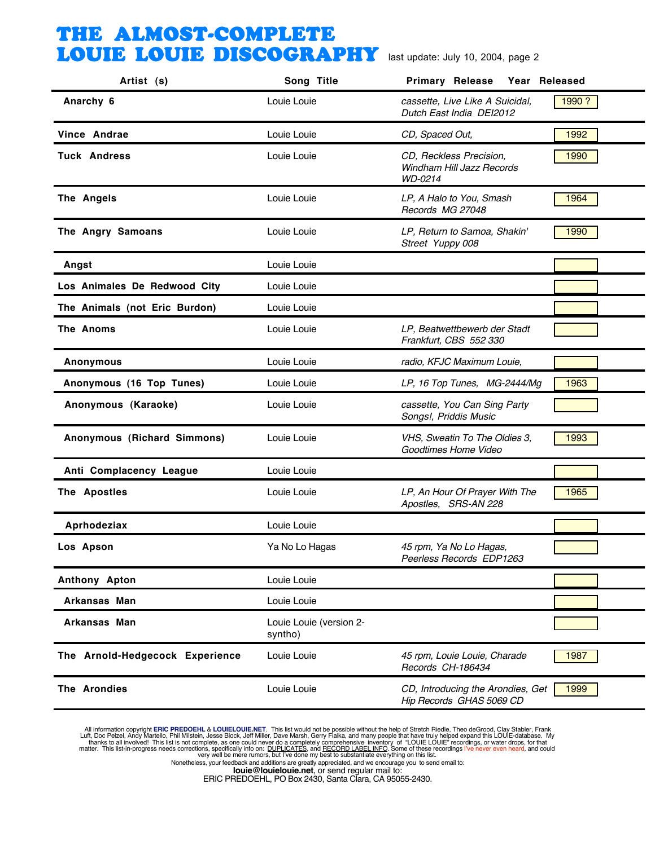| Artist (s)                      | Song Title                         | <b>Primary Release</b><br>Year Released                         |        |
|---------------------------------|------------------------------------|-----------------------------------------------------------------|--------|
| Anarchy 6                       | Louie Louie                        | cassette, Live Like A Suicidal,<br>Dutch East India DEI2012     | 1990 ? |
| Vince Andrae                    | Louie Louie                        | CD, Spaced Out,                                                 | 1992   |
| <b>Tuck Andress</b>             | Louie Louie                        | CD, Reckless Precision,<br>Windham Hill Jazz Records<br>WD-0214 | 1990   |
| The Angels                      | Louie Louie                        | LP, A Halo to You, Smash<br>Records MG 27048                    | 1964   |
| The Angry Samoans               | Louie Louie                        | LP, Return to Samoa, Shakin'<br>Street Yuppy 008                | 1990   |
| Angst                           | Louie Louie                        |                                                                 |        |
| Los Animales De Redwood City    | Louie Louie                        |                                                                 |        |
| The Animals (not Eric Burdon)   | Louie Louie                        |                                                                 |        |
| The Anoms                       | Louie Louie                        | LP, Beatwettbewerb der Stadt<br>Frankfurt, CBS 552 330          |        |
| <b>Anonymous</b>                | Louie Louie                        | radio, KFJC Maximum Louie,                                      |        |
| Anonymous (16 Top Tunes)        | Louie Louie                        | LP, 16 Top Tunes, MG-2444/Mg                                    | 1963   |
| Anonymous (Karaoke)             | Louie Louie                        | cassette, You Can Sing Party<br>Songs!, Priddis Music           |        |
| Anonymous (Richard Simmons)     | Louie Louie                        | VHS, Sweatin To The Oldies 3,<br>Goodtimes Home Video           | 1993   |
| Anti Complacency League         | Louie Louie                        |                                                                 |        |
| The Apostles                    | Louie Louie                        | LP, An Hour Of Prayer With The<br>Apostles, SRS-AN 228          | 1965   |
| Aprhodeziax                     | Louie Louie                        |                                                                 |        |
| Los Apson                       | Ya No Lo Hagas                     | 45 rpm, Ya No Lo Hagas,<br>Peerless Records EDP1263             |        |
| Anthony Apton                   | Louie Louie                        |                                                                 |        |
| Arkansas Man                    | Louie Louie                        |                                                                 |        |
| Arkansas Man                    | Louie Louie (version 2-<br>syntho) |                                                                 |        |
| The Arnold-Hedgecock Experience | Louie Louie                        | 45 rpm, Louie Louie, Charade<br>Records CH-186434               | 1987   |
| The Arondies                    | Louie Louie                        | CD, Introducing the Arondies, Get<br>Hip Records GHAS 5069 CD   | 1999   |

All information copyright **ERIC PREDOEHL & LOUIELOUIE.NET**. This list would not be possible without the help of Stretch Riedle, Theo deGrood, Clay Stabler, Frank Luft, Doc Pelzel, Andy Martello, Phil Mislistin, Jesse Block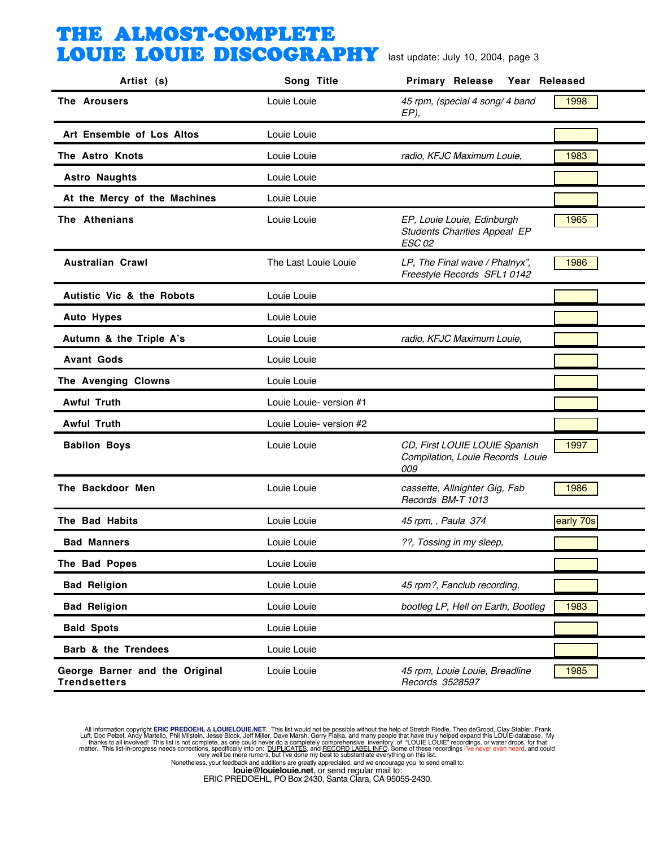| Artist (s)                                            | Song Title              | <b>Primary Release</b><br>Year Released                                            |           |
|-------------------------------------------------------|-------------------------|------------------------------------------------------------------------------------|-----------|
| <b>The Arousers</b>                                   | Louie Louie             | 45 rpm, (special 4 song/ 4 band<br>EP),                                            | 1998      |
| Art Ensemble of Los Altos                             | Louie Louie             |                                                                                    |           |
| The Astro Knots                                       | Louie Louie             | radio, KFJC Maximum Louie,                                                         | 1983      |
| <b>Astro Naughts</b>                                  | Louie Louie             |                                                                                    |           |
| At the Mercy of the Machines                          | Louie Louie             |                                                                                    |           |
| The Athenians                                         | Louie Louie             | EP, Louie Louie, Edinburgh<br><b>Students Charities Appeal EP</b><br><b>ESC 02</b> | 1965      |
| <b>Australian Crawl</b>                               | The Last Louie Louie    | LP, The Final wave / Phalnyx",<br>Freestyle Records SFL1 0142                      | 1986      |
| <b>Autistic Vic &amp; the Robots</b>                  | Louie Louie             |                                                                                    |           |
| <b>Auto Hypes</b>                                     | Louie Louie             |                                                                                    |           |
| Autumn & the Triple A's                               | Louie Louie             | radio, KFJC Maximum Louie,                                                         |           |
| <b>Avant Gods</b>                                     | Louie Louie             |                                                                                    |           |
| The Avenging Clowns                                   | Louie Louie             |                                                                                    |           |
| <b>Awful Truth</b>                                    | Louie Louie- version #1 |                                                                                    |           |
| <b>Awful Truth</b>                                    | Louie Louie- version #2 |                                                                                    |           |
| <b>Babilon Boys</b>                                   | Louie Louie             | CD, First LOUIE LOUIE Spanish<br>Compilation, Louie Records Louie<br>009           | 1997      |
| The Backdoor Men                                      | Louie Louie             | cassette, Allnighter Gig, Fab<br>Records BM-T 1013                                 | 1986      |
| The Bad Habits                                        | Louie Louie             | 45 rpm, , Paula 374                                                                | early 70s |
| <b>Bad Manners</b>                                    | Louie Louie             | ??, Tossing in my sleep,                                                           |           |
| The Bad Popes                                         | Louie Louie             |                                                                                    |           |
| <b>Bad Religion</b>                                   | Louie Louie             | 45 rpm?, Fanclub recording,                                                        |           |
| <b>Bad Religion</b>                                   | Louie Louie             | bootleg LP, Hell on Earth, Bootleg                                                 | 1983      |
| <b>Bald Spots</b>                                     | Louie Louie             |                                                                                    |           |
| Barb & the Trendees                                   | Louie Louie             |                                                                                    |           |
| George Barner and the Original<br><b>Trendsetters</b> | Louie Louie             | 45 rpm, Louie Louie, Breadline<br>Records 3528597                                  | 1985      |

All information copyright **ERIC PREDOEHL & LOUIELOUIE.NET**. This list would not be possible without the help of Stretch Riedle, Theo deGrood, Clay Stabler, Frank Luft, Doc Pelzel, Andy Martello, Phil Mislistin, Jesse Block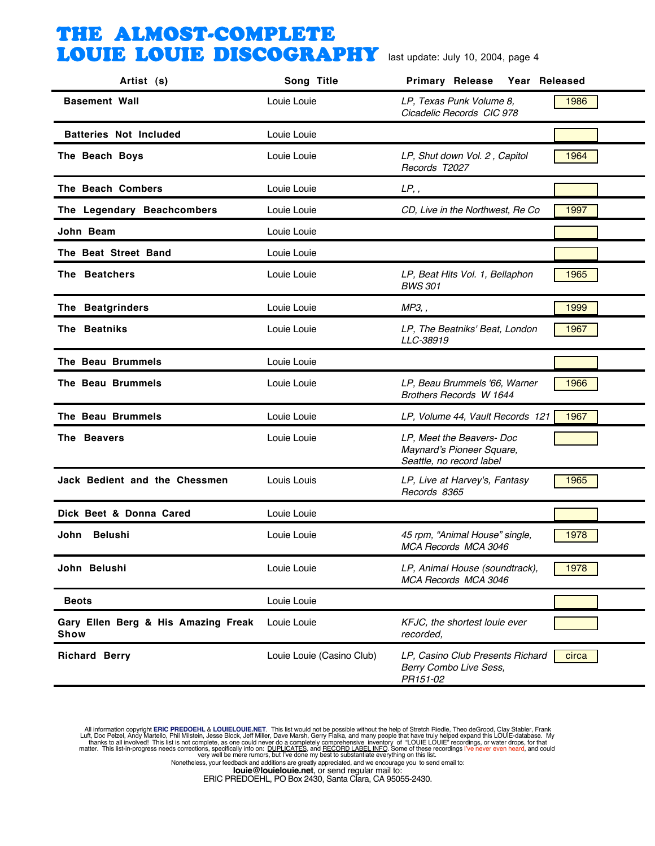| Artist (s)                                  | Song Title                | Primary Release<br>Year Released                                                   |       |
|---------------------------------------------|---------------------------|------------------------------------------------------------------------------------|-------|
| <b>Basement Wall</b>                        | Louie Louie               | LP, Texas Punk Volume 8,<br>Cicadelic Records CIC 978                              | 1986  |
| <b>Batteries Not Included</b>               | Louie Louie               |                                                                                    |       |
| The Beach Boys                              | Louie Louie               | LP, Shut down Vol. 2, Capitol<br>Records T2027                                     | 1964  |
| The Beach Combers                           | Louie Louie               | LP,                                                                                |       |
| The Legendary Beachcombers                  | Louie Louie               | CD, Live in the Northwest, Re Co                                                   | 1997  |
| John Beam                                   | Louie Louie               |                                                                                    |       |
| The Beat Street Band                        | Louie Louie               |                                                                                    |       |
| The Beatchers                               | Louie Louie               | LP, Beat Hits Vol. 1, Bellaphon<br><b>BWS 301</b>                                  | 1965  |
| The Beatgrinders                            | Louie Louie               | MP3, ,                                                                             | 1999  |
| The Beatniks                                | Louie Louie               | LP, The Beatniks' Beat, London<br>LLC-38919                                        | 1967  |
| The Beau Brummels                           | Louie Louie               |                                                                                    |       |
| The Beau Brummels                           | Louie Louie               | LP, Beau Brummels '66, Warner<br>Brothers Records W 1644                           | 1966  |
| The Beau Brummels                           | Louie Louie               | LP, Volume 44, Vault Records 121                                                   | 1967  |
| The Beavers                                 | Louie Louie               | LP, Meet the Beavers- Doc<br>Maynard's Pioneer Square,<br>Seattle, no record label |       |
| Jack Bedient and the Chessmen               | Louis Louis               | LP, Live at Harvey's, Fantasy<br>Records 8365                                      | 1965  |
| Dick Beet & Donna Cared                     | Louie Louie               |                                                                                    |       |
| <b>Belushi</b><br>John                      | Louie Louie               | 45 rpm, "Animal House" single,<br>MCA Records MCA 3046                             | 1978  |
| John Belushi                                | Louie Louie               | LP, Animal House (soundtrack),<br>MCA Records MCA 3046                             | 1978  |
| <b>Beots</b>                                | Louie Louie               |                                                                                    |       |
| Gary Ellen Berg & His Amazing Freak<br>Show | Louie Louie               | KFJC, the shortest louie ever<br>recorded,                                         |       |
| <b>Richard Berry</b>                        | Louie Louie (Casino Club) | LP, Casino Club Presents Richard<br>Berry Combo Live Sess,<br>PR151-02             | circa |

All information copyright **ERIC PREDOEHL & LOUIELOUIE.NET**. This list would not be possible without the help of Stretch Riedle, Theo deGrood, Clay Stabler, Frank Luft, Doc Pelzel, Andy Martello, Phil Mislistin, Jesse Block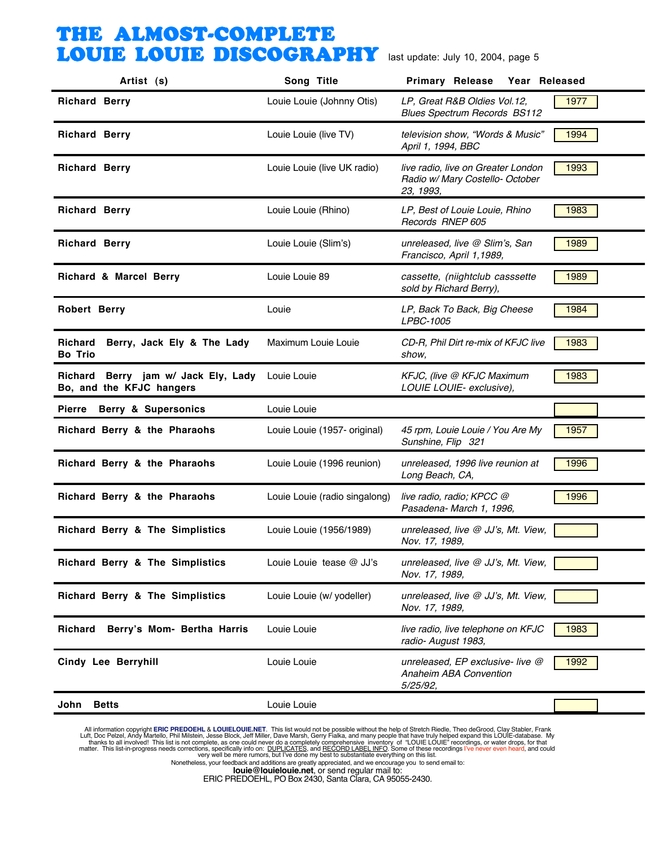| Artist (s)                                                      | Song Title                    | <b>Primary Release</b><br>Year Released                                            |      |
|-----------------------------------------------------------------|-------------------------------|------------------------------------------------------------------------------------|------|
| <b>Richard Berry</b>                                            | Louie Louie (Johnny Otis)     | LP, Great R&B Oldies Vol.12,<br><b>Blues Spectrum Records BS112</b>                | 1977 |
| <b>Richard Berry</b>                                            | Louie Louie (live TV)         | television show, "Words & Music"<br>April 1, 1994, BBC                             | 1994 |
| <b>Richard Berry</b>                                            | Louie Louie (live UK radio)   | live radio, live on Greater London<br>Radio w/ Mary Costello- October<br>23, 1993, | 1993 |
| <b>Richard Berry</b>                                            | Louie Louie (Rhino)           | LP, Best of Louie Louie, Rhino<br>Records RNEP 605                                 | 1983 |
| <b>Richard Berry</b>                                            | Louie Louie (Slim's)          | unreleased, live @ Slim's, San<br>Francisco, April 1,1989,                         | 1989 |
| Richard & Marcel Berry                                          | Louie Louie 89                | cassette, (niightclub casssette<br>sold by Richard Berry),                         | 1989 |
| <b>Robert Berry</b>                                             | Louie                         | LP, Back To Back, Big Cheese<br>LPBC-1005                                          | 1984 |
| Richard<br>Berry, Jack Ely & The Lady<br><b>Bo Trio</b>         | Maximum Louie Louie           | CD-R, Phil Dirt re-mix of KFJC live<br>show,                                       | 1983 |
| Richard Berry jam w/ Jack Ely, Lady<br>Bo, and the KFJC hangers | Louie Louie                   | KFJC, (live @ KFJC Maximum<br>LOUIE LOUIE- exclusive),                             | 1983 |
| Berry & Supersonics<br><b>Pierre</b>                            | Louie Louie                   |                                                                                    |      |
| Richard Berry & the Pharaohs                                    | Louie Louie (1957- original)  | 45 rpm, Louie Louie / You Are My<br>Sunshine, Flip 321                             | 1957 |
| Richard Berry & the Pharaohs                                    | Louie Louie (1996 reunion)    | unreleased, 1996 live reunion at<br>Long Beach, CA,                                | 1996 |
| Richard Berry & the Pharaohs                                    | Louie Louie (radio singalong) | live radio, radio; KPCC @<br>Pasadena- March 1, 1996,                              | 1996 |
| Richard Berry & The Simplistics                                 | Louie Louie (1956/1989)       | unreleased, live @ JJ's, Mt. View,<br>Nov. 17, 1989,                               |      |
| Richard Berry & The Simplistics                                 | Louie Louie tease @ JJ's      | unreleased, live @ JJ's, Mt. View,<br>Nov. 17, 1989,                               |      |
| Richard Berry & The Simplistics                                 | Louie Louie (w/ yodeller)     | unreleased, live @ JJ's, Mt. View,<br>Nov. 17, 1989,                               |      |
| Berry's Mom- Bertha Harris<br><b>Richard</b>                    | Louie Louie                   | live radio, live telephone on KFJC<br>radio- August 1983,                          | 1983 |
| <b>Cindy Lee Berryhill</b>                                      | Louie Louie                   | unreleased, EP exclusive- live @<br>Anaheim ABA Convention<br>5/25/92,             | 1992 |
| <b>Betts</b><br>John                                            | Louie Louie                   |                                                                                    |      |

All information copyright **ERIC PREDOEHL & LOUIELOUIE.NET**. This list would not be possible without the help of Stretch Riedle, Theo deGrood, Clay Stabler, Frank Luft, Doc Pelzel, Andy Martello, Phil Mislistin, Jesse Block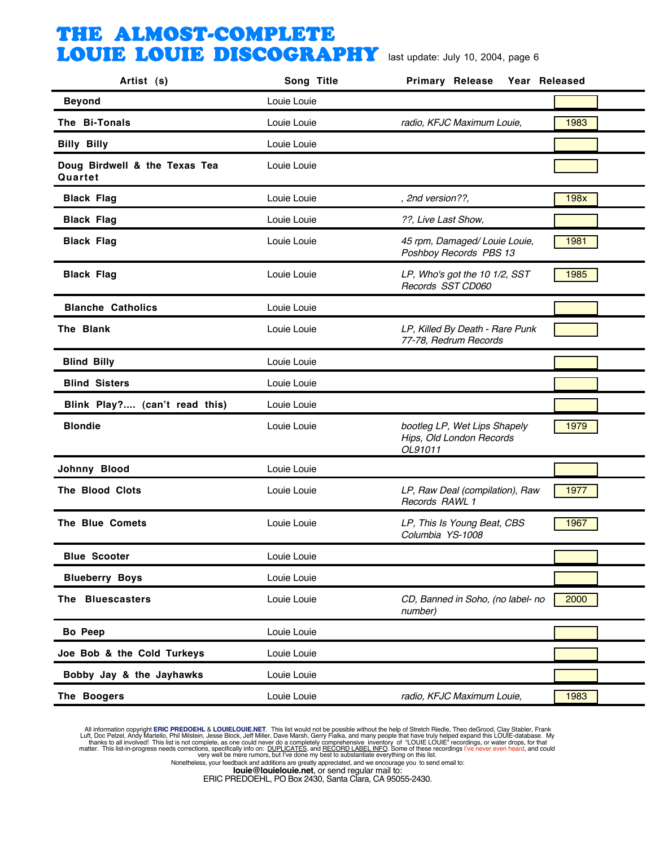| Artist (s)                               | Song Title  | <b>Primary Release</b><br>Year Released                             |      |
|------------------------------------------|-------------|---------------------------------------------------------------------|------|
| <b>Beyond</b>                            | Louie Louie |                                                                     |      |
| The Bi-Tonals                            | Louie Louie | radio, KFJC Maximum Louie,                                          | 1983 |
| <b>Billy Billy</b>                       | Louie Louie |                                                                     |      |
| Doug Birdwell & the Texas Tea<br>Quartet | Louie Louie |                                                                     |      |
| <b>Black Flag</b>                        | Louie Louie | , 2nd version??,                                                    | 198x |
| <b>Black Flag</b>                        | Louie Louie | ??, Live Last Show,                                                 |      |
| <b>Black Flag</b>                        | Louie Louie | 45 rpm, Damaged/Louie Louie,<br>Poshboy Records PBS 13              | 1981 |
| <b>Black Flag</b>                        | Louie Louie | LP, Who's got the 10 1/2, SST<br>Records SST CD060                  | 1985 |
| <b>Blanche Catholics</b>                 | Louie Louie |                                                                     |      |
| The Blank                                | Louie Louie | LP, Killed By Death - Rare Punk<br>77-78, Redrum Records            |      |
| <b>Blind Billy</b>                       | Louie Louie |                                                                     |      |
| <b>Blind Sisters</b>                     | Louie Louie |                                                                     |      |
| Blink Play? (can't read this)            | Louie Louie |                                                                     |      |
| <b>Blondie</b>                           | Louie Louie | bootleg LP, Wet Lips Shapely<br>Hips, Old London Records<br>OL91011 | 1979 |
| Johnny Blood                             | Louie Louie |                                                                     |      |
| The Blood Clots                          | Louie Louie | LP, Raw Deal (compilation), Raw<br>Records RAWL 1                   | 1977 |
| <b>The Blue Comets</b>                   | Louie Louie | LP, This Is Young Beat, CBS<br>Columbia YS-1008                     | 1967 |
| <b>Blue Scooter</b>                      | Louie Louie |                                                                     |      |
| <b>Blueberry Boys</b>                    | Louie Louie |                                                                     |      |
| The Bluescasters                         | Louie Louie | CD, Banned in Soho, (no label- no<br>number)                        | 2000 |
| <b>Bo Peep</b>                           | Louie Louie |                                                                     |      |
| Joe Bob & the Cold Turkeys               | Louie Louie |                                                                     |      |
| Bobby Jay & the Jayhawks                 | Louie Louie |                                                                     |      |
| The Boogers                              | Louie Louie | radio, KFJC Maximum Louie,                                          | 1983 |

All information copyright **ERIC PREDOEHL & LOUIELOUIE.NET**. This list would not be possible without the help of Stretch Riedle, Theo deGrood, Clay Stabler, Frank Luft, Doc Pelzel, Andy Martello, Phil Mislistin, Jesse Block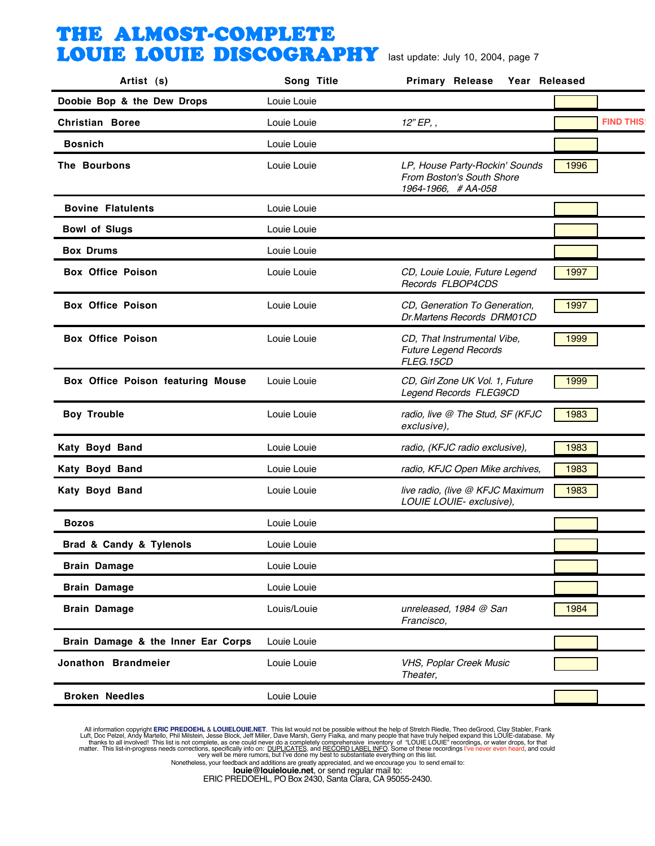| Artist (s)                         | Song Title  | Primary Release<br>Year Released                                                  |                  |
|------------------------------------|-------------|-----------------------------------------------------------------------------------|------------------|
| Doobie Bop & the Dew Drops         | Louie Louie |                                                                                   |                  |
| <b>Christian Boree</b>             | Louie Louie | $12"EP,$ ,                                                                        | <b>FIND THIS</b> |
| <b>Bosnich</b>                     | Louie Louie |                                                                                   |                  |
| The Bourbons                       | Louie Louie | LP, House Party-Rockin' Sounds<br>From Boston's South Shore<br>1964-1966, #AA-058 | 1996             |
| <b>Bovine Flatulents</b>           | Louie Louie |                                                                                   |                  |
| <b>Bowl of Slugs</b>               | Louie Louie |                                                                                   |                  |
| <b>Box Drums</b>                   | Louie Louie |                                                                                   |                  |
| <b>Box Office Poison</b>           | Louie Louie | CD, Louie Louie, Future Legend<br>Records FLBOP4CDS                               | 1997             |
| <b>Box Office Poison</b>           | Louie Louie | CD, Generation To Generation,<br>Dr.Martens Records DRM01CD                       | 1997             |
| <b>Box Office Poison</b>           | Louie Louie | CD, That Instrumental Vibe,<br><b>Future Legend Records</b><br>FLEG.15CD          | 1999             |
| Box Office Poison featuring Mouse  | Louie Louie | CD, Girl Zone UK Vol. 1, Future<br>Legend Records FLEG9CD                         | 1999             |
| <b>Boy Trouble</b>                 | Louie Louie | radio, live @ The Stud, SF (KFJC<br>exclusive),                                   | 1983             |
| Katy Boyd Band                     | Louie Louie | radio, (KFJC radio exclusive),                                                    | 1983             |
| Katy Boyd Band                     | Louie Louie | radio, KFJC Open Mike archives,                                                   | 1983             |
| Katy Boyd Band                     | Louie Louie | live radio, (live @ KFJC Maximum<br>LOUIE LOUIE- exclusive),                      | 1983             |
| <b>Bozos</b>                       | Louie Louie |                                                                                   |                  |
| Brad & Candy & Tylenols            | Louie Louie |                                                                                   |                  |
| <b>Brain Damage</b>                | Louie Louie |                                                                                   |                  |
| <b>Brain Damage</b>                | Louie Louie |                                                                                   |                  |
| <b>Brain Damage</b>                | Louis/Louie | unreleased, 1984 @ San<br>Francisco,                                              | 1984             |
| Brain Damage & the Inner Ear Corps | Louie Louie |                                                                                   |                  |
| Jonathon Brandmeier                | Louie Louie | VHS, Poplar Creek Music<br>Theater,                                               |                  |
| <b>Broken Needles</b>              | Louie Louie |                                                                                   |                  |

All information copyright **ERIC PREDOEHL & LOUIELOUIE.NET**. This list would not be possible without the help of Stretch Riedle, Theo deGrood, Clay Stabler, Frank Luft, Doc Pelzel, Andy Martello, Phil Mislistin, Jesse Block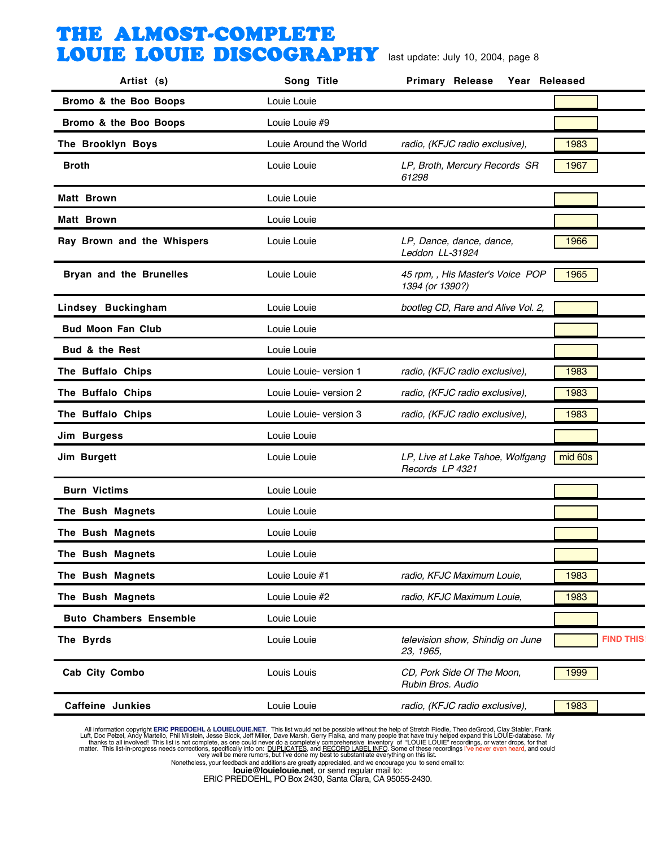| Artist (s)                    | Song Title             | <b>Primary Release</b><br>Year Released             |                  |
|-------------------------------|------------------------|-----------------------------------------------------|------------------|
| Bromo & the Boo Boops         | Louie Louie            |                                                     |                  |
| Bromo & the Boo Boops         | Louie Louie #9         |                                                     |                  |
| The Brooklyn Boys             | Louie Around the World | radio, (KFJC radio exclusive),                      | 1983             |
| <b>Broth</b>                  | Louie Louie            | LP, Broth, Mercury Records SR<br>61298              | 1967             |
| <b>Matt Brown</b>             | Louie Louie            |                                                     |                  |
| <b>Matt Brown</b>             | Louie Louie            |                                                     |                  |
| Ray Brown and the Whispers    | Louie Louie            | LP, Dance, dance, dance,<br>Leddon LL-31924         | 1966             |
| Bryan and the Brunelles       | Louie Louie            | 45 rpm, , His Master's Voice POP<br>1394 (or 1390?) | 1965             |
| Lindsey Buckingham            | Louie Louie            | bootleg CD, Rare and Alive Vol. 2,                  |                  |
| <b>Bud Moon Fan Club</b>      | Louie Louie            |                                                     |                  |
| Bud & the Rest                | Louie Louie            |                                                     |                  |
| The Buffalo Chips             | Louie Louie- version 1 | radio, (KFJC radio exclusive),                      | 1983             |
| The Buffalo Chips             | Louie Louie- version 2 | radio, (KFJC radio exclusive),                      | 1983             |
| The Buffalo Chips             | Louie Louie- version 3 | radio, (KFJC radio exclusive),                      | 1983             |
| Jim Burgess                   | Louie Louie            |                                                     |                  |
| Jim Burgett                   | Louie Louie            | LP, Live at Lake Tahoe, Wolfgang<br>Records LP 4321 | mid 60s          |
| <b>Burn Victims</b>           | Louie Louie            |                                                     |                  |
| The Bush Magnets              | Louie Louie            |                                                     |                  |
| The Bush Magnets              | Louie Louie            |                                                     |                  |
| The Bush Magnets              | Louie Louie            |                                                     |                  |
| The Bush Magnets              | Louie Louie #1         | radio, KFJC Maximum Louie,                          | 1983             |
| The Bush Magnets              | Louie Louie #2         | radio, KFJC Maximum Louie,                          | 1983             |
| <b>Buto Chambers Ensemble</b> | Louie Louie            |                                                     |                  |
| The Byrds                     | Louie Louie            | television show, Shindig on June<br>23, 1965,       | <b>FIND THIS</b> |
| Cab City Combo                | Louis Louis            | CD, Pork Side Of The Moon,<br>Rubin Bros, Audio     | 1999             |
| <b>Caffeine Junkies</b>       | Louie Louie            | radio, (KFJC radio exclusive),                      | 1983             |

All information copyright **ERIC PREDOEHL & LOUIELOUIE.NET**. This list would not be possible without the help of Stretch Riedle, Theo deGrood, Clay Stabler, Frank Luft, Doc Pelzel, Andy Martello, Phil Mislistin, Jesse Block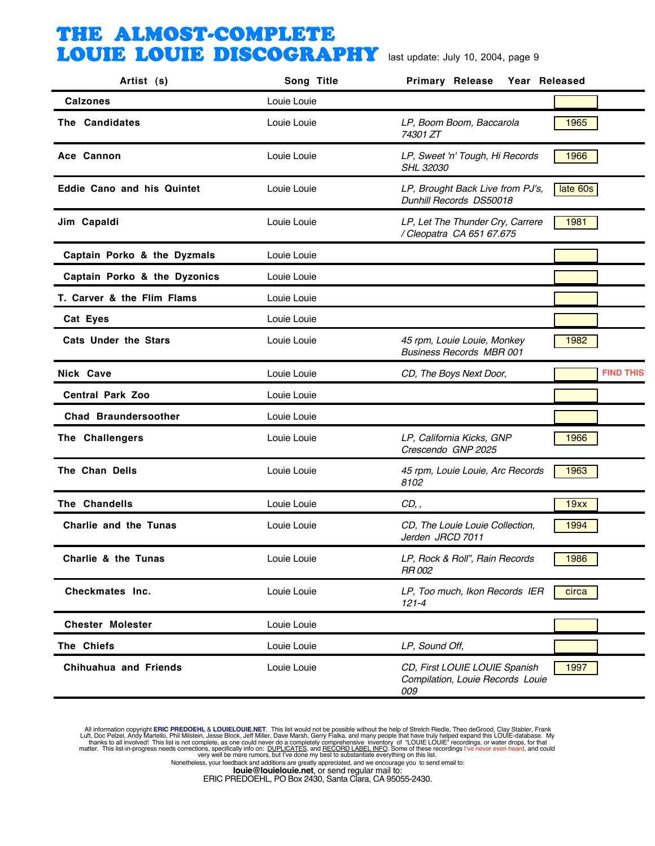| Artist (s)                        | Song Title  | <b>Primary Release</b><br>Year Released                                  |                  |
|-----------------------------------|-------------|--------------------------------------------------------------------------|------------------|
| <b>Calzones</b>                   | Louie Louie |                                                                          |                  |
| The Candidates                    | Louie Louie | LP, Boom Boom, Baccarola<br>74301 ZT                                     | 1965             |
| Ace Cannon                        | Louie Louie | LP, Sweet 'n' Tough, Hi Records<br><b>SHL 32030</b>                      | 1966             |
| <b>Eddie Cano and his Quintet</b> | Louie Louie | LP, Brought Back Live from PJ's,<br>Dunhill Records DS50018              | late 60s         |
| Jim Capaldi                       | Louie Louie | LP, Let The Thunder Cry, Carrere<br>/ Cleopatra CA 651 67.675            | 1981             |
| Captain Porko & the Dyzmals       | Louie Louie |                                                                          |                  |
| Captain Porko & the Dyzonics      | Louie Louie |                                                                          |                  |
| T. Carver & the Flim Flams        | Louie Louie |                                                                          |                  |
| Cat Eyes                          | Louie Louie |                                                                          |                  |
| <b>Cats Under the Stars</b>       | Louie Louie | 45 rpm, Louie Louie, Monkey<br><b>Business Records MBR 001</b>           | 1982             |
| Nick Cave                         | Louie Louie | CD, The Boys Next Door,                                                  | <b>FIND THIS</b> |
| <b>Central Park Zoo</b>           | Louie Louie |                                                                          |                  |
| <b>Chad Braundersoother</b>       | Louie Louie |                                                                          |                  |
| The Challengers                   | Louie Louie | LP, California Kicks, GNP<br>Crescendo GNP 2025                          | 1966             |
| The Chan Dells                    | Louie Louie | 45 rpm, Louie Louie, Arc Records<br>8102                                 | 1963             |
| The Chandells                     | Louie Louie | CD,                                                                      | 19xx             |
| Charlie and the Tunas             | Louie Louie | CD, The Louie Louie Collection,<br>Jerden JRCD 7011                      | 1994             |
| Charlie & the Tunas               | Louie Louie | LP, Rock & Roll", Rain Records<br>RR 002                                 | 1986             |
| Checkmates Inc.                   | Louie Louie | LP, Too much, Ikon Records IER<br>$121 - 4$                              | circa            |
| <b>Chester Molester</b>           | Louie Louie |                                                                          |                  |
| The Chiefs                        | Louie Louie | LP, Sound Off,                                                           |                  |
| <b>Chihuahua and Friends</b>      | Louie Louie | CD, First LOUIE LOUIE Spanish<br>Compilation, Louie Records Louie<br>009 | 1997             |

All information copyright **ERIC PREDOEHL & LOUIELOUIE.NET**. This list would not be possible without the help of Stretch Riedle, Theo deGrood, Clay Stabler, Frank Luft, Doc Pelzel, Andy Martello, Phil Mislistin, Jesse Block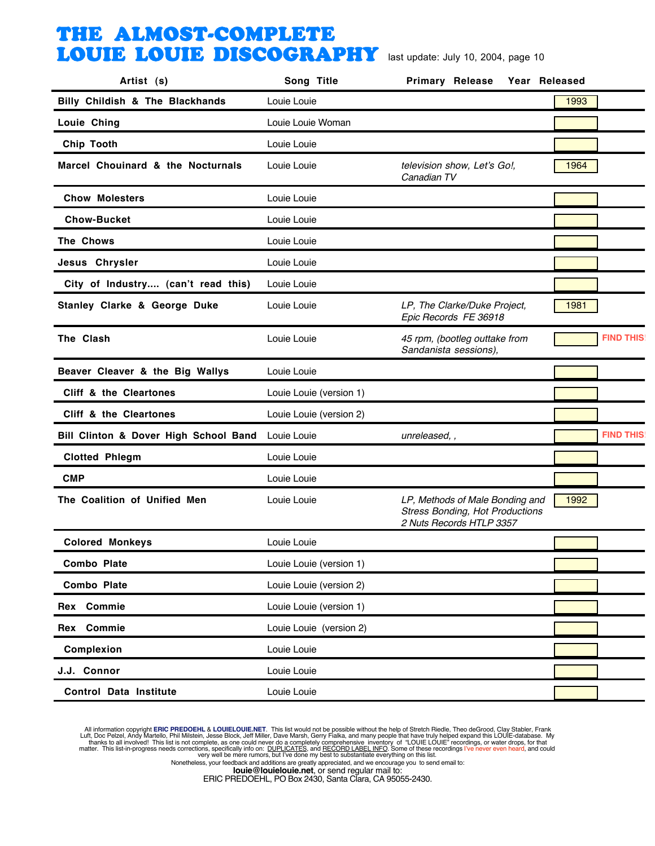| Artist (s)                            | Song Title              | <b>Primary Release</b><br>Year Released                                                               |      |                  |
|---------------------------------------|-------------------------|-------------------------------------------------------------------------------------------------------|------|------------------|
| Billy Childish & The Blackhands       | Louie Louie             |                                                                                                       | 1993 |                  |
| Louie Ching                           | Louie Louie Woman       |                                                                                                       |      |                  |
| Chip Tooth                            | Louie Louie             |                                                                                                       |      |                  |
| Marcel Chouinard & the Nocturnals     | Louie Louie             | television show, Let's Go!,<br>Canadian TV                                                            | 1964 |                  |
| <b>Chow Molesters</b>                 | Louie Louie             |                                                                                                       |      |                  |
| <b>Chow-Bucket</b>                    | Louie Louie             |                                                                                                       |      |                  |
| The Chows                             | Louie Louie             |                                                                                                       |      |                  |
| Jesus Chrysler                        | Louie Louie             |                                                                                                       |      |                  |
| City of Industry (can't read this)    | Louie Louie             |                                                                                                       |      |                  |
| Stanley Clarke & George Duke          | Louie Louie             | LP, The Clarke/Duke Project,<br>Epic Records FE 36918                                                 | 1981 |                  |
| The Clash                             | Louie Louie             | 45 rpm, (bootleg outtake from<br>Sandanista sessions),                                                |      | <b>FIND THIS</b> |
| Beaver Cleaver & the Big Wallys       | Louie Louie             |                                                                                                       |      |                  |
| Cliff & the Cleartones                | Louie Louie (version 1) |                                                                                                       |      |                  |
| Cliff & the Cleartones                | Louie Louie (version 2) |                                                                                                       |      |                  |
| Bill Clinton & Dover High School Band | Louie Louie             | unreleased, ,                                                                                         |      | <b>FIND THIS</b> |
| <b>Clotted Phlegm</b>                 | Louie Louie             |                                                                                                       |      |                  |
| <b>CMP</b>                            | Louie Louie             |                                                                                                       |      |                  |
| The Coalition of Unified Men          | Louie Louie             | LP, Methods of Male Bonding and<br><b>Stress Bonding, Hot Productions</b><br>2 Nuts Records HTLP 3357 | 1992 |                  |
| <b>Colored Monkeys</b>                | Louie Louie             |                                                                                                       |      |                  |
| <b>Combo Plate</b>                    | Louie Louie (version 1) |                                                                                                       |      |                  |
| <b>Combo Plate</b>                    | Louie Louie (version 2) |                                                                                                       |      |                  |
| Rex Commie                            | Louie Louie (version 1) |                                                                                                       |      |                  |
| Rex Commie                            | Louie Louie (version 2) |                                                                                                       |      |                  |
| Complexion                            | Louie Louie             |                                                                                                       |      |                  |
| J.J. Connor                           | Louie Louie             |                                                                                                       |      |                  |
| <b>Control Data Institute</b>         | Louie Louie             |                                                                                                       |      |                  |

All information copyright **ERIC PREDOEHL & LOUIELOUIE.NET**. This list would not be possible without the help of Stretch Riedle, Theo deGrood, Clay Stabler, Frank Luft, Doc Pelzel, Andy Martello, Phil Mislistin, Jesse Block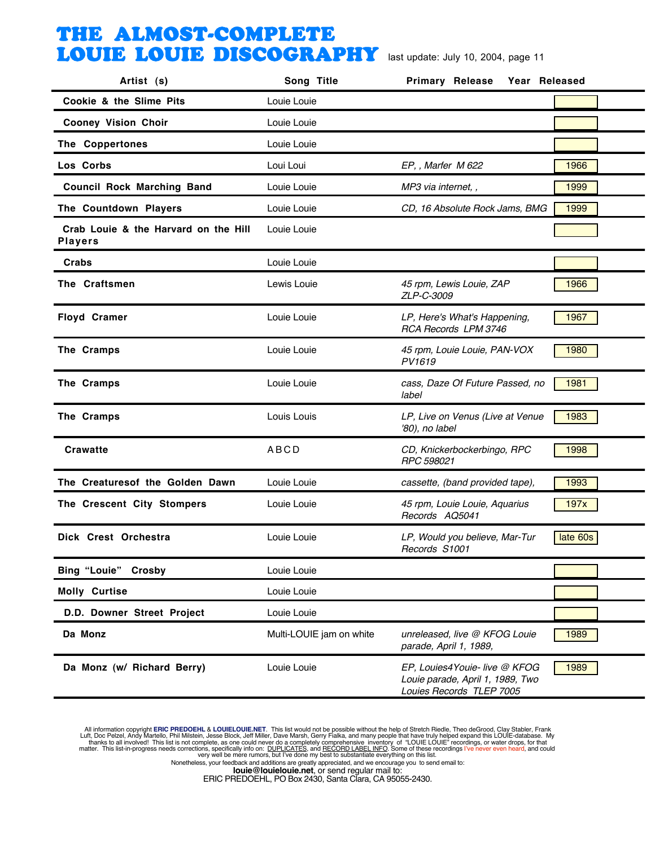| Artist (s)                                             | Song Title               | <b>Primary Release</b><br>Year Released                                                       |          |
|--------------------------------------------------------|--------------------------|-----------------------------------------------------------------------------------------------|----------|
| Cookie & the Slime Pits                                | Louie Louie              |                                                                                               |          |
| <b>Cooney Vision Choir</b>                             | Louie Louie              |                                                                                               |          |
| The Coppertones                                        | Louie Louie              |                                                                                               |          |
| Los Corbs                                              | Loui Loui                | EP,, Marfer M 622                                                                             | 1966     |
| <b>Council Rock Marching Band</b>                      | Louie Louie              | MP3 via internet, ,                                                                           | 1999     |
| The Countdown Players                                  | Louie Louie              | CD, 16 Absolute Rock Jams, BMG                                                                | 1999     |
| Crab Louie & the Harvard on the Hill<br><b>Players</b> | Louie Louie              |                                                                                               |          |
| <b>Crabs</b>                                           | Louie Louie              |                                                                                               |          |
| The Craftsmen                                          | Lewis Louie              | 45 rpm, Lewis Louie, ZAP<br>ZLP-C-3009                                                        | 1966     |
| <b>Floyd Cramer</b>                                    | Louie Louie              | LP, Here's What's Happening,<br>RCA Records LPM 3746                                          | 1967     |
| The Cramps                                             | Louie Louie              | 45 rpm, Louie Louie, PAN-VOX<br>PV1619                                                        | 1980     |
| The Cramps                                             | Louie Louie              | cass, Daze Of Future Passed, no<br>label                                                      | 1981     |
| The Cramps                                             | Louis Louis              | LP, Live on Venus (Live at Venue<br>'80), no label                                            | 1983     |
| <b>Crawatte</b>                                        | <b>ABCD</b>              | CD, Knickerbockerbingo, RPC<br>RPC 598021                                                     | 1998     |
| The Creaturesof the Golden Dawn                        | Louie Louie              | cassette, (band provided tape),                                                               | 1993     |
| The Crescent City Stompers                             | Louie Louie              | 45 rpm, Louie Louie, Aquarius<br>Records AQ5041                                               | 197x     |
| Dick Crest Orchestra                                   | Louie Louie              | LP, Would you believe, Mar-Tur<br>Records S1001                                               | late 60s |
| <b>Bing "Louie" Crosby</b>                             | Louie Louie              |                                                                                               |          |
| <b>Molly Curtise</b>                                   | Louie Louie              |                                                                                               |          |
| D.D. Downer Street Project                             | Louie Louie              |                                                                                               |          |
| Da Monz                                                | Multi-LOUIE jam on white | unreleased, live @ KFOG Louie<br>parade, April 1, 1989,                                       | 1989     |
| Da Monz (w/ Richard Berry)                             | Louie Louie              | EP, Louies4Youie- live @ KFOG<br>Louie parade, April 1, 1989, Two<br>Louies Records TLEP 7005 | 1989     |

All information copyright **ERIC PREDOEHL & LOUIELOUIE.NET**. This list would not be possible without the help of Stretch Riedle, Theo deGrood, Clay Stabler, Frank Luft, Doc Pelzel, Andy Martello, Phil Mislistin, Jesse Block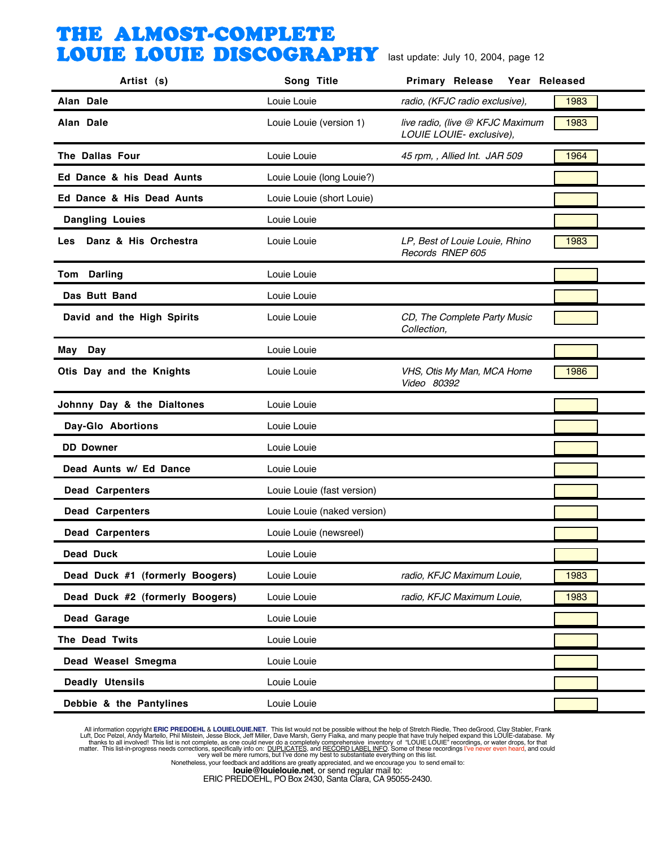| Artist (s)                      | Song Title                  | <b>Primary Release</b><br>Year Released                      |      |
|---------------------------------|-----------------------------|--------------------------------------------------------------|------|
| Alan Dale                       | Louie Louie                 | radio, (KFJC radio exclusive),                               | 1983 |
| Alan Dale                       | Louie Louie (version 1)     | live radio, (live @ KFJC Maximum<br>LOUIE LOUIE- exclusive), | 1983 |
| The Dallas Four                 | Louie Louie                 | 45 rpm, , Allied Int. JAR 509                                | 1964 |
| Ed Dance & his Dead Aunts       | Louie Louie (long Louie?)   |                                                              |      |
| Ed Dance & His Dead Aunts       | Louie Louie (short Louie)   |                                                              |      |
| <b>Dangling Louies</b>          | Louie Louie                 |                                                              |      |
| Danz & His Orchestra<br>Les     | Louie Louie                 | LP, Best of Louie Louie, Rhino<br>Records RNEP 605           | 1983 |
| Tom Darling                     | Louie Louie                 |                                                              |      |
| Das Butt Band                   | Louie Louie                 |                                                              |      |
| David and the High Spirits      | Louie Louie                 | CD, The Complete Party Music<br>Collection,                  |      |
| May Day                         | Louie Louie                 |                                                              |      |
| Otis Day and the Knights        | Louie Louie                 | VHS, Otis My Man, MCA Home<br>Video 80392                    | 1986 |
| Johnny Day & the Dialtones      | Louie Louie                 |                                                              |      |
| Day-Glo Abortions               | Louie Louie                 |                                                              |      |
| <b>DD</b> Downer                | Louie Louie                 |                                                              |      |
| Dead Aunts w/ Ed Dance          | Louie Louie                 |                                                              |      |
| <b>Dead Carpenters</b>          | Louie Louie (fast version)  |                                                              |      |
| <b>Dead Carpenters</b>          | Louie Louie (naked version) |                                                              |      |
| <b>Dead Carpenters</b>          | Louie Louie (newsreel)      |                                                              |      |
| <b>Dead Duck</b>                | Louie Louie                 |                                                              |      |
| Dead Duck #1 (formerly Boogers) | Louie Louie                 | radio, KFJC Maximum Louie,                                   | 1983 |
| Dead Duck #2 (formerly Boogers) | Louie Louie                 | radio, KFJC Maximum Louie,                                   | 1983 |
| Dead Garage                     | Louie Louie                 |                                                              |      |
| The Dead Twits                  | Louie Louie                 |                                                              |      |
| Dead Weasel Smegma              | Louie Louie                 |                                                              |      |
| <b>Deadly Utensils</b>          | Louie Louie                 |                                                              |      |
| Debbie & the Pantylines         | Louie Louie                 |                                                              |      |

All information copyright **ERIC PREDOEHL & LOUIELOUIE.NET**. This list would not be possible without the help of Stretch Riedle, Theo deGrood, Clay Stabler, Frank Luft, Doc Pelzel, Andy Martello, Phil Mislistin, Jesse Block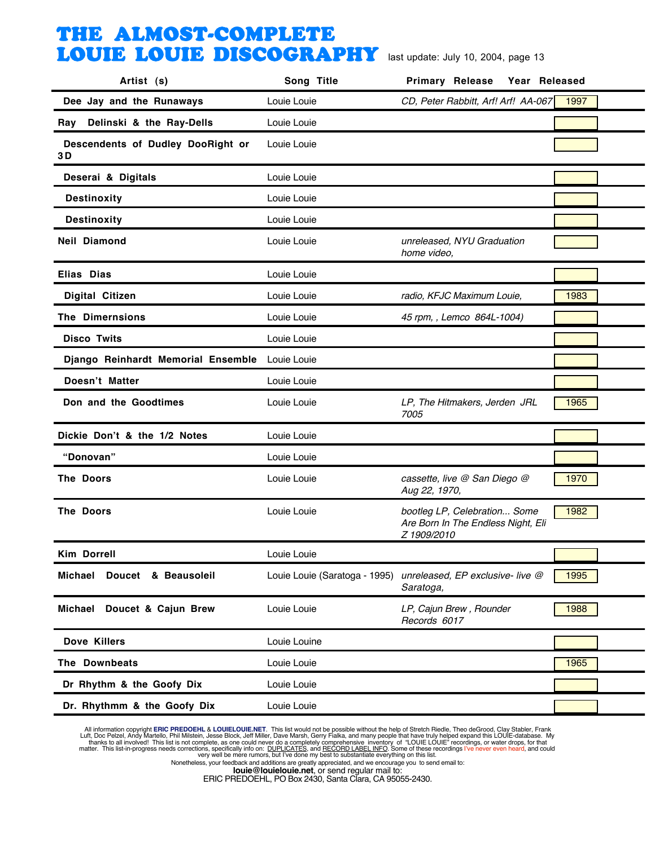| Artist (s)                              | Song Title                    | <b>Primary Release</b><br>Year Released                                           |      |
|-----------------------------------------|-------------------------------|-----------------------------------------------------------------------------------|------|
| Dee Jay and the Runaways                | Louie Louie                   | CD, Peter Rabbitt, Arf! Arf! AA-067                                               | 1997 |
| Delinski & the Ray-Dells<br>Ray         | Louie Louie                   |                                                                                   |      |
| Descendents of Dudley DooRight or<br>3D | Louie Louie                   |                                                                                   |      |
| Deserai & Digitals                      | Louie Louie                   |                                                                                   |      |
| <b>Destinoxity</b>                      | Louie Louie                   |                                                                                   |      |
| <b>Destinoxity</b>                      | Louie Louie                   |                                                                                   |      |
| <b>Neil Diamond</b>                     | Louie Louie                   | unreleased, NYU Graduation<br>home video,                                         |      |
| Elias Dias                              | Louie Louie                   |                                                                                   |      |
| <b>Digital Citizen</b>                  | Louie Louie                   | radio, KFJC Maximum Louie,                                                        | 1983 |
| The Dimernsions                         | Louie Louie                   | 45 rpm, , Lemco 864L-1004)                                                        |      |
| <b>Disco Twits</b>                      | Louie Louie                   |                                                                                   |      |
| Django Reinhardt Memorial Ensemble      | Louie Louie                   |                                                                                   |      |
| Doesn't Matter                          | Louie Louie                   |                                                                                   |      |
| Don and the Goodtimes                   | Louie Louie                   | LP, The Hitmakers, Jerden JRL<br>7005                                             | 1965 |
| Dickie Don't & the 1/2 Notes            | Louie Louie                   |                                                                                   |      |
| "Donovan"                               | Louie Louie                   |                                                                                   |      |
| The Doors                               | Louie Louie                   | cassette, live @ San Diego @<br>Aug 22, 1970,                                     | 1970 |
| <b>The Doors</b>                        | Louie Louie                   | bootleg LP, Celebration Some<br>Are Born In The Endless Night, Eli<br>Z 1909/2010 | 1982 |
| Kim Dorrell                             | Louie Louie                   |                                                                                   |      |
| Michael<br>Doucet & Beausoleil          | Louie Louie (Saratoga - 1995) | unreleased, EP exclusive- live @<br>Saratoga,                                     | 1995 |
| Michael Doucet & Cajun Brew             | Louie Louie                   | LP, Cajun Brew, Rounder<br>Records 6017                                           | 1988 |
| Dove Killers                            | Louie Louine                  |                                                                                   |      |
| The Downbeats                           | Louie Louie                   |                                                                                   | 1965 |
| Dr Rhythm & the Goofy Dix               | Louie Louie                   |                                                                                   |      |
| Dr. Rhythmm & the Goofy Dix             | Louie Louie                   |                                                                                   |      |

All information copyright **ERIC PREDOEHL & LOUIELOUIE.NET**. This list would not be possible without the help of Stretch Riedle, Theo deGrood, Clay Stabler, Frank Luft, Doc Pelzel, Andy Martello, Phil Mislistin, Jesse Block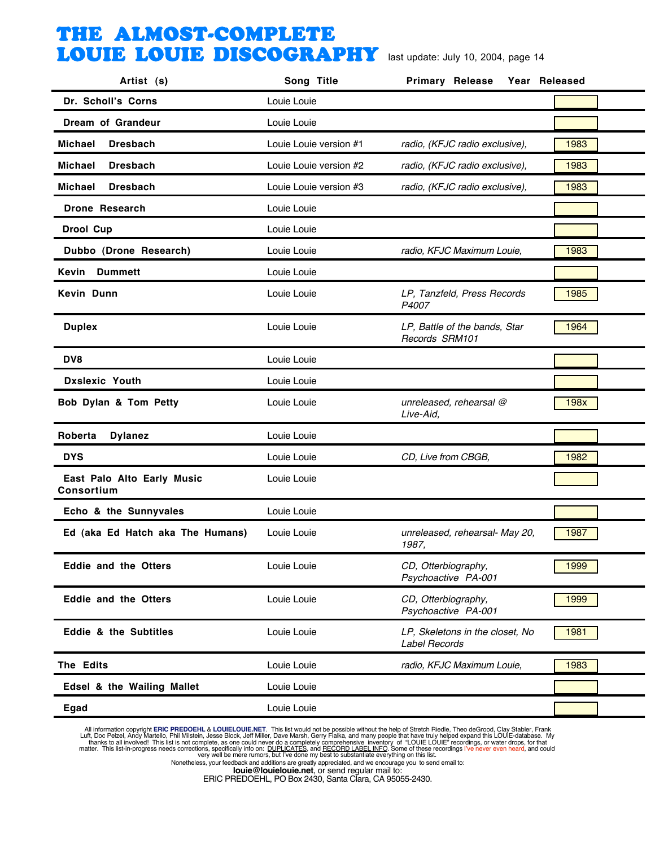| Artist (s)                               | Song Title             | <b>Primary Release</b>                                  | Year Released |
|------------------------------------------|------------------------|---------------------------------------------------------|---------------|
| Dr. Scholl's Corns                       | Louie Louie            |                                                         |               |
| Dream of Grandeur                        | Louie Louie            |                                                         |               |
| Michael<br><b>Dresbach</b>               | Louie Louie version #1 | radio, (KFJC radio exclusive),                          | 1983          |
| Michael<br><b>Dresbach</b>               | Louie Louie version #2 | radio, (KFJC radio exclusive),                          | 1983          |
| <b>Dresbach</b><br><b>Michael</b>        | Louie Louie version #3 | radio, (KFJC radio exclusive),                          | 1983          |
| <b>Drone Research</b>                    | Louie Louie            |                                                         |               |
| <b>Drool Cup</b>                         | Louie Louie            |                                                         |               |
| Dubbo (Drone Research)                   | Louie Louie            | radio, KFJC Maximum Louie,                              | 1983          |
| Kevin<br><b>Dummett</b>                  | Louie Louie            |                                                         |               |
| Kevin Dunn                               | Louie Louie            | LP, Tanzfeld, Press Records<br>P4007                    | 1985          |
| <b>Duplex</b>                            | Louie Louie            | LP, Battle of the bands, Star<br>Records SRM101         | 1964          |
| DV8                                      | Louie Louie            |                                                         |               |
| <b>Dxslexic Youth</b>                    | Louie Louie            |                                                         |               |
| Bob Dylan & Tom Petty                    | Louie Louie            | unreleased, rehearsal @<br>Live-Aid,                    | 198x          |
| Roberta<br><b>Dylanez</b>                | Louie Louie            |                                                         |               |
| <b>DYS</b>                               | Louie Louie            | CD, Live from CBGB,                                     | 1982          |
| East Palo Alto Early Music<br>Consortium | Louie Louie            |                                                         |               |
| Echo & the Sunnyvales                    | Louie Louie            |                                                         |               |
| Ed (aka Ed Hatch aka The Humans)         | Louie Louie            | unreleased, rehearsal- May 20,<br>1987.                 | 1987          |
| <b>Eddie and the Otters</b>              | Louie Louie            | CD, Otterbiography,<br>Psychoactive PA-001              | 1999          |
| <b>Eddie and the Otters</b>              | Louie Louie            | CD, Otterbiography,<br>Psychoactive PA-001              | 1999          |
| <b>Eddie &amp; the Subtitles</b>         | Louie Louie            | LP, Skeletons in the closet, No<br><b>Label Records</b> | 1981          |
| The Edits                                | Louie Louie            | radio, KFJC Maximum Louie,                              | 1983          |
| Edsel & the Wailing Mallet               | Louie Louie            |                                                         |               |
| Egad                                     | Louie Louie            |                                                         |               |

All information copyright **ERIC PREDOEHL & LOUIELOUIE.NET**. This list would not be possible without the help of Stretch Riedle, Theo deGrood, Clay Stabler, Frank Luft, Doc Pelzel, Andy Martello, Phil Mislistin, Jesse Block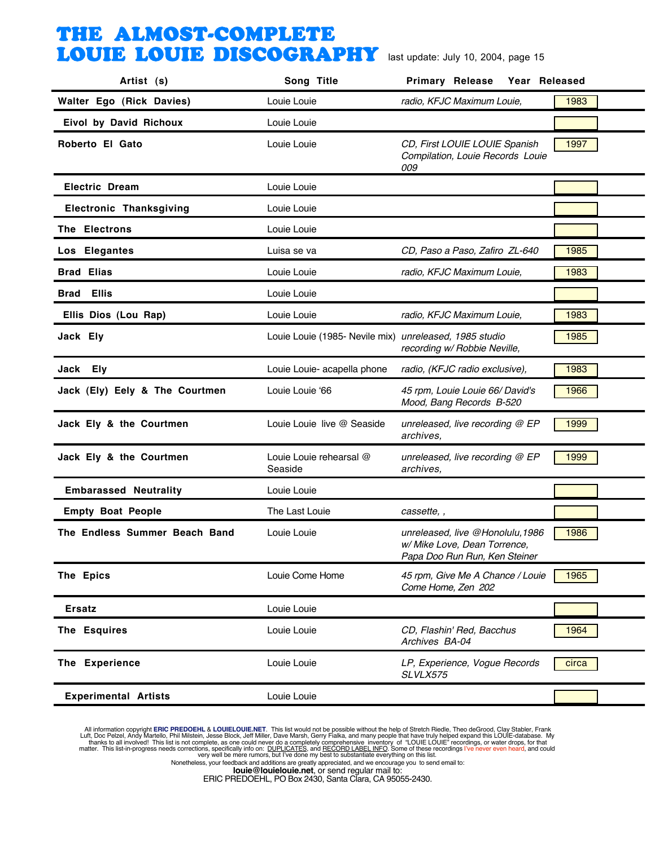| Artist (s)                     | Song Title                                             | <b>Primary Release</b><br>Year Released                                                           |       |
|--------------------------------|--------------------------------------------------------|---------------------------------------------------------------------------------------------------|-------|
| Walter Ego (Rick Davies)       | Louie Louie                                            | radio, KFJC Maximum Louie,                                                                        | 1983  |
| Eivol by David Richoux         | Louie Louie                                            |                                                                                                   |       |
| Roberto El Gato                | Louie Louie                                            | CD, First LOUIE LOUIE Spanish<br>Compilation, Louie Records Louie<br>009                          | 1997  |
| <b>Electric Dream</b>          | Louie Louie                                            |                                                                                                   |       |
| <b>Electronic Thanksgiving</b> | Louie Louie                                            |                                                                                                   |       |
| The Electrons                  | Louie Louie                                            |                                                                                                   |       |
| Los Elegantes                  | Luisa se va                                            | CD, Paso a Paso, Zafiro ZL-640                                                                    | 1985  |
| <b>Brad Elias</b>              | Louie Louie                                            | radio, KFJC Maximum Louie,                                                                        | 1983  |
| <b>Brad Ellis</b>              | Louie Louie                                            |                                                                                                   |       |
| Ellis Dios (Lou Rap)           | Louie Louie                                            | radio, KFJC Maximum Louie,                                                                        | 1983  |
| Jack Ely                       | Louie Louie (1985- Nevile mix) unreleased, 1985 studio | recording w/ Robbie Neville,                                                                      | 1985  |
| Jack Ely                       | Louie Louie- acapella phone                            | radio, (KFJC radio exclusive),                                                                    | 1983  |
| Jack (Ely) Eely & The Courtmen | Louie Louie '66                                        | 45 rpm, Louie Louie 66/ David's<br>Mood, Bang Records B-520                                       | 1966  |
| Jack Ely & the Courtmen        | Louie Louie live @ Seaside                             | unreleased, live recording @ EP<br>archives,                                                      | 1999  |
| Jack Ely & the Courtmen        | Louie Louie rehearsal @<br>Seaside                     | unreleased, live recording $@$ EP<br>archives.                                                    | 1999  |
| <b>Embarassed Neutrality</b>   | Louie Louie                                            |                                                                                                   |       |
| <b>Empty Boat People</b>       | The Last Louie                                         | cassette, ,                                                                                       |       |
| The Endless Summer Beach Band  | Louie Louie                                            | unreleased, live @Honolulu, 1986<br>w/ Mike Love, Dean Torrence,<br>Papa Doo Run Run, Ken Steiner | 1986  |
| The Epics                      | Louie Come Home                                        | 45 rpm, Give Me A Chance / Louie<br>Come Home, Zen 202                                            | 1965  |
| Ersatz                         | Louie Louie                                            |                                                                                                   |       |
| The Esquires                   | Louie Louie                                            | CD, Flashin' Red, Bacchus<br>Archives BA-04                                                       | 1964  |
| The Experience                 | Louie Louie                                            | LP, Experience, Vogue Records<br>SLVLX575                                                         | circa |
| <b>Experimental Artists</b>    | Louie Louie                                            |                                                                                                   |       |

All information copyright **ERIC PREDOEHL & LOUIELOUIE.NET**. This list would not be possible without the help of Stretch Riedle, Theo deGrood, Clay Stabler, Frank Luft, Doc Pelzel, Andy Martello, Phil Mislistin, Jesse Block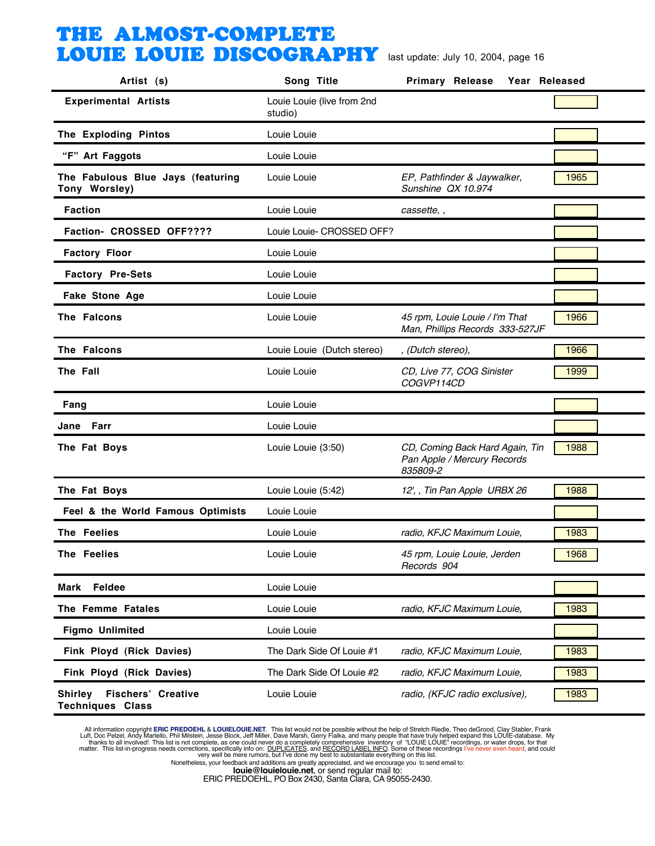| Artist (s)                                                             | Song Title                            | <b>Primary Release</b><br>Year Released                                    |      |
|------------------------------------------------------------------------|---------------------------------------|----------------------------------------------------------------------------|------|
| <b>Experimental Artists</b>                                            | Louie Louie (live from 2nd<br>studio) |                                                                            |      |
| The Exploding Pintos                                                   | Louie Louie                           |                                                                            |      |
| "F" Art Faggots                                                        | Louie Louie                           |                                                                            |      |
| The Fabulous Blue Jays (featuring<br>Tony Worsley)                     | Louie Louie                           | EP, Pathfinder & Jaywalker,<br>Sunshine QX 10.974                          | 1965 |
| <b>Faction</b>                                                         | Louie Louie                           | cassette,,                                                                 |      |
| Faction- CROSSED OFF????                                               | Louie Louie- CROSSED OFF?             |                                                                            |      |
| <b>Factory Floor</b>                                                   | Louie Louie                           |                                                                            |      |
| <b>Factory Pre-Sets</b>                                                | Louie Louie                           |                                                                            |      |
| Fake Stone Age                                                         | Louie Louie                           |                                                                            |      |
| The Falcons                                                            | Louie Louie                           | 45 rpm, Louie Louie / I'm That<br>Man, Phillips Records 333-527JF          | 1966 |
| The Falcons                                                            | Louie Louie (Dutch stereo)            | , (Dutch stereo),                                                          | 1966 |
| The Fall                                                               | Louie Louie                           | CD, Live 77, COG Sinister<br>COGVP114CD                                    | 1999 |
| Fang                                                                   | Louie Louie                           |                                                                            |      |
| Jane Farr                                                              | Louie Louie                           |                                                                            |      |
| The Fat Boys                                                           | Louie Louie (3:50)                    | CD, Coming Back Hard Again, Tin<br>Pan Apple / Mercury Records<br>835809-2 | 1988 |
| The Fat Boys                                                           | Louie Louie (5:42)                    | 12', , Tin Pan Apple URBX 26                                               | 1988 |
| Feel & the World Famous Optimists                                      | Louie Louie                           |                                                                            |      |
| The Feelies                                                            | Louie Louie                           | radio, KFJC Maximum Louie,                                                 | 1983 |
| The Feelies                                                            | Louie Louie                           | 45 rpm, Louie Louie, Jerden<br>Records 904                                 | 1968 |
| Feldee<br>Mark                                                         | Louie Louie                           |                                                                            |      |
| The Femme Fatales                                                      | Louie Louie                           | radio, KFJC Maximum Louie,                                                 | 1983 |
| <b>Figmo Unlimited</b>                                                 | Louie Louie                           |                                                                            |      |
| Fink Ployd (Rick Davies)                                               | The Dark Side Of Louie #1             | radio, KFJC Maximum Louie,                                                 | 1983 |
| Fink Ployd (Rick Davies)                                               | The Dark Side Of Louie #2             | radio, KFJC Maximum Louie,                                                 | 1983 |
| <b>Fischers' Creative</b><br><b>Shirley</b><br><b>Techniques Class</b> | Louie Louie                           | radio, (KFJC radio exclusive),                                             | 1983 |

All information copyright **ERIC PREDOEHL & LOUIELOUIE.NET**. This list would not be possible without the help of Stretch Riedle, Theo deGrood, Clay Stabler, Frank Luft, Doc Pelzel, Andy Martello, Phil Mislistin, Jesse Block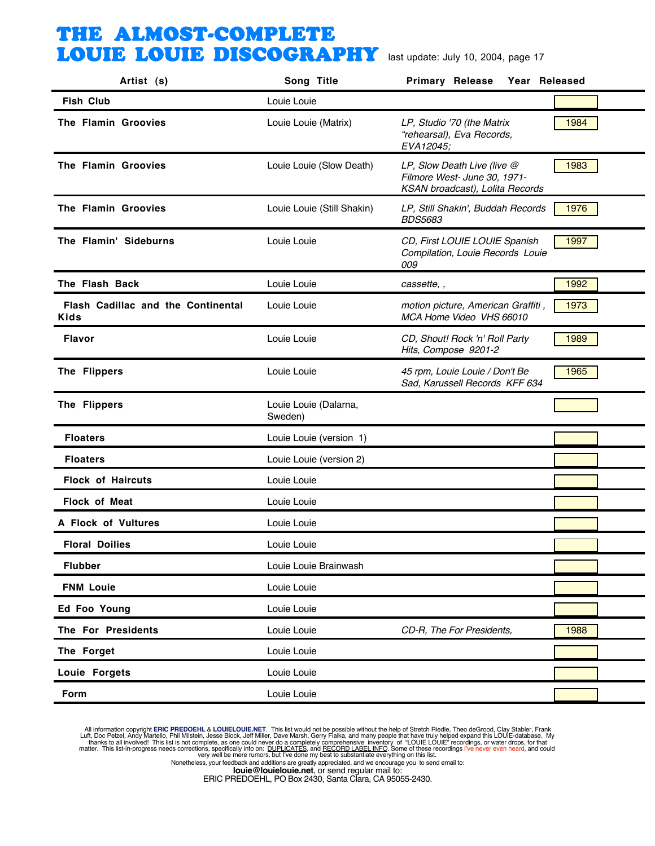| Artist (s)                                        | Song Title                       | <b>Primary Release</b><br>Year Released                                                        |      |
|---------------------------------------------------|----------------------------------|------------------------------------------------------------------------------------------------|------|
| <b>Fish Club</b>                                  | Louie Louie                      |                                                                                                |      |
| The Flamin Groovies                               | Louie Louie (Matrix)             | LP, Studio '70 (the Matrix<br>"rehearsal), Eva Records,<br>EVA12045;                           | 1984 |
| The Flamin Groovies                               | Louie Louie (Slow Death)         | LP, Slow Death Live (live @<br>Filmore West- June 30, 1971-<br>KSAN broadcast), Lolita Records | 1983 |
| The Flamin Groovies                               | Louie Louie (Still Shakin)       | LP, Still Shakin', Buddah Records<br><b>BDS5683</b>                                            | 1976 |
| The Flamin' Sideburns                             | Louie Louie                      | CD, First LOUIE LOUIE Spanish<br>Compilation, Louie Records Louie<br>009                       | 1997 |
| The Flash Back                                    | Louie Louie                      | cassette, ,                                                                                    | 1992 |
| Flash Cadillac and the Continental<br><b>Kids</b> | Louie Louie                      | motion picture, American Graffiti,<br>MCA Home Video VHS 66010                                 | 1973 |
| <b>Flavor</b>                                     | Louie Louie                      | CD, Shout! Rock 'n' Roll Party<br>Hits, Compose 9201-2                                         | 1989 |
| The Flippers                                      | Louie Louie                      | 45 rpm, Louie Louie / Don't Be<br>Sad, Karussell Records KFF 634                               | 1965 |
| The Flippers                                      | Louie Louie (Dalarna,<br>Sweden) |                                                                                                |      |
| <b>Floaters</b>                                   | Louie Louie (version 1)          |                                                                                                |      |
| <b>Floaters</b>                                   | Louie Louie (version 2)          |                                                                                                |      |
| <b>Flock of Haircuts</b>                          | Louie Louie                      |                                                                                                |      |
| <b>Flock of Meat</b>                              | Louie Louie                      |                                                                                                |      |
| A Flock of Vultures                               | Louie Louie                      |                                                                                                |      |
| <b>Floral Doilies</b>                             | Louie Louie                      |                                                                                                |      |
| <b>Flubber</b>                                    | Louie Louie Brainwash            |                                                                                                |      |
| <b>FNM Louie</b>                                  | Louie Louie                      |                                                                                                |      |
| Ed Foo Young                                      | Louie Louie                      |                                                                                                |      |
| The For Presidents                                | Louie Louie                      | CD-R, The For Presidents,                                                                      | 1988 |
| The Forget                                        | Louie Louie                      |                                                                                                |      |
| Louie Forgets                                     | Louie Louie                      |                                                                                                |      |
| Form                                              | Louie Louie                      |                                                                                                |      |

All information copyright **ERIC PREDOEHL & LOUIELOUIE.NET**. This list would not be possible without the help of Stretch Riedle, Theo deGrood, Clay Stabler, Frank Luft, Doc Pelzel, Andy Martello, Phil Mislistin, Jesse Block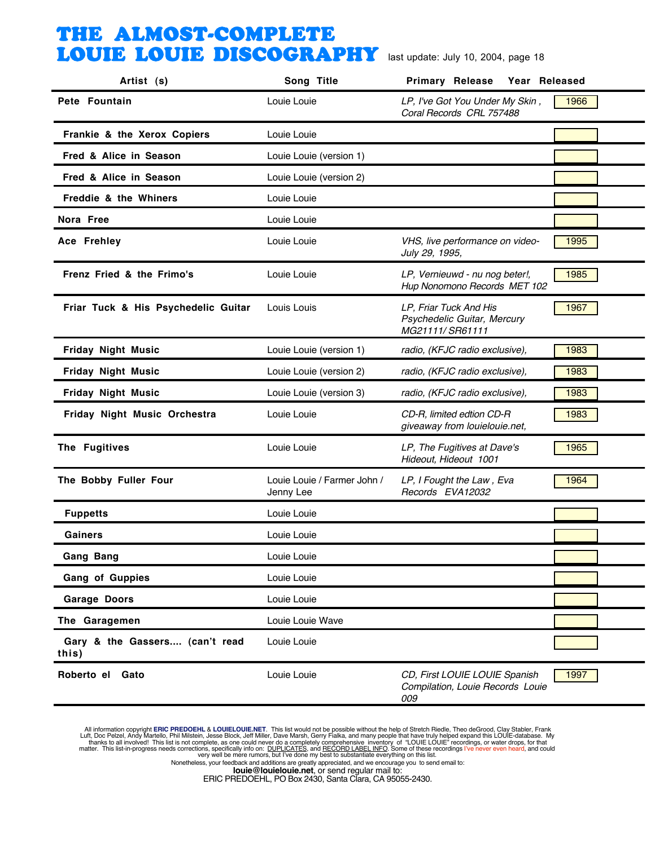| Artist (s)                              | Song Title                               | <b>Primary Release</b><br>Year Released                                  |      |
|-----------------------------------------|------------------------------------------|--------------------------------------------------------------------------|------|
| Pete Fountain                           | Louie Louie                              | LP, I've Got You Under My Skin,<br>Coral Records CRL 757488              | 1966 |
| Frankie & the Xerox Copiers             | Louie Louie                              |                                                                          |      |
| Fred & Alice in Season                  | Louie Louie (version 1)                  |                                                                          |      |
| Fred & Alice in Season                  | Louie Louie (version 2)                  |                                                                          |      |
| Freddie & the Whiners                   | Louie Louie                              |                                                                          |      |
| Nora Free                               | Louie Louie                              |                                                                          |      |
| <b>Ace Frehley</b>                      | Louie Louie                              | VHS, live performance on video-<br>July 29, 1995,                        | 1995 |
| Frenz Fried & the Frimo's               | Louie Louie                              | LP, Vernieuwd - nu nog beter!,<br>Hup Nonomono Records MET 102           | 1985 |
| Friar Tuck & His Psychedelic Guitar     | Louis Louis                              | LP, Friar Tuck And His<br>Psychedelic Guitar, Mercury<br>MG21111/SR61111 | 1967 |
| <b>Friday Night Music</b>               | Louie Louie (version 1)                  | radio, (KFJC radio exclusive),                                           | 1983 |
| <b>Friday Night Music</b>               | Louie Louie (version 2)                  | radio, (KFJC radio exclusive),                                           | 1983 |
| <b>Friday Night Music</b>               | Louie Louie (version 3)                  | radio, (KFJC radio exclusive),                                           | 1983 |
| Friday Night Music Orchestra            | Louie Louie                              | CD-R, limited edtion CD-R<br>giveaway from louielouie.net,               | 1983 |
| The Fugitives                           | Louie Louie                              | LP, The Fugitives at Dave's<br>Hideout, Hideout 1001                     | 1965 |
| The Bobby Fuller Four                   | Louie Louie / Farmer John /<br>Jenny Lee | LP, I Fought the Law, Eva<br>Records EVA12032                            | 1964 |
| <b>Fuppetts</b>                         | Louie Louie                              |                                                                          |      |
| Gainers                                 | Louie Louie                              |                                                                          |      |
| <b>Gang Bang</b>                        | Louie Louie                              |                                                                          |      |
| Gang of Guppies                         | Louie Louie                              |                                                                          |      |
| <b>Garage Doors</b>                     | Louie Louie                              |                                                                          |      |
| The Garagemen                           | Louie Louie Wave                         |                                                                          |      |
| Gary & the Gassers (can't read<br>this) | Louie Louie                              |                                                                          |      |
| Roberto el Gato                         | Louie Louie                              | CD, First LOUIE LOUIE Spanish<br>Compilation, Louie Records Louie<br>009 | 1997 |

All information copyright **ERIC PREDOEHL & LOUIELOUIE.NET**. This list would not be possible without the help of Stretch Riedle, Theo deGrood, Clay Stabler, Frank Luft, Doc Pelzel, Andy Martello, Phil Mislistin, Jesse Block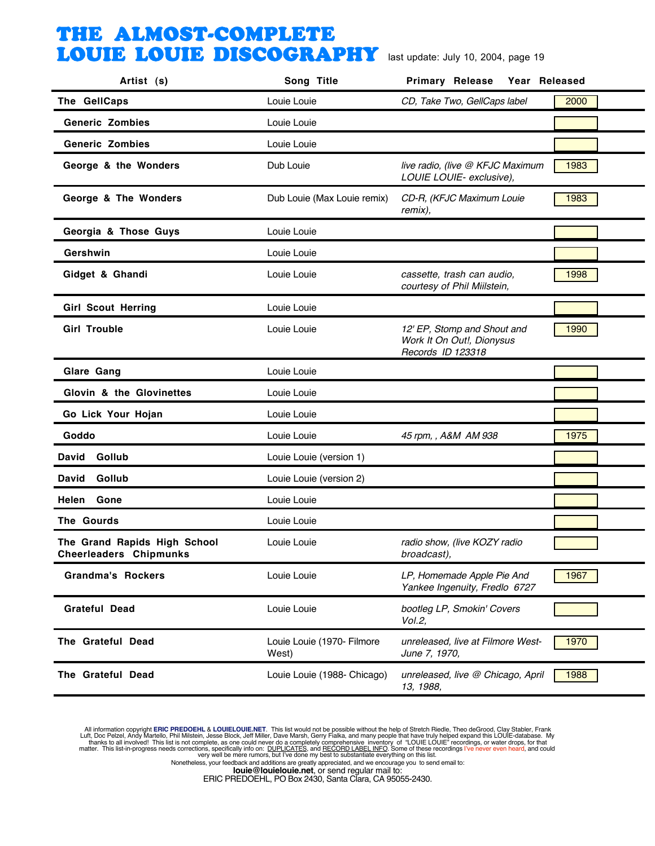| Artist (s)                                                    | Song Title                          | Year Released<br><b>Primary Release</b>                                       |      |
|---------------------------------------------------------------|-------------------------------------|-------------------------------------------------------------------------------|------|
| The GellCaps                                                  | Louie Louie                         | CD, Take Two, GellCaps label                                                  | 2000 |
| <b>Generic Zombies</b>                                        | Louie Louie                         |                                                                               |      |
| <b>Generic Zombies</b>                                        | Louie Louie                         |                                                                               |      |
| George & the Wonders                                          | Dub Louie                           | live radio, (live @ KFJC Maximum<br>LOUIE LOUIE- exclusive),                  | 1983 |
| George & The Wonders                                          | Dub Louie (Max Louie remix)         | CD-R, (KFJC Maximum Louie<br>remix),                                          | 1983 |
| Georgia & Those Guys                                          | Louie Louie                         |                                                                               |      |
| Gershwin                                                      | Louie Louie                         |                                                                               |      |
| Gidget & Ghandi                                               | Louie Louie                         | cassette, trash can audio,<br>courtesy of Phil Miilstein,                     | 1998 |
| <b>Girl Scout Herring</b>                                     | Louie Louie                         |                                                                               |      |
| <b>Girl Trouble</b>                                           | Louie Louie                         | 12' EP, Stomp and Shout and<br>Work It On Out!, Dionysus<br>Records ID 123318 | 1990 |
| Glare Gang                                                    | Louie Louie                         |                                                                               |      |
| Glovin & the Glovinettes                                      | Louie Louie                         |                                                                               |      |
| Go Lick Your Hojan                                            | Louie Louie                         |                                                                               |      |
| Goddo                                                         | Louie Louie                         | 45 rpm, , A&M AM 938                                                          | 1975 |
| Gollub<br>David                                               | Louie Louie (version 1)             |                                                                               |      |
| Gollub<br>David                                               | Louie Louie (version 2)             |                                                                               |      |
| Gone<br>Helen                                                 | Louie Louie                         |                                                                               |      |
| The Gourds                                                    | Louie Louie                         |                                                                               |      |
| The Grand Rapids High School<br><b>Cheerleaders Chipmunks</b> | Louie Louie                         | radio show, (live KOZY radio<br>broadcast),                                   |      |
| <b>Grandma's Rockers</b>                                      | Louie Louie                         | LP, Homemade Apple Pie And<br>Yankee Ingenuity, Fredlo 6727                   | 1967 |
| Grateful Dead                                                 | Louie Louie                         | bootleg LP, Smokin' Covers<br>Vol.2,                                          |      |
| The Grateful Dead                                             | Louie Louie (1970- Filmore<br>West) | unreleased, live at Filmore West-<br>June 7, 1970,                            | 1970 |
| The Grateful Dead                                             | Louie Louie (1988- Chicago)         | unreleased, live @ Chicago, April<br>13, 1988,                                | 1988 |

All information copyright **ERIC PREDOEHL & LOUIELOUIE.NET**. This list would not be possible without the help of Stretch Riedle, Theo deGrood, Clay Stabler, Frank Luft, Doc Pelzel, Andy Martello, Phil Mislistin, Jesse Block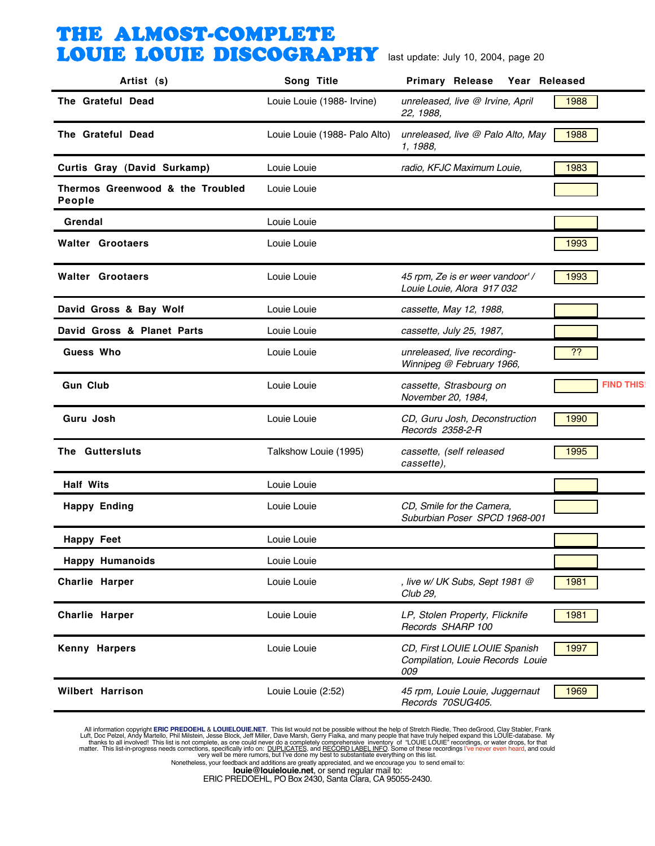| Artist (s)                                 | Song Title                    | Primary Release Year Released                                            |                  |
|--------------------------------------------|-------------------------------|--------------------------------------------------------------------------|------------------|
| The Grateful Dead                          | Louie Louie (1988- Irvine)    | unreleased, live @ Irvine, April<br>22, 1988,                            | 1988             |
| The Grateful Dead                          | Louie Louie (1988- Palo Alto) | unreleased, live @ Palo Alto, May<br>1, 1988,                            | 1988             |
| Curtis Gray (David Surkamp)                | Louie Louie                   | radio, KFJC Maximum Louie,                                               | 1983             |
| Thermos Greenwood & the Troubled<br>People | Louie Louie                   |                                                                          |                  |
| Grendal                                    | Louie Louie                   |                                                                          |                  |
| <b>Walter Grootaers</b>                    | Louie Louie                   |                                                                          | 1993             |
| <b>Walter Grootaers</b>                    | Louie Louie                   | 45 rpm, Ze is er weer vandoor' /<br>Louie Louie, Alora 917 032           | 1993             |
| David Gross & Bay Wolf                     | Louie Louie                   | cassette, May 12, 1988,                                                  |                  |
| David Gross & Planet Parts                 | Louie Louie                   | cassette, July 25, 1987,                                                 |                  |
| Guess Who                                  | Louie Louie                   | unreleased, live recording-<br>Winnipeg @ February 1966,                 | ??               |
| <b>Gun Club</b>                            | Louie Louie                   | cassette, Strasbourg on<br>November 20, 1984,                            | <b>FIND THIS</b> |
| Guru Josh                                  | Louie Louie                   | CD, Guru Josh, Deconstruction<br>Records 2358-2-R                        | 1990             |
| The Guttersluts                            | Talkshow Louie (1995)         | cassette, (self released<br>cassette),                                   | 1995             |
| <b>Half Wits</b>                           | Louie Louie                   |                                                                          |                  |
| <b>Happy Ending</b>                        | Louie Louie                   | CD, Smile for the Camera,<br>Suburbian Poser SPCD 1968-001               |                  |
| <b>Happy Feet</b>                          | Louie Louie                   |                                                                          |                  |
| <b>Happy Humanoids</b>                     | Louie Louie                   |                                                                          |                  |
| <b>Charlie Harper</b>                      | Louie Louie                   | , live w/ UK Subs, Sept 1981 @<br>Club 29,                               | 1981             |
| <b>Charlie Harper</b>                      | Louie Louie                   | LP, Stolen Property, Flicknife<br>Records SHARP 100                      | 1981             |
| <b>Kenny Harpers</b>                       | Louie Louie                   | CD, First LOUIE LOUIE Spanish<br>Compilation, Louie Records Louie<br>009 | 1997             |
| <b>Wilbert Harrison</b>                    | Louie Louie (2:52)            | 45 rpm, Louie Louie, Juggernaut<br>Records 70SUG405.                     | 1969             |

All information copyright **ERIC PREDOEHL & LOUIELOUIE.NET**. This list would not be possible without the help of Stretch Riedle, Theo deGrood, Clay Stabler, Frank Luft, Doc Pelzel, Andy Martello, Phil Mislistin, Jesse Block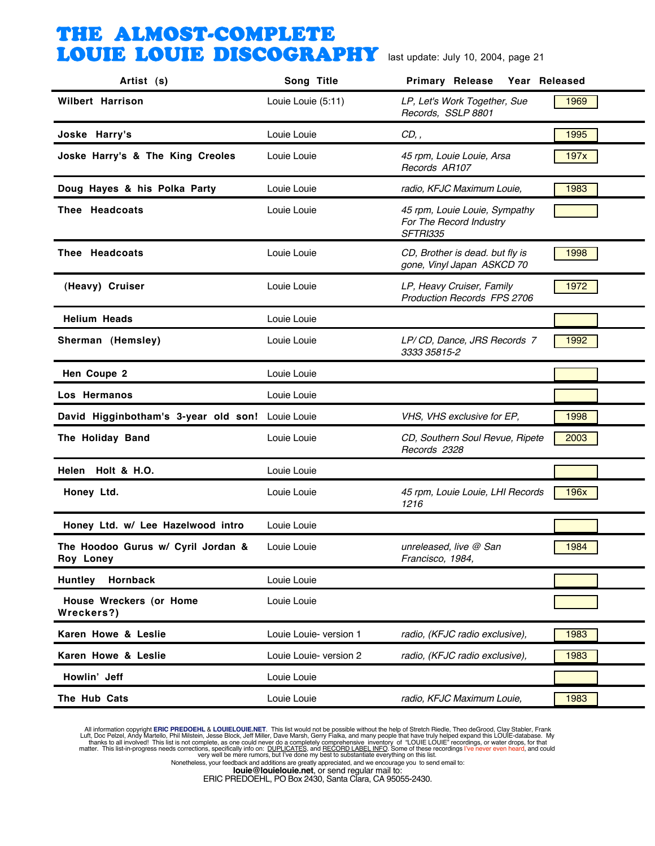| Artist (s)                                      | Song Title             | <b>Primary Release</b><br>Year Released                              |      |
|-------------------------------------------------|------------------------|----------------------------------------------------------------------|------|
| <b>Wilbert Harrison</b>                         | Louie Louie (5:11)     | LP, Let's Work Together, Sue<br>Records, SSLP 8801                   | 1969 |
| Joske Harry's                                   | Louie Louie            | CD,                                                                  | 1995 |
| Joske Harry's & The King Creoles                | Louie Louie            | 45 rpm, Louie Louie, Arsa<br>Records AR107                           | 197x |
| Doug Hayes & his Polka Party                    | Louie Louie            | radio, KFJC Maximum Louie,                                           | 1983 |
| Thee Headcoats                                  | Louie Louie            | 45 rpm, Louie Louie, Sympathy<br>For The Record Industry<br>SFTRI335 |      |
| Thee Headcoats                                  | Louie Louie            | CD, Brother is dead. but fly is<br>gone, Vinyl Japan ASKCD 70        | 1998 |
| (Heavy) Cruiser                                 | Louie Louie            | LP, Heavy Cruiser, Family<br><b>Production Records FPS 2706</b>      | 1972 |
| <b>Helium Heads</b>                             | Louie Louie            |                                                                      |      |
| Sherman (Hemsley)                               | Louie Louie            | LP/CD, Dance, JRS Records 7<br>3333 35815-2                          | 1992 |
| Hen Coupe 2                                     | Louie Louie            |                                                                      |      |
| Los Hermanos                                    | Louie Louie            |                                                                      |      |
| David Higginbotham's 3-year old son             | Louie Louie            | VHS, VHS exclusive for EP,                                           | 1998 |
| The Holiday Band                                | Louie Louie            | CD, Southern Soul Revue, Ripete<br>Records 2328                      | 2003 |
| Helen Holt & H.O.                               | Louie Louie            |                                                                      |      |
| Honey Ltd.                                      | Louie Louie            | 45 rpm, Louie Louie, LHI Records<br>1216                             | 196x |
| Honey Ltd. w/ Lee Hazelwood intro               | Louie Louie            |                                                                      |      |
| The Hoodoo Gurus w/ Cyril Jordan &<br>Roy Loney | Louie Louie            | unreleased, live @ San<br>Francisco, 1984,                           | 1984 |
| <b>Huntley</b><br>Hornback                      | Louie Louie            |                                                                      |      |
| House Wreckers (or Home<br>Wreckers?)           | Louie Louie            |                                                                      |      |
| Karen Howe & Leslie                             | Louie Louie- version 1 | radio, (KFJC radio exclusive),                                       | 1983 |
| Karen Howe & Leslie                             | Louie Louie- version 2 | radio, (KFJC radio exclusive),                                       | 1983 |
| Howlin' Jeff                                    | Louie Louie            |                                                                      |      |
| The Hub Cats                                    | Louie Louie            | radio, KFJC Maximum Louie,                                           | 1983 |

All information copyright **ERIC PREDOEHL & LOUIELOUIE.NET**. This list would not be possible without the help of Stretch Riedle, Theo deGrood, Clay Stabler, Frank Luft, Doc Pelzel, Andy Martello, Phil Mislistin, Jesse Block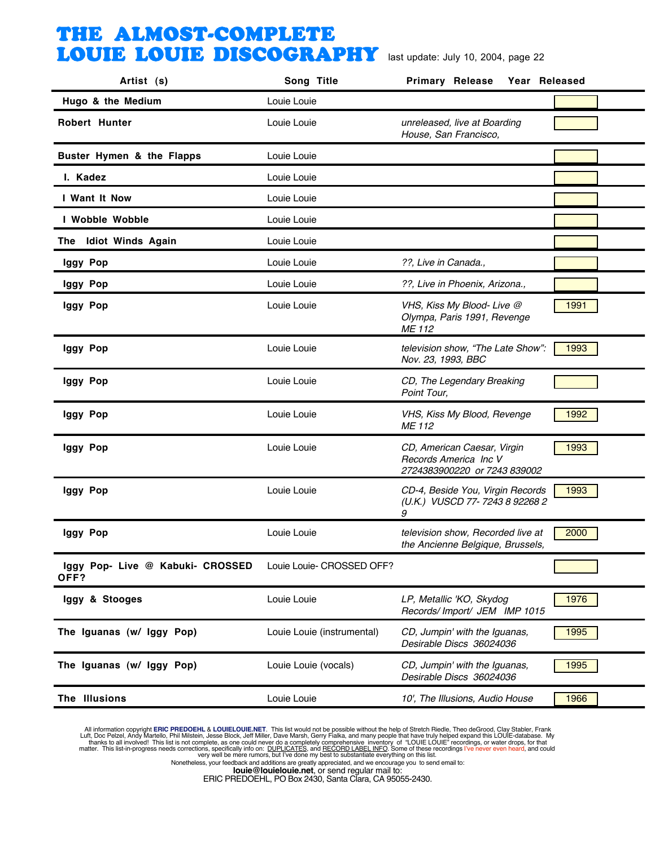| Artist (s)                               | Song Title                 | Year Released<br><b>Primary Release</b>                                              |      |
|------------------------------------------|----------------------------|--------------------------------------------------------------------------------------|------|
| Hugo & the Medium                        | Louie Louie                |                                                                                      |      |
| <b>Robert Hunter</b>                     | Louie Louie                | unreleased, live at Boarding<br>House, San Francisco,                                |      |
| Buster Hymen & the Flapps                | Louie Louie                |                                                                                      |      |
| I. Kadez                                 | Louie Louie                |                                                                                      |      |
| I Want It Now                            | Louie Louie                |                                                                                      |      |
| I Wobble Wobble                          | Louie Louie                |                                                                                      |      |
| The Idiot Winds Again                    | Louie Louie                |                                                                                      |      |
| Iggy Pop                                 | Louie Louie                | ??, Live in Canada.,                                                                 |      |
| Iggy Pop                                 | Louie Louie                | ??, Live in Phoenix, Arizona.,                                                       |      |
| Iggy Pop                                 | Louie Louie                | VHS, Kiss My Blood-Live @<br>Olympa, Paris 1991, Revenge<br>ME 112                   | 1991 |
| Iggy Pop                                 | Louie Louie                | television show, "The Late Show":<br>Nov. 23, 1993, BBC                              | 1993 |
| Iggy Pop                                 | Louie Louie                | CD, The Legendary Breaking<br>Point Tour,                                            |      |
| Iggy Pop                                 | Louie Louie                | VHS, Kiss My Blood, Revenge<br>ME 112                                                | 1992 |
| Iggy Pop                                 | Louie Louie                | CD, American Caesar, Virgin<br>Records America Inc V<br>2724383900220 or 7243 839002 | 1993 |
| Iggy Pop                                 | Louie Louie                | CD-4, Beside You, Virgin Records<br>(U.K.) VUSCD 77-7243 8 92268 2<br>9              | 1993 |
| Iggy Pop                                 | Louie Louie                | television show, Recorded live at<br>the Ancienne Belgique, Brussels,                | 2000 |
| Iggy Pop- Live @ Kabuki- CROSSED<br>OFF? | Louie Louie- CROSSED OFF?  |                                                                                      |      |
| Iggy & Stooges                           | Louie Louie                | LP, Metallic 'KO, Skydog<br>Records/Import/ JEM IMP 1015                             | 1976 |
| The Iguanas (w/ Iggy Pop)                | Louie Louie (instrumental) | CD, Jumpin' with the Iguanas,<br>Desirable Discs 36024036                            | 1995 |
| The Iguanas (w/ Iggy Pop)                | Louie Louie (vocals)       | CD, Jumpin' with the Iguanas,<br>Desirable Discs 36024036                            | 1995 |
| The Illusions                            | Louie Louie                | 10', The Illusions, Audio House                                                      | 1966 |

All information copyright **ERIC PREDOEHL & LOUIELOUIE.NET**. This list would not be possible without the help of Stretch Riedle, Theo deGrood, Clay Stabler, Frank Luft, Doc Pelzel, Andy Martello, Phil Mislistin, Jesse Block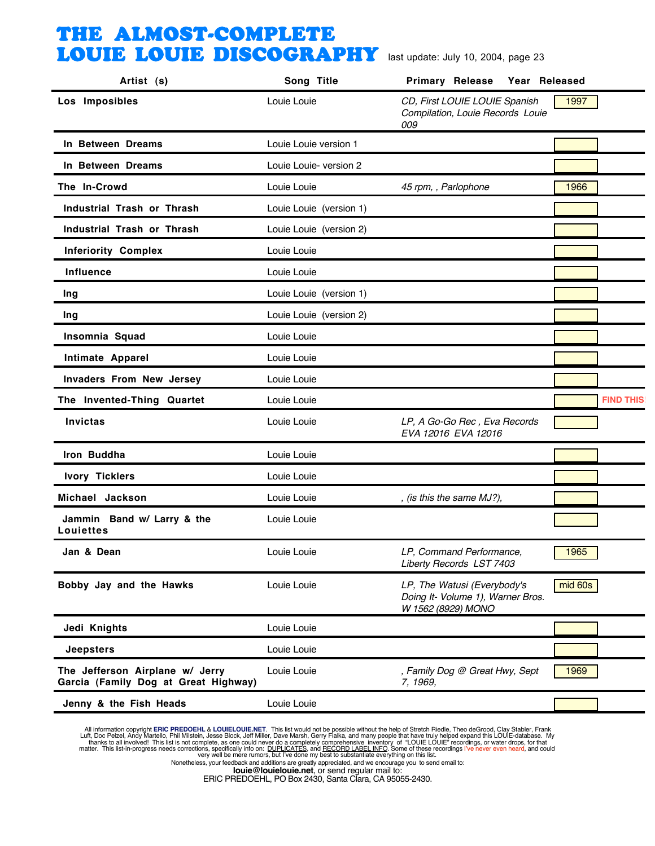| Artist (s)                                                              | Song Title              | <b>Primary Release</b><br>Year Released                                                |                  |
|-------------------------------------------------------------------------|-------------------------|----------------------------------------------------------------------------------------|------------------|
| Los Imposibles                                                          | Louie Louie             | CD, First LOUIE LOUIE Spanish<br>Compilation, Louie Records Louie<br>009               | 1997             |
| In Between Dreams                                                       | Louie Louie version 1   |                                                                                        |                  |
| In Between Dreams                                                       | Louie Louie- version 2  |                                                                                        |                  |
| The In-Crowd                                                            | Louie Louie             | 45 rpm, , Parlophone                                                                   | 1966             |
| Industrial Trash or Thrash                                              | Louie Louie (version 1) |                                                                                        |                  |
| Industrial Trash or Thrash                                              | Louie Louie (version 2) |                                                                                        |                  |
| <b>Inferiority Complex</b>                                              | Louie Louie             |                                                                                        |                  |
| <b>Influence</b>                                                        | Louie Louie             |                                                                                        |                  |
| Ing                                                                     | Louie Louie (version 1) |                                                                                        |                  |
| Ing                                                                     | Louie Louie (version 2) |                                                                                        |                  |
| Insomnia Squad                                                          | Louie Louie             |                                                                                        |                  |
| Intimate Apparel                                                        | Louie Louie             |                                                                                        |                  |
| Invaders From New Jersey                                                | Louie Louie             |                                                                                        |                  |
| The Invented-Thing Quartet                                              | Louie Louie             |                                                                                        | <b>FIND THIS</b> |
| <b>Invictas</b>                                                         | Louie Louie             | LP, A Go-Go Rec, Eva Records<br>EVA 12016 EVA 12016                                    |                  |
| Iron Buddha                                                             | Louie Louie             |                                                                                        |                  |
| <b>Ivory Ticklers</b>                                                   | Louie Louie             |                                                                                        |                  |
| Michael Jackson                                                         | Louie Louie             | , (is this the same MJ?),                                                              |                  |
| Jammin Band w/ Larry & the<br><b>Louiettes</b>                          | Louie Louie             |                                                                                        |                  |
| Jan & Dean                                                              | Louie Louie             | LP, Command Performance,<br>Liberty Records LST 7403                                   | 1965             |
| Bobby Jay and the Hawks                                                 | Louie Louie             | LP, The Watusi (Everybody's<br>Doing It- Volume 1), Warner Bros.<br>W 1562 (8929) MONO | mid 60s          |
| Jedi Knights                                                            | Louie Louie             |                                                                                        |                  |
| <b>Jeepsters</b>                                                        | Louie Louie             |                                                                                        |                  |
| The Jefferson Airplane w/ Jerry<br>Garcia (Family Dog at Great Highway) | Louie Louie             | , Family Dog @ Great Hwy, Sept<br>7, 1969,                                             | 1969             |
| Jenny & the Fish Heads                                                  | Louie Louie             |                                                                                        |                  |

All information copyright **ERIC PREDOEHL & LOUIELOUIE.NET**. This list would not be possible without the help of Stretch Riedle, Theo deGrood, Clay Stabler, Frank Luft, Doc Pelzel, Andy Martello, Phil Mislistin, Jesse Block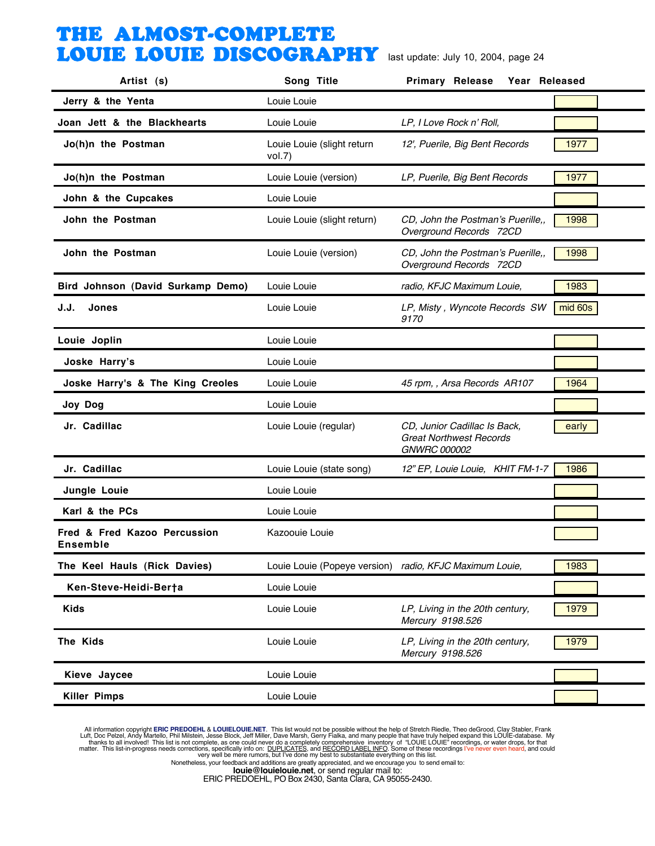| Artist (s)                               | Song Title                                              | <b>Primary Release</b><br>Year Released                                        |         |
|------------------------------------------|---------------------------------------------------------|--------------------------------------------------------------------------------|---------|
| Jerry & the Yenta                        | Louie Louie                                             |                                                                                |         |
| Joan Jett & the Blackhearts              | Louie Louie                                             | LP, I Love Rock n' Roll,                                                       |         |
| Jo(h)n the Postman                       | Louie Louie (slight return<br>vol.7)                    | 12', Puerile, Big Bent Records                                                 | 1977    |
| Jo(h)n the Postman                       | Louie Louie (version)                                   | LP, Puerile, Big Bent Records                                                  | 1977    |
| John & the Cupcakes                      | Louie Louie                                             |                                                                                |         |
| John the Postman                         | Louie Louie (slight return)                             | CD, John the Postman's Puerille,,<br>Overground Records 72CD                   | 1998    |
| John the Postman                         | Louie Louie (version)                                   | CD, John the Postman's Puerille,,<br>Overground Records 72CD                   | 1998    |
| Bird Johnson (David Surkamp Demo)        | Louie Louie                                             | radio, KFJC Maximum Louie,                                                     | 1983    |
| J.J.<br><b>Jones</b>                     | Louie Louie                                             | LP, Misty, Wyncote Records SW<br>9170                                          | mid 60s |
| Louie Joplin                             | Louie Louie                                             |                                                                                |         |
| Joske Harry's                            | Louie Louie                                             |                                                                                |         |
| Joske Harry's & The King Creoles         | Louie Louie                                             | 45 rpm,, Arsa Records AR107                                                    | 1964    |
| Joy Dog                                  | Louie Louie                                             |                                                                                |         |
| Jr. Cadillac                             | Louie Louie (regular)                                   | CD, Junior Cadillac Is Back,<br><b>Great Northwest Records</b><br>GNWRC 000002 | early   |
| Jr. Cadillac                             | Louie Louie (state song)                                | 12" EP, Louie Louie, KHIT FM-1-7                                               | 1986    |
| Jungle Louie                             | Louie Louie                                             |                                                                                |         |
| Karl & the PCs                           | Louie Louie                                             |                                                                                |         |
| Fred & Fred Kazoo Percussion<br>Ensemble | Kazoouie Louie                                          |                                                                                |         |
| The Keel Hauls (Rick Davies)             | Louie Louie (Popeye version) radio, KFJC Maximum Louie, |                                                                                | 1983    |
| Ken-Steve-Heidi-Ber†a                    | Louie Louie                                             |                                                                                |         |
| <b>Kids</b>                              | Louie Louie                                             | LP, Living in the 20th century,<br>Mercury 9198.526                            | 1979    |
| The Kids                                 | Louie Louie                                             | LP, Living in the 20th century,<br>Mercury 9198.526                            | 1979    |
| Kieve Jaycee                             | Louie Louie                                             |                                                                                |         |
| <b>Killer Pimps</b>                      | Louie Louie                                             |                                                                                |         |

All information copyright **ERIC PREDOEHL & LOUIELOUIE.NET**. This list would not be possible without the help of Stretch Riedle, Theo deGrood, Clay Stabler, Frank Luft, Doc Pelzel, Andy Martello, Phil Mislistin, Jesse Block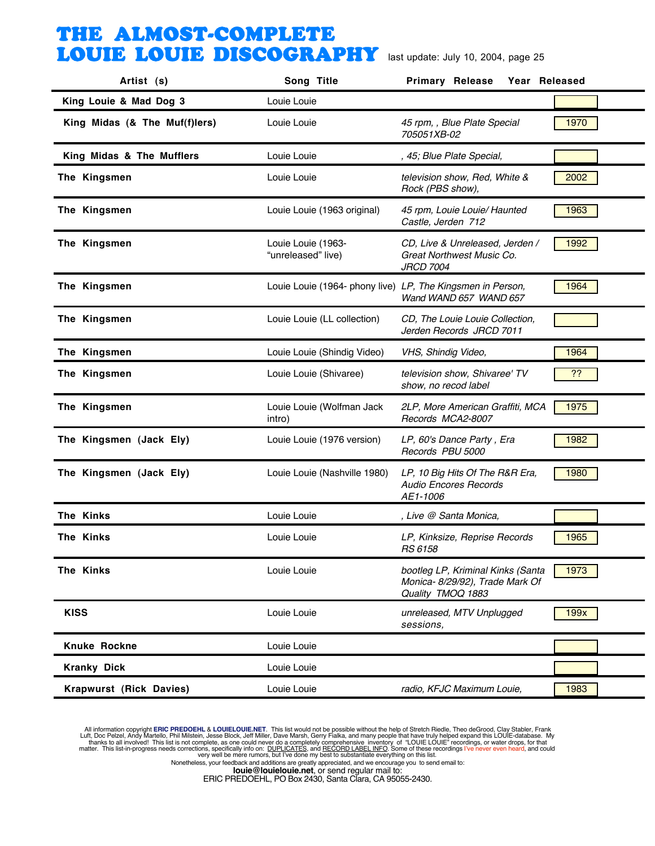| Artist (s)                     | Song Title                                                 | <b>Primary Release</b><br>Year Released                                                   |      |
|--------------------------------|------------------------------------------------------------|-------------------------------------------------------------------------------------------|------|
| King Louie & Mad Dog 3         | Louie Louie                                                |                                                                                           |      |
| King Midas (& The Muf(f)lers)  | Louie Louie                                                | 45 rpm, , Blue Plate Special<br>705051XB-02                                               | 1970 |
| King Midas & The Mufflers      | Louie Louie                                                | , 45; Blue Plate Special,                                                                 |      |
| The Kingsmen                   | Louie Louie                                                | television show, Red, White &<br>Rock (PBS show),                                         | 2002 |
| The Kingsmen                   | Louie Louie (1963 original)                                | 45 rpm, Louie Louie/ Haunted<br>Castle, Jerden 712                                        | 1963 |
| The Kingsmen                   | Louie Louie (1963-<br>"unreleased" live)                   | CD, Live & Unreleased, Jerden /<br>Great Northwest Music Co.<br><b>JRCD 7004</b>          | 1992 |
| The Kingsmen                   | Louie Louie (1964- phony live) LP, The Kingsmen in Person, | Wand WAND 657 WAND 657                                                                    | 1964 |
| The Kingsmen                   | Louie Louie (LL collection)                                | CD, The Louie Louie Collection,<br>Jerden Records JRCD 7011                               |      |
| The Kingsmen                   | Louie Louie (Shindig Video)                                | VHS, Shindig Video,                                                                       | 1964 |
| The Kingsmen                   | Louie Louie (Shivaree)                                     | television show, Shivaree' TV<br>show, no recod label                                     | 22   |
| The Kingsmen                   | Louie Louie (Wolfman Jack<br>intro)                        | 2LP, More American Graffiti, MCA<br>Records MCA2-8007                                     | 1975 |
| The Kingsmen (Jack Ely)        | Louie Louie (1976 version)                                 | LP, 60's Dance Party, Era<br>Records PBU 5000                                             | 1982 |
| The Kingsmen (Jack Ely)        | Louie Louie (Nashville 1980)                               | LP, 10 Big Hits Of The R&R Era,<br><b>Audio Encores Records</b><br>AE1-1006               | 1980 |
| The Kinks                      | Louie Louie                                                | , Live @ Santa Monica,                                                                    |      |
| The Kinks                      | Louie Louie                                                | LP, Kinksize, Reprise Records<br>RS 6158                                                  | 1965 |
| The Kinks                      | Louie Louie                                                | bootleg LP, Kriminal Kinks (Santa<br>Monica- 8/29/92), Trade Mark Of<br>Quality TMOQ 1883 | 1973 |
| <b>KISS</b>                    | Louie Louie                                                | unreleased, MTV Unplugged<br>sessions,                                                    | 199x |
| Knuke Rockne                   | Louie Louie                                                |                                                                                           |      |
| <b>Kranky Dick</b>             | Louie Louie                                                |                                                                                           |      |
| <b>Krapwurst (Rick Davies)</b> | Louie Louie                                                | radio, KFJC Maximum Louie,                                                                | 1983 |

All information copyright **ERIC PREDOEHL & LOUIELOUIE.NET**. This list would not be possible without the help of Stretch Riedle, Theo deGrood, Clay Stabler, Frank Luft, Doc Pelzel, Andy Martello, Phil Mislistin, Jesse Block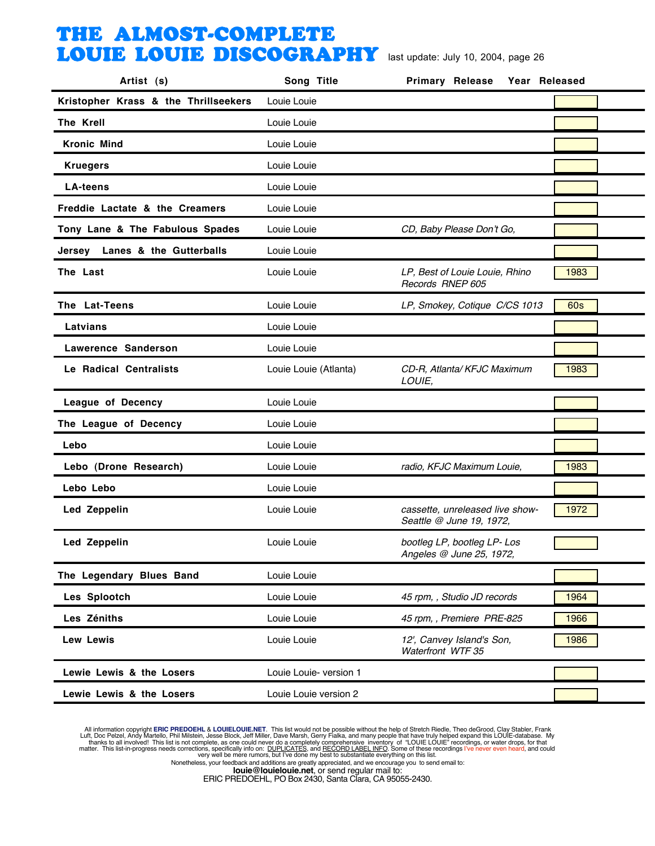| Artist (s)                           | Song Title             | <b>Primary Release</b><br>Year Released                     |            |
|--------------------------------------|------------------------|-------------------------------------------------------------|------------|
| Kristopher Krass & the Thrillseekers | Louie Louie            |                                                             |            |
| The Krell                            | Louie Louie            |                                                             |            |
| <b>Kronic Mind</b>                   | Louie Louie            |                                                             |            |
| <b>Kruegers</b>                      | Louie Louie            |                                                             |            |
| <b>LA-teens</b>                      | Louie Louie            |                                                             |            |
| Freddie Lactate & the Creamers       | Louie Louie            |                                                             |            |
| Tony Lane & The Fabulous Spades      | Louie Louie            | CD, Baby Please Don't Go,                                   |            |
| Jersey Lanes & the Gutterballs       | Louie Louie            |                                                             |            |
| The Last                             | Louie Louie            | LP, Best of Louie Louie, Rhino<br>Records RNEP 605          | 1983       |
| The Lat-Teens                        | Louie Louie            | LP, Smokey, Cotique C/CS 1013                               | <b>60s</b> |
| Latvians                             | Louie Louie            |                                                             |            |
| Lawerence Sanderson                  | Louie Louie            |                                                             |            |
| Le Radical Centralists               | Louie Louie (Atlanta)  | CD-R, Atlanta/ KFJC Maximum<br>LOUIE,                       | 1983       |
| League of Decency                    | Louie Louie            |                                                             |            |
| The League of Decency                | Louie Louie            |                                                             |            |
| Lebo                                 | Louie Louie            |                                                             |            |
| Lebo (Drone Research)                | Louie Louie            | radio, KFJC Maximum Louie,                                  | 1983       |
| Lebo Lebo                            | Louie Louie            |                                                             |            |
| Led Zeppelin                         | Louie Louie            | cassette, unreleased live show-<br>Seattle @ June 19, 1972, | 1972       |
| Led Zeppelin                         | Louie Louie            | bootleg LP, bootleg LP- Los<br>Angeles @ June 25, 1972.     |            |
| The Legendary Blues Band             | Louie Louie            |                                                             |            |
| Les Splootch                         | Louie Louie            | 45 rpm, , Studio JD records                                 | 1964       |
| Les Zéniths                          | Louie Louie            | 45 rpm, , Premiere PRE-825                                  | 1966       |
| Lew Lewis                            | Louie Louie            | 12', Canvey Island's Son,<br>Waterfront WTF 35              | 1986       |
| Lewie Lewis & the Losers             | Louie Louie- version 1 |                                                             |            |
| Lewie Lewis & the Losers             | Louie Louie version 2  |                                                             |            |
|                                      |                        |                                                             |            |

All information copyright **ERIC PREDOEHL & LOUIELOUIE.NET**. This list would not be possible without the help of Stretch Riedle, Theo deGrood, Clay Stabler, Frank Luft, Doc Pelzel, Andy Martello, Phil Mislistin, Jesse Block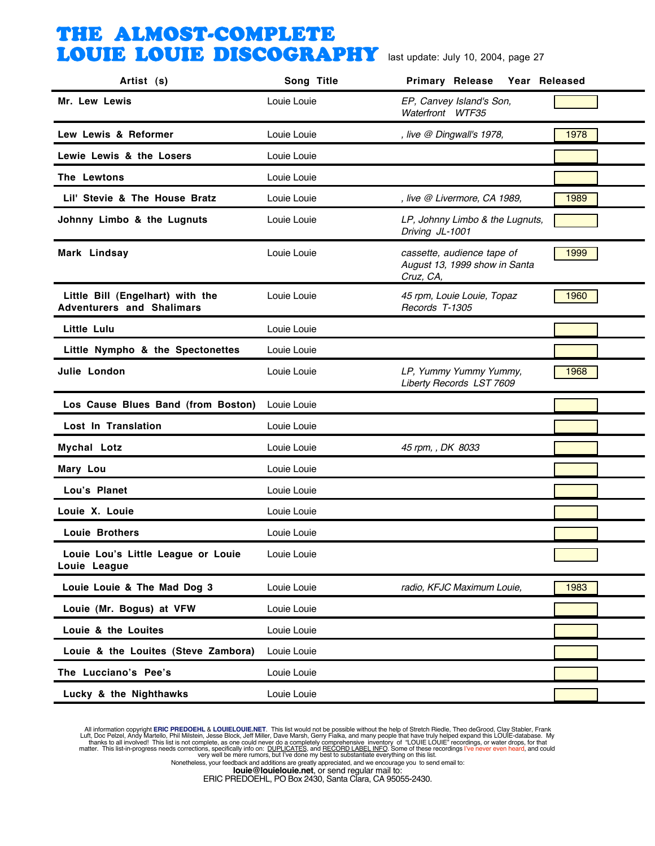| Artist (s)                                                           | Song Title  | <b>Primary Release</b><br>Year Released                                  |      |
|----------------------------------------------------------------------|-------------|--------------------------------------------------------------------------|------|
| Mr. Lew Lewis                                                        | Louie Louie | EP, Canvey Island's Son,<br>Waterfront WTF35                             |      |
| Lew Lewis & Reformer                                                 | Louie Louie | , live @ Dingwall's 1978,                                                | 1978 |
| Lewie Lewis & the Losers                                             | Louie Louie |                                                                          |      |
| The Lewtons                                                          | Louie Louie |                                                                          |      |
| Lil' Stevie & The House Bratz                                        | Louie Louie | , live @ Livermore, CA 1989,                                             | 1989 |
| Johnny Limbo & the Lugnuts                                           | Louie Louie | LP, Johnny Limbo & the Lugnuts,<br>Driving JL-1001                       |      |
| Mark Lindsay                                                         | Louie Louie | cassette, audience tape of<br>August 13, 1999 show in Santa<br>Cruz, CA, | 1999 |
| Little Bill (Engelhart) with the<br><b>Adventurers and Shalimars</b> | Louie Louie | 45 rpm, Louie Louie, Topaz<br>Records T-1305                             | 1960 |
| Little Lulu                                                          | Louie Louie |                                                                          |      |
| Little Nympho & the Spectonettes                                     | Louie Louie |                                                                          |      |
| Julie London                                                         | Louie Louie | LP, Yummy Yummy Yummy,<br>Liberty Records LST 7609                       | 1968 |
| Los Cause Blues Band (from Boston)                                   | Louie Louie |                                                                          |      |
| Lost In Translation                                                  | Louie Louie |                                                                          |      |
| Mychal Lotz                                                          | Louie Louie | 45 rpm, , DK 8033                                                        |      |
| Mary Lou                                                             | Louie Louie |                                                                          |      |
| Lou's Planet                                                         | Louie Louie |                                                                          |      |
| Louie X. Louie                                                       | Louie Louie |                                                                          |      |
| <b>Louie Brothers</b>                                                | Louie Louie |                                                                          |      |
| Louie Lou's Little League or Louie<br>Louie League                   | Louie Louie |                                                                          |      |
| Louie Louie & The Mad Dog 3                                          | Louie Louie | radio, KFJC Maximum Louie,                                               | 1983 |
| Louie (Mr. Bogus) at VFW                                             | Louie Louie |                                                                          |      |
| Louie & the Louites                                                  | Louie Louie |                                                                          |      |
| Louie & the Louites (Steve Zambora)                                  | Louie Louie |                                                                          |      |
| The Lucciano's Pee's                                                 | Louie Louie |                                                                          |      |
| Lucky & the Nighthawks                                               | Louie Louie |                                                                          |      |

All information copyright **ERIC PREDOEHL & LOUIELOUIE.NET**. This list would not be possible without the help of Stretch Riedle, Theo deGrood, Clay Stabler, Frank Luft, Doc Pelzel, Andy Martello, Phil Mislistin, Jesse Block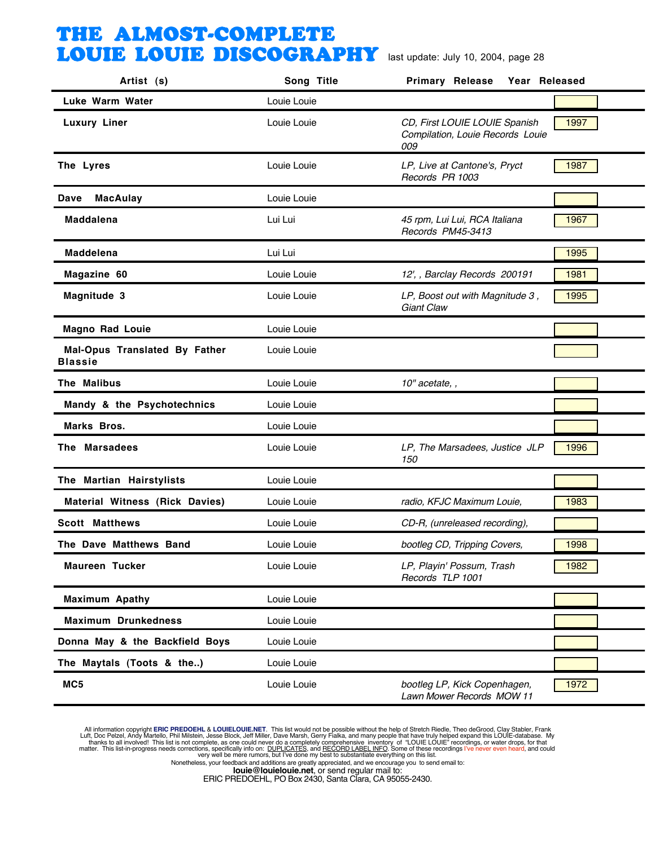| Artist (s)                                      | Song Title  | <b>Primary Release</b><br>Year Released                                  |      |
|-------------------------------------------------|-------------|--------------------------------------------------------------------------|------|
| Luke Warm Water                                 | Louie Louie |                                                                          |      |
| <b>Luxury Liner</b>                             | Louie Louie | CD, First LOUIE LOUIE Spanish<br>Compilation, Louie Records Louie<br>009 | 1997 |
| The Lyres                                       | Louie Louie | LP, Live at Cantone's, Pryct<br>Records PR 1003                          | 1987 |
| <b>MacAulay</b><br>Dave                         | Louie Louie |                                                                          |      |
| <b>Maddalena</b>                                | Lui Lui     | 45 rpm, Lui Lui, RCA Italiana<br>Records PM45-3413                       | 1967 |
| <b>Maddelena</b>                                | Lui Lui     |                                                                          | 1995 |
| Magazine 60                                     | Louie Louie | 12', , Barclay Records 200191                                            | 1981 |
| Magnitude 3                                     | Louie Louie | LP, Boost out with Magnitude 3,<br><b>Giant Claw</b>                     | 1995 |
| <b>Magno Rad Louie</b>                          | Louie Louie |                                                                          |      |
| Mal-Opus Translated By Father<br><b>Blassie</b> | Louie Louie |                                                                          |      |
| The Malibus                                     | Louie Louie | 10" acetate, ,                                                           |      |
| Mandy & the Psychotechnics                      | Louie Louie |                                                                          |      |
| Marks Bros.                                     | Louie Louie |                                                                          |      |
| The Marsadees                                   | Louie Louie | LP, The Marsadees, Justice JLP<br>150                                    | 1996 |
| The Martian Hairstylists                        | Louie Louie |                                                                          |      |
| <b>Material Witness (Rick Davies)</b>           | Louie Louie | radio, KFJC Maximum Louie,                                               | 1983 |
| <b>Scott Matthews</b>                           | Louie Louie | CD-R, (unreleased recording),                                            |      |
| The Dave Matthews Band                          | Louie Louie | bootleg CD, Tripping Covers,                                             | 1998 |
| Maureen Tucker                                  | Louie Louie | LP, Playin' Possum, Trash<br>Records TLP 1001                            | 1982 |
| <b>Maximum Apathy</b>                           | Louie Louie |                                                                          |      |
| <b>Maximum Drunkedness</b>                      | Louie Louie |                                                                          |      |
| Donna May & the Backfield Boys                  | Louie Louie |                                                                          |      |
| The Maytals (Toots & the)                       | Louie Louie |                                                                          |      |
| MC5                                             | Louie Louie | bootleg LP, Kick Copenhagen,<br>Lawn Mower Records MOW 11                | 1972 |

All information copyright **ERIC PREDOEHL & LOUIELOUIE.NET**. This list would not be possible without the help of Stretch Riedle, Theo deGrood, Clay Stabler, Frank Luft, Doc Pelzel, Andy Martello, Phil Mislistin, Jesse Block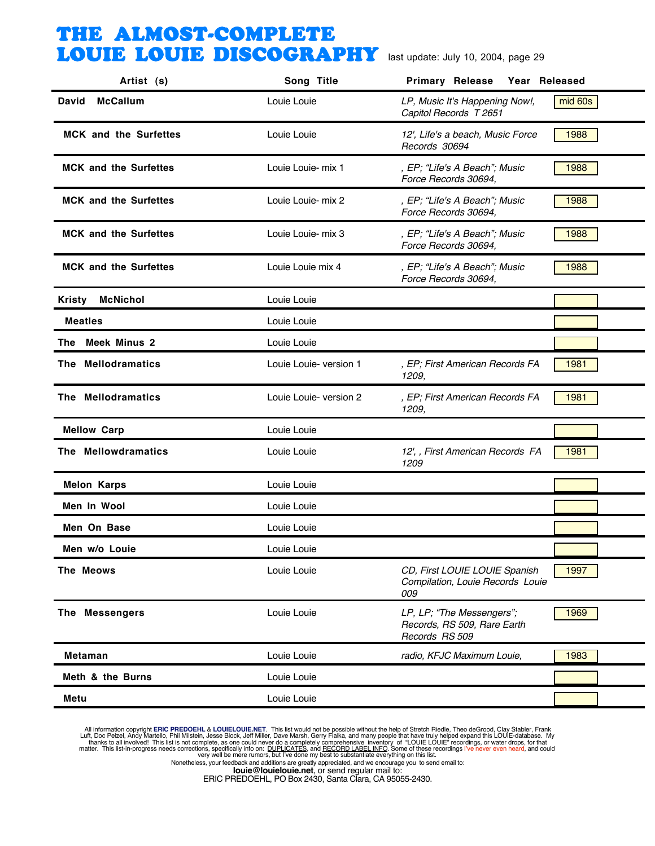| Artist (s)                   | Song Title             | <b>Primary Release</b><br>Year Released                                    |         |
|------------------------------|------------------------|----------------------------------------------------------------------------|---------|
| <b>McCallum</b><br>David     | Louie Louie            | LP, Music It's Happening Now!,<br>Capitol Records T 2651                   | mid 60s |
| <b>MCK</b> and the Surfettes | Louie Louie            | 12', Life's a beach, Music Force<br>Records 30694                          | 1988    |
| <b>MCK and the Surfettes</b> | Louie Louie- mix 1     | , EP; "Life's A Beach"; Music<br>Force Records 30694,                      | 1988    |
| <b>MCK and the Surfettes</b> | Louie Louie- mix 2     | , EP; "Life's A Beach"; Music<br>Force Records 30694,                      | 1988    |
| <b>MCK and the Surfettes</b> | Louie Louie- mix 3     | , EP; "Life's A Beach"; Music<br>Force Records 30694,                      | 1988    |
| <b>MCK and the Surfettes</b> | Louie Louie mix 4      | , EP; "Life's A Beach"; Music<br>Force Records 30694,                      | 1988    |
| <b>McNichol</b><br>Kristy    | Louie Louie            |                                                                            |         |
| <b>Meatles</b>               | Louie Louie            |                                                                            |         |
| <b>Meek Minus 2</b><br>The l | Louie Louie            |                                                                            |         |
| The Mellodramatics           | Louie Louie- version 1 | , EP; First American Records FA<br>1209,                                   | 1981    |
| The Mellodramatics           | Louie Louie- version 2 | , EP; First American Records FA<br>1209,                                   | 1981    |
| <b>Mellow Carp</b>           | Louie Louie            |                                                                            |         |
| The Mellowdramatics          | Louie Louie            | 12', , First American Records FA<br>1209                                   | 1981    |
| <b>Melon Karps</b>           | Louie Louie            |                                                                            |         |
| Men In Wool                  | Louie Louie            |                                                                            |         |
| Men On Base                  | Louie Louie            |                                                                            |         |
| Men w/o Louie                | Louie Louie            |                                                                            |         |
| The Meows                    | Louie Louie            | CD, First LOUIE LOUIE Spanish<br>Compilation, Louie Records Louie<br>009   | 1997    |
| The Messengers               | Louie Louie            | LP, LP; "The Messengers";<br>Records, RS 509, Rare Earth<br>Records RS 509 | 1969    |
| <b>Metaman</b>               | Louie Louie            | radio, KFJC Maximum Louie,                                                 | 1983    |
| Meth & the Burns             | Louie Louie            |                                                                            |         |
| Metu                         | Louie Louie            |                                                                            |         |

All information copyright **ERIC PREDOEHL & LOUIELOUIE.NET**. This list would not be possible without the help of Stretch Riedle, Theo deGrood, Clay Stabler, Frank Luft, Doc Pelzel, Andy Martello, Phil Mislistin, Jesse Block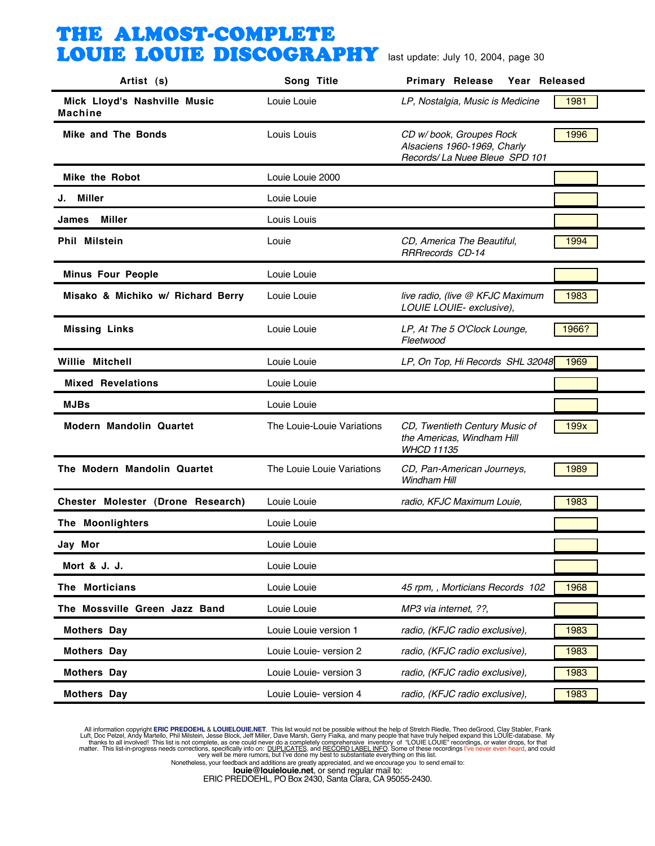| Artist (s)                                     | Song Title                 | Primary Release Year Released                                                            |       |
|------------------------------------------------|----------------------------|------------------------------------------------------------------------------------------|-------|
| Mick Lloyd's Nashville Music<br><b>Machine</b> | Louie Louie                | LP, Nostalgia, Music is Medicine                                                         | 1981  |
| Mike and The Bonds                             | Louis Louis                | CD w/book, Groupes Rock<br>Alsaciens 1960-1969, Charly<br>Records/ La Nuee Bleue SPD 101 | 1996  |
| <b>Mike the Robot</b>                          | Louie Louie 2000           |                                                                                          |       |
| J. Miller                                      | Louie Louie                |                                                                                          |       |
| James Miller                                   | Louis Louis                |                                                                                          |       |
| <b>Phil Milstein</b>                           | Louie                      | CD, America The Beautiful,<br><b>RRRrecords CD-14</b>                                    | 1994  |
| <b>Minus Four People</b>                       | Louie Louie                |                                                                                          |       |
| Misako & Michiko w/ Richard Berry              | Louie Louie                | live radio, (live @ KFJC Maximum<br>LOUIE LOUIE- exclusive),                             | 1983  |
| <b>Missing Links</b>                           | Louie Louie                | LP, At The 5 O'Clock Lounge,<br>Fleetwood                                                | 1966? |
| <b>Willie Mitchell</b>                         | Louie Louie                | LP, On Top, Hi Records SHL 32048                                                         | 1969  |
| <b>Mixed Revelations</b>                       | Louie Louie                |                                                                                          |       |
| <b>MJBs</b>                                    | Louie Louie                |                                                                                          |       |
| <b>Modern Mandolin Quartet</b>                 | The Louie-Louie Variations | CD, Twentieth Century Music of<br>the Americas, Windham Hill<br><b>WHCD 11135</b>        | 199x  |
| The Modern Mandolin Quartet                    | The Louie Louie Variations | CD, Pan-American Journeys,<br><b>Windham Hill</b>                                        | 1989  |
| Chester Molester (Drone Research)              | Louie Louie                | radio, KFJC Maximum Louie,                                                               | 1983  |
| The Moonlighters                               | Louie Louie                |                                                                                          |       |
| Jay Mor                                        | Louie Louie                |                                                                                          |       |
| Mort & J. J.                                   | Louie Louie                |                                                                                          |       |
| The Morticians                                 | Louie Louie                | 45 rpm, , Morticians Records 102                                                         | 1968  |
| The Mossville Green Jazz Band                  | Louie Louie                | MP3 via internet, ??,                                                                    |       |
| <b>Mothers Day</b>                             | Louie Louie version 1      | radio, (KFJC radio exclusive),                                                           | 1983  |
| <b>Mothers Day</b>                             | Louie Louie- version 2     | radio, (KFJC radio exclusive),                                                           | 1983  |
| <b>Mothers Day</b>                             | Louie Louie- version 3     | radio, (KFJC radio exclusive),                                                           | 1983  |
| <b>Mothers Day</b>                             | Louie Louie- version 4     | radio, (KFJC radio exclusive),                                                           | 1983  |

All information copyright **ERIC PREDOEHL & LOUIELOUIE.NET**. This list would not be possible without the help of Stretch Riedle, Theo deGrood, Clay Stabler, Frank Luft, Doc Pelzel, Andy Martello, Phil Mislistin, Jesse Block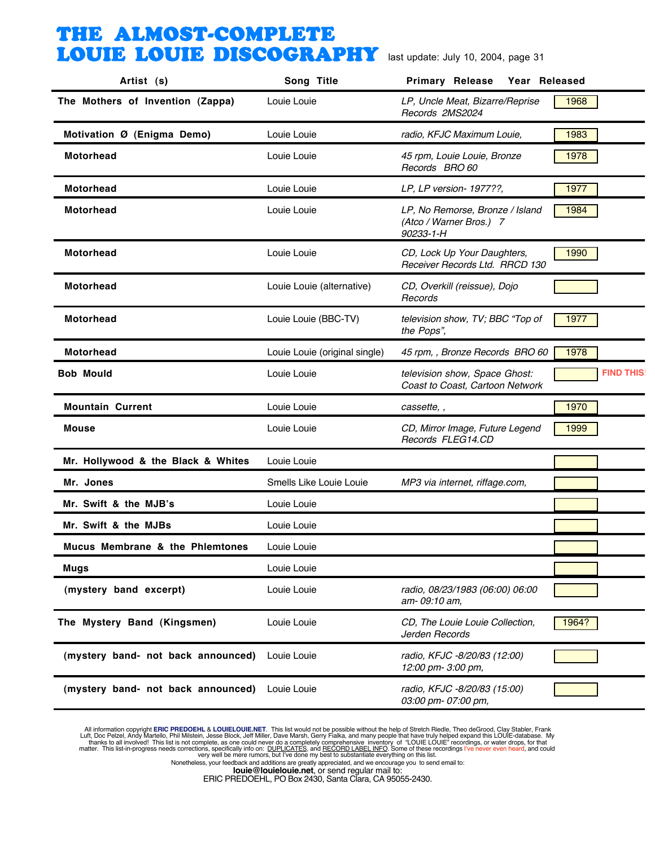| Artist (s)                         | Song Title                    | Primary Release<br>Year Released                                        |                  |
|------------------------------------|-------------------------------|-------------------------------------------------------------------------|------------------|
| The Mothers of Invention (Zappa)   | Louie Louie                   | LP, Uncle Meat, Bizarre/Reprise<br>Records 2MS2024                      | 1968             |
| Motivation Ø (Enigma Demo)         | Louie Louie                   | radio, KFJC Maximum Louie,                                              | 1983             |
| Motorhead                          | Louie Louie                   | 45 rpm, Louie Louie, Bronze<br>Records BRO 60                           | 1978             |
| <b>Motorhead</b>                   | Louie Louie                   | LP, LP version- 1977??,                                                 | 1977             |
| <b>Motorhead</b>                   | Louie Louie                   | LP, No Remorse, Bronze / Island<br>(Atco / Warner Bros.) 7<br>90233-1-H | 1984             |
| <b>Motorhead</b>                   | Louie Louie                   | CD, Lock Up Your Daughters,<br>Receiver Records Ltd. RRCD 130           | 1990             |
| Motorhead                          | Louie Louie (alternative)     | CD, Overkill (reissue), Dojo<br>Records                                 |                  |
| <b>Motorhead</b>                   | Louie Louie (BBC-TV)          | television show, TV; BBC "Top of<br>the Pops",                          | 1977             |
| <b>Motorhead</b>                   | Louie Louie (original single) | 45 rpm, , Bronze Records BRO 60                                         | 1978             |
| <b>Bob Mould</b>                   | Louie Louie                   | television show, Space Ghost:<br>Coast to Coast, Cartoon Network        | <b>FIND THIS</b> |
| <b>Mountain Current</b>            | Louie Louie                   | cassette, ,                                                             | 1970             |
| <b>Mouse</b>                       | Louie Louie                   | CD, Mirror Image, Future Legend<br>Records FLEG14.CD                    | 1999             |
| Mr. Hollywood & the Black & Whites | Louie Louie                   |                                                                         |                  |
| Mr. Jones                          | Smells Like Louie Louie       | MP3 via internet, riffage.com,                                          |                  |
| Mr. Swift & the MJB's              | Louie Louie                   |                                                                         |                  |
| Mr. Swift & the MJBs               | Louie Louie                   |                                                                         |                  |
| Mucus Membrane & the Phlemtones    | Louie Louie                   |                                                                         |                  |
| Mugs                               | Louie Louie                   |                                                                         |                  |
| (mystery band excerpt)             | Louie Louie                   | radio, 08/23/1983 (06:00) 06:00<br>am-09:10 am,                         |                  |
| The Mystery Band (Kingsmen)        | Louie Louie                   | CD, The Louie Louie Collection,<br>Jerden Records                       | 1964?            |
| (mystery band- not back announced) | Louie Louie                   | radio, KFJC -8/20/83 (12:00)<br>12:00 pm- 3:00 pm,                      |                  |
| (mystery band- not back announced) | Louie Louie                   | radio, KFJC -8/20/83 (15:00)<br>03:00 pm- 07:00 pm,                     |                  |

All information copyright **ERIC PREDOEHL & LOUIELOUIE.NET**. This list would not be possible without the help of Stretch Riedle, Theo deGrood, Clay Stabler, Frank Luft, Doc Pelzel, Andy Martello, Phil Mislistin, Jesse Block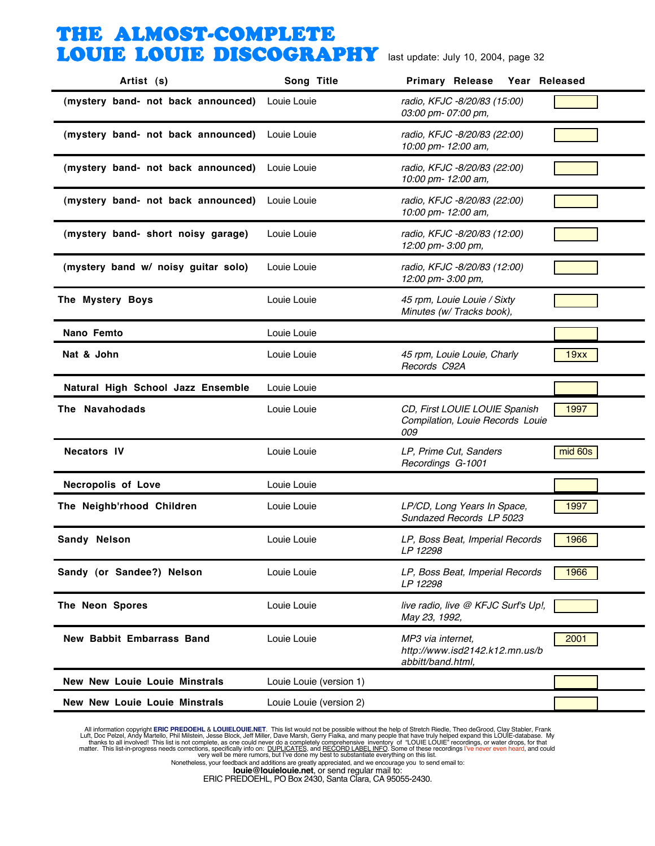| Artist (s)                           | Song Title              | <b>Primary Release</b><br>Year Released                                  |         |
|--------------------------------------|-------------------------|--------------------------------------------------------------------------|---------|
| (mystery band- not back announced)   | Louie Louie             | radio, KFJC -8/20/83 (15:00)<br>03:00 pm- 07:00 pm,                      |         |
| (mystery band- not back announced)   | Louie Louie             | radio, KFJC -8/20/83 (22:00)<br>10:00 pm- 12:00 am,                      |         |
| (mystery band- not back announced)   | Louie Louie             | radio, KFJC -8/20/83 (22:00)<br>10:00 pm- 12:00 am,                      |         |
| (mystery band- not back announced)   | Louie Louie             | radio, KFJC -8/20/83 (22:00)<br>10:00 pm- 12:00 am,                      |         |
| (mystery band- short noisy garage)   | Louie Louie             | radio, KFJC -8/20/83 (12:00)<br>12:00 pm- 3:00 pm,                       |         |
| (mystery band w/ noisy guitar solo)  | Louie Louie             | radio, KFJC -8/20/83 (12:00)<br>12:00 pm- 3:00 pm,                       |         |
| The Mystery Boys                     | Louie Louie             | 45 rpm, Louie Louie / Sixty<br>Minutes (w/ Tracks book),                 |         |
| Nano Femto                           | Louie Louie             |                                                                          |         |
| Nat & John                           | Louie Louie             | 45 rpm, Louie Louie, Charly<br>Records C92A                              | 19xx    |
| Natural High School Jazz Ensemble    | Louie Louie             |                                                                          |         |
| The Navahodads                       | Louie Louie             | CD, First LOUIE LOUIE Spanish<br>Compilation, Louie Records Louie<br>009 | 1997    |
| <b>Necators IV</b>                   | Louie Louie             | LP, Prime Cut, Sanders<br>Recordings G-1001                              | mid 60s |
| <b>Necropolis of Love</b>            | Louie Louie             |                                                                          |         |
| The Neighb'rhood Children            | Louie Louie             | LP/CD, Long Years In Space,<br>Sundazed Records LP 5023                  | 1997    |
| Sandy Nelson                         | Louie Louie             | LP, Boss Beat, Imperial Records<br>LP 12298                              | 1966    |
| Sandy (or Sandee?) Nelson            | Louie Louie             | LP, Boss Beat, Imperial Records<br>LP 12298                              | 1966    |
| The Neon Spores                      | Louie Louie             | live radio, live @ KFJC Surf's Up!,<br>May 23, 1992,                     |         |
| <b>New Babbit Embarrass Band</b>     | Louie Louie             | MP3 via internet,<br>http://www.isd2142.k12.mn.us/b<br>abbitt/band.html, | 2001    |
| <b>New New Louie Louie Minstrals</b> | Louie Louie (version 1) |                                                                          |         |
| <b>New New Louie Louie Minstrals</b> | Louie Louie (version 2) |                                                                          |         |

All information copyright **ERIC PREDOEHL & LOUIELOUIE.NET**. This list would not be possible without the help of Stretch Riedle, Theo deGrood, Clay Stabler, Frank Luft, Doc Pelzel, Andy Martello, Phil Mislistin, Jesse Block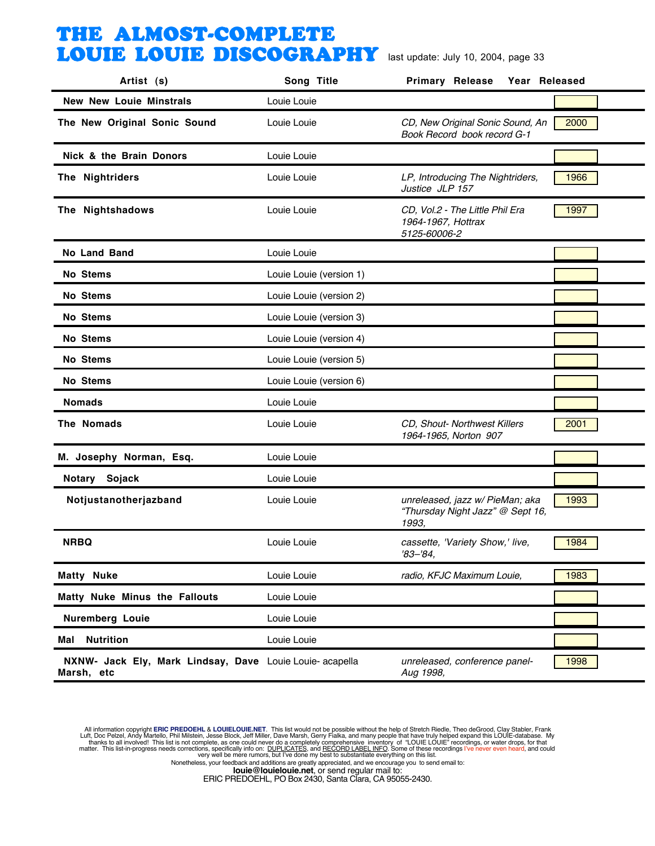| Artist (s)                                                             | Song Title              | <b>Primary Release</b><br>Year Released                                      |      |
|------------------------------------------------------------------------|-------------------------|------------------------------------------------------------------------------|------|
| <b>New New Louie Minstrals</b>                                         | Louie Louie             |                                                                              |      |
| The New Original Sonic Sound                                           | Louie Louie             | CD, New Original Sonic Sound, An<br>Book Record book record G-1              | 2000 |
| Nick & the Brain Donors                                                | Louie Louie             |                                                                              |      |
| The Nightriders                                                        | Louie Louie             | LP, Introducing The Nightriders,<br>Justice JLP 157                          | 1966 |
| The Nightshadows                                                       | Louie Louie             | CD, Vol.2 - The Little Phil Era<br>1964-1967, Hottrax<br>5125-60006-2        | 1997 |
| <b>No Land Band</b>                                                    | Louie Louie             |                                                                              |      |
| No Stems                                                               | Louie Louie (version 1) |                                                                              |      |
| No Stems                                                               | Louie Louie (version 2) |                                                                              |      |
| <b>No Stems</b>                                                        | Louie Louie (version 3) |                                                                              |      |
| No Stems                                                               | Louie Louie (version 4) |                                                                              |      |
| No Stems                                                               | Louie Louie (version 5) |                                                                              |      |
| No Stems                                                               | Louie Louie (version 6) |                                                                              |      |
| <b>Nomads</b>                                                          | Louie Louie             |                                                                              |      |
| The Nomads                                                             | Louie Louie             | CD, Shout- Northwest Killers<br>1964-1965, Norton 907                        | 2001 |
| M. Josephy Norman, Esq.                                                | Louie Louie             |                                                                              |      |
| Sojack<br>Notary                                                       | Louie Louie             |                                                                              |      |
| Notjustanotherjazband                                                  | Louie Louie             | unreleased, jazz w/ PieMan; aka<br>"Thursday Night Jazz" @ Sept 16,<br>1993, | 1993 |
| <b>NRBQ</b>                                                            | Louie Louie             | cassette, 'Variety Show,' live,<br>$'83 - '84,$                              | 1984 |
| <b>Matty Nuke</b>                                                      | Louie Louie             | radio, KFJC Maximum Louie,                                                   | 1983 |
| Matty Nuke Minus the Fallouts                                          | Louie Louie             |                                                                              |      |
| <b>Nuremberg Louie</b>                                                 | Louie Louie             |                                                                              |      |
| <b>Nutrition</b><br>Mal                                                | Louie Louie             |                                                                              |      |
| NXNW- Jack Ely, Mark Lindsay, Dave Louie Louie- acapella<br>Marsh, etc |                         | unreleased, conference panel-<br>Aug 1998,                                   | 1998 |

All information copyright **ERIC PREDOEHL & LOUIELOUIE.NET**. This list would not be possible without the help of Stretch Riedle, Theo deGrood, Clay Stabler, Frank Luft, Doc Pelzel, Andy Martello, Phil Mislistin, Jesse Block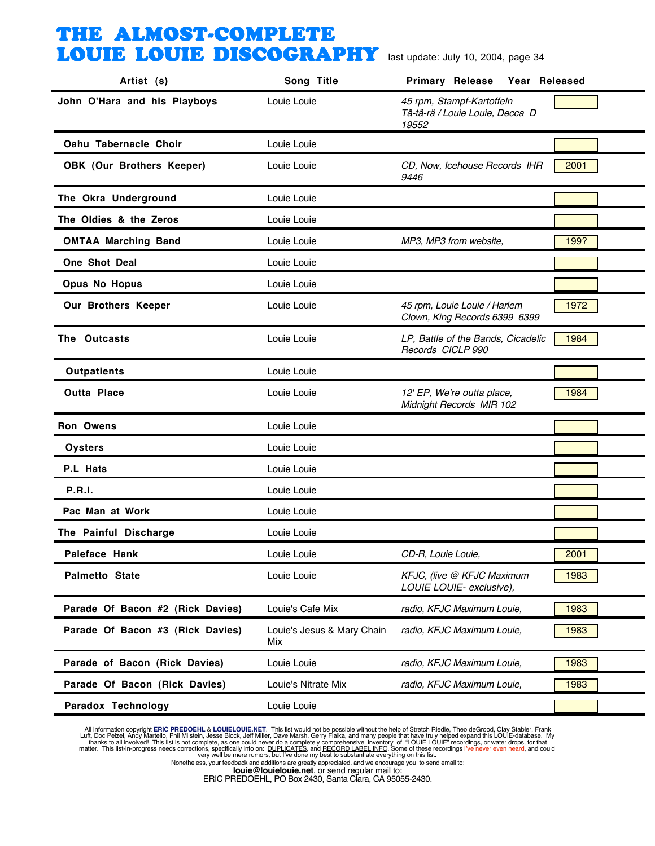| Artist (s)                       | Song Title                        | Year Released<br><b>Primary Release</b>                               |      |
|----------------------------------|-----------------------------------|-----------------------------------------------------------------------|------|
| John O'Hara and his Playboys     | Louie Louie                       | 45 rpm, Stampf-Kartoffeln<br>Tä-tä-rä / Louie Louie, Decca D<br>19552 |      |
| Oahu Tabernacle Choir            | Louie Louie                       |                                                                       |      |
| OBK (Our Brothers Keeper)        | Louie Louie                       | CD, Now, Icehouse Records IHR<br>9446                                 | 2001 |
| The Okra Underground             | Louie Louie                       |                                                                       |      |
| The Oldies & the Zeros           | Louie Louie                       |                                                                       |      |
| <b>OMTAA Marching Band</b>       | Louie Louie                       | MP3, MP3 from website,                                                | 199? |
| <b>One Shot Deal</b>             | Louie Louie                       |                                                                       |      |
| <b>Opus No Hopus</b>             | Louie Louie                       |                                                                       |      |
| Our Brothers Keeper              | Louie Louie                       | 45 rpm, Louie Louie / Harlem<br>Clown, King Records 6399 6399         | 1972 |
| The Outcasts                     | Louie Louie                       | LP, Battle of the Bands, Cicadelic<br>Records CICLP 990               | 1984 |
| <b>Outpatients</b>               | Louie Louie                       |                                                                       |      |
| <b>Outta Place</b>               | Louie Louie                       | 12' EP, We're outta place,<br>Midnight Records MIR 102                | 1984 |
| Ron Owens                        | Louie Louie                       |                                                                       |      |
| Oysters                          | Louie Louie                       |                                                                       |      |
| P.L Hats                         | Louie Louie                       |                                                                       |      |
| <b>P.R.I.</b>                    | Louie Louie                       |                                                                       |      |
| Pac Man at Work                  | Louie Louie                       |                                                                       |      |
| The Painful Discharge            | Louie Louie                       |                                                                       |      |
| Paleface Hank                    | Louie Louie                       | CD-R, Louie Louie,                                                    | 2001 |
| <b>Palmetto State</b>            | Louie Louie                       | KFJC, (live @ KFJC Maximum<br>LOUIE LOUIE- exclusive),                | 1983 |
| Parade Of Bacon #2 (Rick Davies) | Louie's Cafe Mix                  | radio, KFJC Maximum Louie,                                            | 1983 |
| Parade Of Bacon #3 (Rick Davies) | Louie's Jesus & Mary Chain<br>Mix | radio, KFJC Maximum Louie,                                            | 1983 |
| Parade of Bacon (Rick Davies)    | Louie Louie                       | radio, KFJC Maximum Louie,                                            | 1983 |
| Parade Of Bacon (Rick Davies)    | Louie's Nitrate Mix               | radio, KFJC Maximum Louie,                                            | 1983 |
| Paradox Technology               | Louie Louie                       |                                                                       |      |

All information copyright **ERIC PREDOEHL & LOUIELOUIE.NET**. This list would not be possible without the help of Stretch Riedle, Theo deGrood, Clay Stabler, Frank Luft, Doc Pelzel, Andy Martello, Phil Mislistin, Jesse Block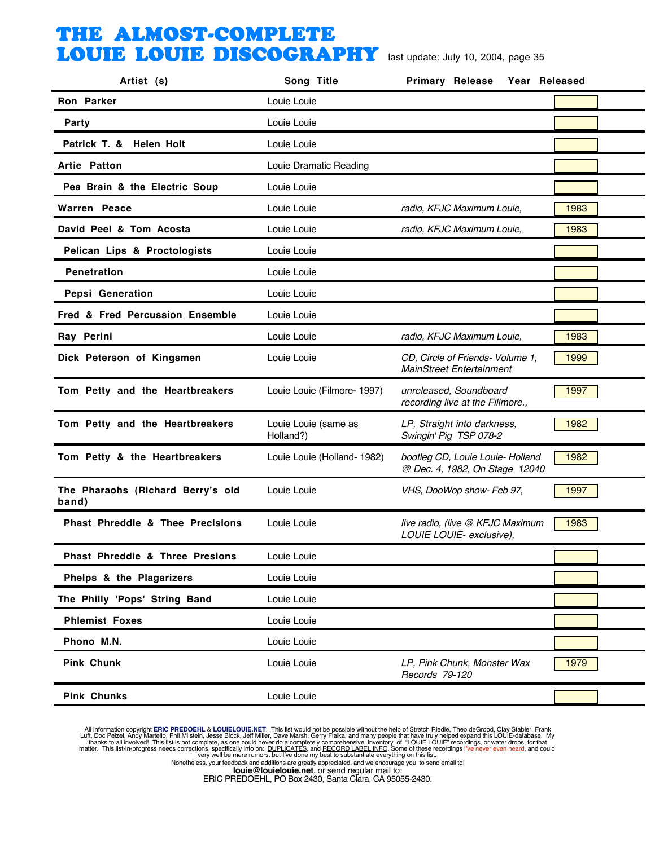| Artist (s)                                 | Song Title                        | Year Released<br><b>Primary Release</b>                             |      |
|--------------------------------------------|-----------------------------------|---------------------------------------------------------------------|------|
| <b>Ron Parker</b>                          | Louie Louie                       |                                                                     |      |
| Party                                      | Louie Louie                       |                                                                     |      |
| Patrick T. & Helen Holt                    | Louie Louie                       |                                                                     |      |
| Artie Patton                               | Louie Dramatic Reading            |                                                                     |      |
| Pea Brain & the Electric Soup              | Louie Louie                       |                                                                     |      |
| Warren Peace                               | Louie Louie                       | radio, KFJC Maximum Louie,                                          | 1983 |
| David Peel & Tom Acosta                    | Louie Louie                       | radio, KFJC Maximum Louie,                                          | 1983 |
| Pelican Lips & Proctologists               | Louie Louie                       |                                                                     |      |
| <b>Penetration</b>                         | Louie Louie                       |                                                                     |      |
| <b>Pepsi Generation</b>                    | Louie Louie                       |                                                                     |      |
| Fred & Fred Percussion Ensemble            | Louie Louie                       |                                                                     |      |
| Ray Perini                                 | Louie Louie                       | radio, KFJC Maximum Louie,                                          | 1983 |
| Dick Peterson of Kingsmen                  | Louie Louie                       | CD, Circle of Friends- Volume 1,<br><b>MainStreet Entertainment</b> | 1999 |
| Tom Petty and the Heartbreakers            | Louie Louie (Filmore- 1997)       | unreleased, Soundboard<br>recording live at the Fillmore.,          | 1997 |
| Tom Petty and the Heartbreakers            | Louie Louie (same as<br>Holland?) | LP, Straight into darkness,<br>Swingin' Pig TSP 078-2               | 1982 |
| Tom Petty & the Heartbreakers              | Louie Louie (Holland- 1982)       | bootleg CD, Louie Louie- Holland<br>@ Dec. 4, 1982, On Stage 12040  | 1982 |
| The Pharaohs (Richard Berry's old<br>band) | Louie Louie                       | VHS, DooWop show- Feb 97,                                           | 1997 |
| Phast Phreddie & Thee Precisions           | Louie Louie                       | live radio, (live @ KFJC Maximum<br>LOUIE LOUIE- exclusive),        | 1983 |
| Phast Phreddie & Three Presions            | Louie Louie                       |                                                                     |      |
| Phelps & the Plagarizers                   | Louie Louie                       |                                                                     |      |
| The Philly 'Pops' String Band              | Louie Louie                       |                                                                     |      |
| <b>Phlemist Foxes</b>                      | Louie Louie                       |                                                                     |      |
| Phono M.N.                                 | Louie Louie                       |                                                                     |      |
| <b>Pink Chunk</b>                          | Louie Louie                       | LP, Pink Chunk, Monster Wax<br>Records 79-120                       | 1979 |
| <b>Pink Chunks</b>                         | Louie Louie                       |                                                                     |      |

All information copyright **ERIC PREDOEHL & LOUIELOUIE.NET**. This list would not be possible without the help of Stretch Riedle, Theo deGrood, Clay Stabler, Frank Luft, Doc Pelzel, Andy Martello, Phil Mislistin, Jesse Block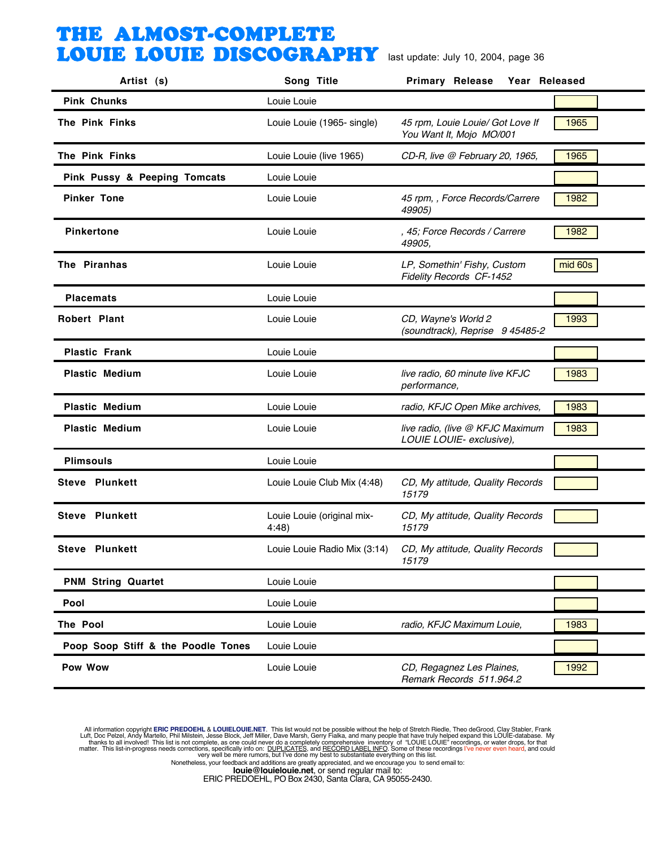| Artist (s)                         | Song Title                         | <b>Primary Release</b><br>Year Released                      |         |
|------------------------------------|------------------------------------|--------------------------------------------------------------|---------|
| <b>Pink Chunks</b>                 | Louie Louie                        |                                                              |         |
| The Pink Finks                     | Louie Louie (1965- single)         | 45 rpm, Louie Louie/ Got Love If<br>You Want It, Mojo MO/001 | 1965    |
| The Pink Finks                     | Louie Louie (live 1965)            | CD-R, live @ February 20, 1965,                              | 1965    |
| Pink Pussy & Peeping Tomcats       | Louie Louie                        |                                                              |         |
| <b>Pinker Tone</b>                 | Louie Louie                        | 45 rpm, , Force Records/Carrere<br>49905)                    | 1982    |
| <b>Pinkertone</b>                  | Louie Louie                        | , 45; Force Records / Carrere<br>49905.                      | 1982    |
| The Piranhas                       | Louie Louie                        | LP, Somethin' Fishy, Custom<br>Fidelity Records CF-1452      | mid 60s |
| <b>Placemats</b>                   | Louie Louie                        |                                                              |         |
| <b>Robert Plant</b>                | Louie Louie                        | CD, Wayne's World 2<br>(soundtrack), Reprise 9 45485-2       | 1993    |
| <b>Plastic Frank</b>               | Louie Louie                        |                                                              |         |
| <b>Plastic Medium</b>              | Louie Louie                        | live radio, 60 minute live KFJC<br>performance,              | 1983    |
| <b>Plastic Medium</b>              | Louie Louie                        | radio, KFJC Open Mike archives,                              | 1983    |
| <b>Plastic Medium</b>              | Louie Louie                        | live radio, (live @ KFJC Maximum<br>LOUIE LOUIE- exclusive), | 1983    |
| <b>Plimsouls</b>                   | Louie Louie                        |                                                              |         |
| <b>Steve Plunkett</b>              | Louie Louie Club Mix (4:48)        | CD, My attitude, Quality Records<br>15179                    |         |
| <b>Steve Plunkett</b>              | Louie Louie (original mix-<br>4:48 | CD, My attitude, Quality Records<br>15179                    |         |
| Steve Plunkett                     | Louie Louie Radio Mix (3:14)       | CD, My attitude, Quality Records<br>15179                    |         |
| <b>PNM String Quartet</b>          | Louie Louie                        |                                                              |         |
| Pool                               | Louie Louie                        |                                                              |         |
| The Pool                           | Louie Louie                        | radio, KFJC Maximum Louie,                                   | 1983    |
| Poop Soop Stiff & the Poodle Tones | Louie Louie                        |                                                              |         |
| Pow Wow                            | Louie Louie                        | CD, Regagnez Les Plaines,<br>Remark Records 511.964.2        | 1992    |

All information copyright **ERIC PREDOEHL & LOUIELOUIE.NET**. This list would not be possible without the help of Stretch Riedle, Theo deGrood, Clay Stabler, Frank Luft, Doc Pelzel, Andy Martello, Phil Mislistin, Jesse Block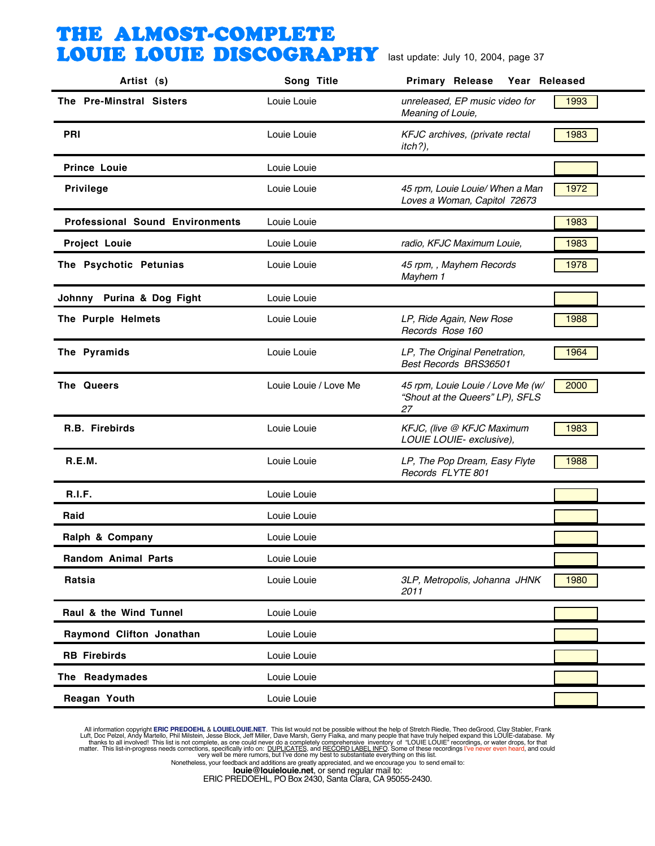| Artist (s)                             | Song Title            | <b>Primary Release</b><br>Year Released                                    |      |
|----------------------------------------|-----------------------|----------------------------------------------------------------------------|------|
| The Pre-Minstral Sisters               | Louie Louie           | unreleased, EP music video for<br>Meaning of Louie,                        | 1993 |
| <b>PRI</b>                             | Louie Louie           | KFJC archives, (private rectal<br>$itch?)$ ,                               | 1983 |
| <b>Prince Louie</b>                    | Louie Louie           |                                                                            |      |
| <b>Privilege</b>                       | Louie Louie           | 45 rpm, Louie Louie/ When a Man<br>Loves a Woman, Capitol 72673            | 1972 |
| <b>Professional Sound Environments</b> | Louie Louie           |                                                                            | 1983 |
| <b>Project Louie</b>                   | Louie Louie           | radio, KFJC Maximum Louie,                                                 | 1983 |
| The Psychotic Petunias                 | Louie Louie           | 45 rpm, , Mayhem Records<br>Mayhem 1                                       | 1978 |
| Johnny Purina & Dog Fight              | Louie Louie           |                                                                            |      |
| The Purple Helmets                     | Louie Louie           | LP, Ride Again, New Rose<br>Records Rose 160                               | 1988 |
| The Pyramids                           | Louie Louie           | LP, The Original Penetration,<br>Best Records BRS36501                     | 1964 |
| The Queers                             | Louie Louie / Love Me | 45 rpm, Louie Louie / Love Me (w/<br>"Shout at the Queers" LP), SFLS<br>27 | 2000 |
| R.B. Firebirds                         | Louie Louie           | KFJC, (live @ KFJC Maximum<br>LOUIE LOUIE- exclusive),                     | 1983 |
| R.E.M.                                 | Louie Louie           | LP, The Pop Dream, Easy Flyte<br>Records FLYTE 801                         | 1988 |
| R.I.F.                                 | Louie Louie           |                                                                            |      |
| Raid                                   | Louie Louie           |                                                                            |      |
| Ralph & Company                        | Louie Louie           |                                                                            |      |
| <b>Random Animal Parts</b>             | Louie Louie           |                                                                            |      |
| Ratsia                                 | Louie Louie           | 3LP, Metropolis, Johanna JHNK<br>2011                                      | 1980 |
| Raul & the Wind Tunnel                 | Louie Louie           |                                                                            |      |
| Raymond Clifton Jonathan               | Louie Louie           |                                                                            |      |
| <b>RB</b> Firebirds                    | Louie Louie           |                                                                            |      |
| The Readymades                         | Louie Louie           |                                                                            |      |
| Reagan Youth                           | Louie Louie           |                                                                            |      |

All information copyright **ERIC PREDOEHL & LOUIELOUIE.NET**. This list would not be possible without the help of Stretch Riedle, Theo deGrood, Clay Stabler, Frank Luft, Doc Pelzel, Andy Martello, Phil Mislistin, Jesse Block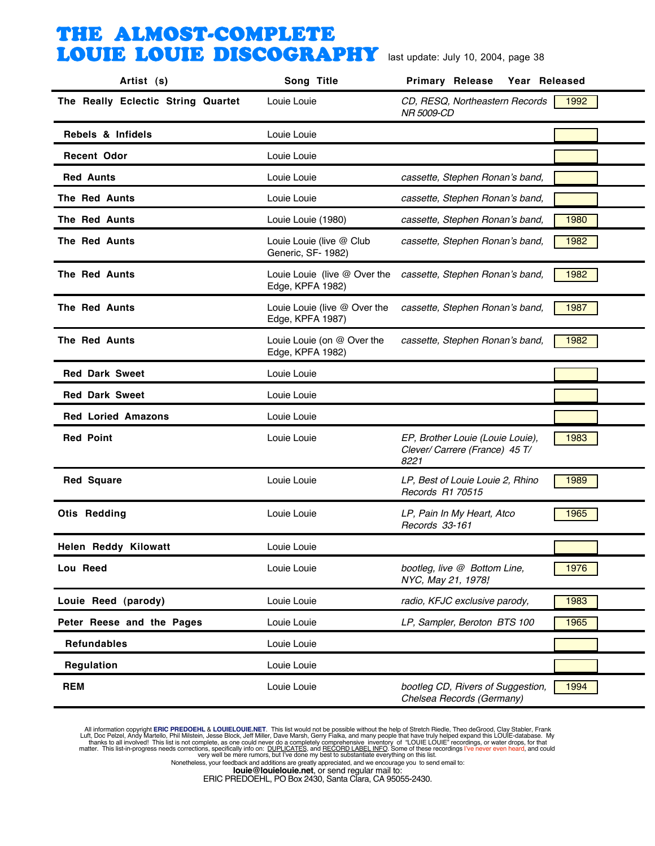| Artist (s)                         | Song Title                                       | <b>Primary Release</b><br>Year Released                                    |      |
|------------------------------------|--------------------------------------------------|----------------------------------------------------------------------------|------|
| The Really Eclectic String Quartet | Louie Louie                                      | CD, RESQ, Northeastern Records<br>NR 5009-CD                               | 1992 |
| Rebels & Infidels                  | Louie Louie                                      |                                                                            |      |
| <b>Recent Odor</b>                 | Louie Louie                                      |                                                                            |      |
| <b>Red Aunts</b>                   | Louie Louie                                      | cassette, Stephen Ronan's band,                                            |      |
| The Red Aunts                      | Louie Louie                                      | cassette, Stephen Ronan's band,                                            |      |
| The Red Aunts                      | Louie Louie (1980)                               | cassette, Stephen Ronan's band,                                            | 1980 |
| The Red Aunts                      | Louie Louie (live @ Club<br>Generic, SF- 1982)   | cassette, Stephen Ronan's band,                                            | 1982 |
| <b>The Red Aunts</b>               | Louie Louie (live @ Over the<br>Edge, KPFA 1982) | cassette, Stephen Ronan's band,                                            | 1982 |
| The Red Aunts                      | Louie Louie (live @ Over the<br>Edge, KPFA 1987) | cassette, Stephen Ronan's band,                                            | 1987 |
| The Red Aunts                      | Louie Louie (on @ Over the<br>Edge, KPFA 1982)   | cassette, Stephen Ronan's band,                                            | 1982 |
| <b>Red Dark Sweet</b>              | Louie Louie                                      |                                                                            |      |
| <b>Red Dark Sweet</b>              | Louie Louie                                      |                                                                            |      |
| <b>Red Loried Amazons</b>          | Louie Louie                                      |                                                                            |      |
| <b>Red Point</b>                   | Louie Louie                                      | EP, Brother Louie (Louie Louie),<br>Clever/ Carrere (France) 45 T/<br>8221 | 1983 |
| <b>Red Square</b>                  | Louie Louie                                      | LP, Best of Louie Louie 2, Rhino<br>Records R1 70515                       | 1989 |
| <b>Otis Redding</b>                | Louie Louie                                      | LP, Pain In My Heart, Atco<br>Records 33-161                               | 1965 |
| Helen Reddy Kilowatt               | Louie Louie                                      |                                                                            |      |
| Lou Reed                           | Louie Louie                                      | bootleg, live @ Bottom Line,<br>NYC, May 21, 1978,                         | 1976 |
| Louie Reed (parody)                | Louie Louie                                      | radio, KFJC exclusive parody,                                              | 1983 |
| Peter Reese and the Pages          | Louie Louie                                      | LP, Sampler, Beroton BTS 100                                               | 1965 |
| <b>Refundables</b>                 | Louie Louie                                      |                                                                            |      |
| Regulation                         | Louie Louie                                      |                                                                            |      |
| <b>REM</b>                         | Louie Louie                                      | bootleg CD, Rivers of Suggestion,<br>Chelsea Records (Germany)             | 1994 |

All information copyright **ERIC PREDOEHL & LOUIELOUIE.NET**. This list would not be possible without the help of Stretch Riedle, Theo deGrood, Clay Stabler, Frank Luft, Doc Pelzel, Andy Martello, Phil Mislistin, Jesse Block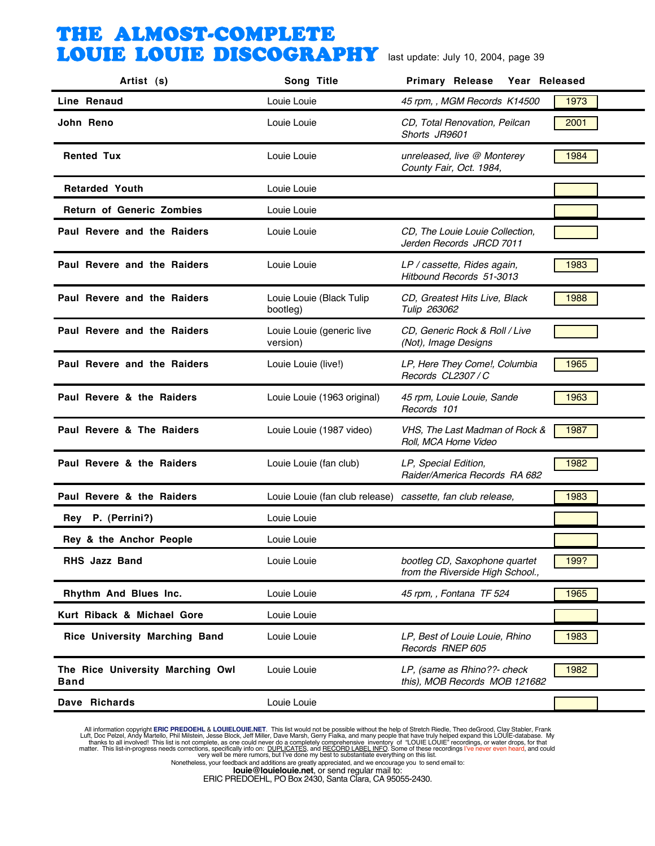| Artist (s)                                      | Song Title                                                 | Primary Release Year Released                                     |      |
|-------------------------------------------------|------------------------------------------------------------|-------------------------------------------------------------------|------|
| Line Renaud                                     | Louie Louie                                                | 45 rpm,, MGM Records K14500                                       | 1973 |
| John Reno                                       | Louie Louie                                                | CD, Total Renovation, Peilcan<br>Shorts JR9601                    | 2001 |
| <b>Rented Tux</b>                               | Louie Louie                                                | unreleased, live @ Monterey<br>County Fair, Oct. 1984,            | 1984 |
| <b>Retarded Youth</b>                           | Louie Louie                                                |                                                                   |      |
| <b>Return of Generic Zombies</b>                | Louie Louie                                                |                                                                   |      |
| Paul Revere and the Raiders                     | Louie Louie                                                | CD, The Louie Louie Collection,<br>Jerden Records JRCD 7011       |      |
| Paul Revere and the Raiders                     | Louie Louie                                                | LP / cassette, Rides again,<br>Hitbound Records 51-3013           | 1983 |
| Paul Revere and the Raiders                     | Louie Louie (Black Tulip<br>bootleg)                       | CD, Greatest Hits Live, Black<br>Tulip 263062                     | 1988 |
| Paul Revere and the Raiders                     | Louie Louie (generic live<br>version)                      | CD, Generic Rock & Roll / Live<br>(Not), Image Designs            |      |
| Paul Revere and the Raiders                     | Louie Louie (live!)                                        | LP, Here They Come!, Columbia<br>Records CL2307/C                 | 1965 |
| Paul Revere & the Raiders                       | Louie Louie (1963 original)                                | 45 rpm, Louie Louie, Sande<br>Records 101                         | 1963 |
| Paul Revere & The Raiders                       | Louie Louie (1987 video)                                   | VHS, The Last Madman of Rock &<br>Roll, MCA Home Video            | 1987 |
| Paul Revere & the Raiders                       | Louie Louie (fan club)                                     | LP, Special Edition,<br>Raider/America Records RA 682             | 1982 |
| Paul Revere & the Raiders                       | Louie Louie (fan club release) cassette, fan club release, |                                                                   | 1983 |
| Rey P. (Perrini?)                               | Louie Louie                                                |                                                                   |      |
| Rey & the Anchor People                         | Louie Louie                                                |                                                                   |      |
| <b>RHS Jazz Band</b>                            | Louie Louie                                                | bootleg CD, Saxophone quartet<br>from the Riverside High School., | 199? |
| Rhythm And Blues Inc.                           | Louie Louie                                                | 45 rpm, , Fontana TF 524                                          | 1965 |
| Kurt Riback & Michael Gore                      | Louie Louie                                                |                                                                   |      |
| Rice University Marching Band                   | Louie Louie                                                | LP, Best of Louie Louie, Rhino<br>Records RNEP 605                | 1983 |
| The Rice University Marching Owl<br><b>Band</b> | Louie Louie                                                | LP, (same as Rhino??- check<br>this), MOB Records MOB 121682      | 1982 |
| Dave Richards                                   | Louie Louie                                                |                                                                   |      |

All information copyright **ERIC PREDOEHL & LOUIELOUIE.NET**. This list would not be possible without the help of Stretch Riedle, Theo deGrood, Clay Stabler, Frank Luft, Doc Pelzel, Andy Martello, Phil Mislistin, Jesse Block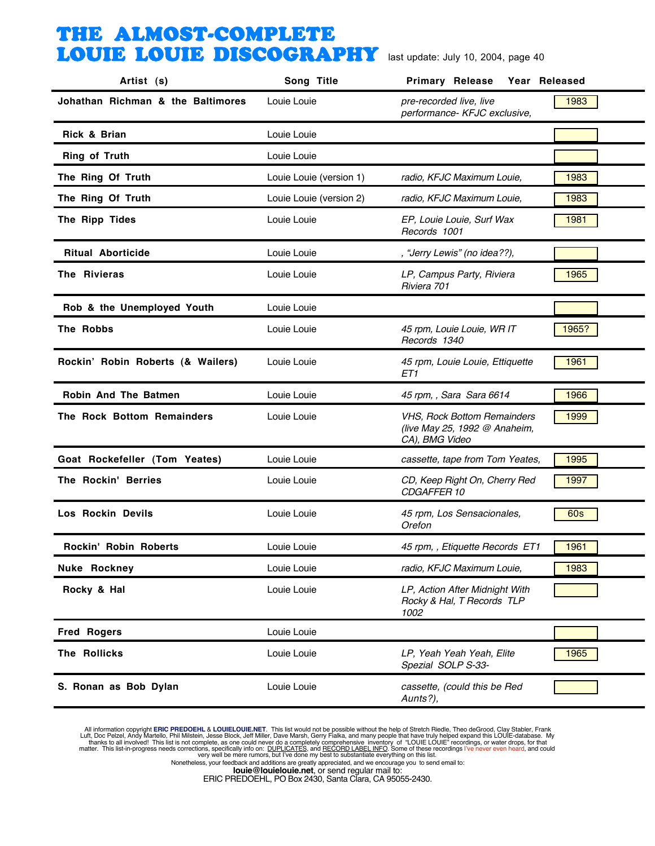| Artist (s)                        | Song Title              | <b>Primary Release</b><br>Year Released                                               |       |
|-----------------------------------|-------------------------|---------------------------------------------------------------------------------------|-------|
| Johathan Richman & the Baltimores | Louie Louie             | pre-recorded live, live<br>performance- KFJC exclusive,                               | 1983  |
| Rick & Brian                      | Louie Louie             |                                                                                       |       |
| <b>Ring of Truth</b>              | Louie Louie             |                                                                                       |       |
| The Ring Of Truth                 | Louie Louie (version 1) | radio, KFJC Maximum Louie,                                                            | 1983  |
| The Ring Of Truth                 | Louie Louie (version 2) | radio, KFJC Maximum Louie,                                                            | 1983  |
| The Ripp Tides                    | Louie Louie             | EP, Louie Louie, Surf Wax<br>Records 1001                                             | 1981  |
| <b>Ritual Aborticide</b>          | Louie Louie             | , "Jerry Lewis" (no idea??),                                                          |       |
| The Rivieras                      | Louie Louie             | LP, Campus Party, Riviera<br>Riviera 701                                              | 1965  |
| Rob & the Unemployed Youth        | Louie Louie             |                                                                                       |       |
| The Robbs                         | Louie Louie             | 45 rpm, Louie Louie, WR IT<br>Records 1340                                            | 1965? |
| Rockin' Robin Roberts (& Wailers) | Louie Louie             | 45 rpm, Louie Louie, Ettiquette<br>ET1                                                | 1961  |
| Robin And The Batmen              | Louie Louie             | 45 rpm, , Sara Sara 6614                                                              | 1966  |
| The Rock Bottom Remainders        | Louie Louie             | <b>VHS. Rock Bottom Remainders</b><br>(live May 25, 1992 @ Anaheim,<br>CA), BMG Video | 1999  |
| Goat Rockefeller (Tom Yeates)     | Louie Louie             | cassette, tape from Tom Yeates,                                                       | 1995  |
| The Rockin' Berries               | Louie Louie             | CD, Keep Right On, Cherry Red<br>CDGAFFER 10                                          | 1997  |
| Los Rockin Devils                 | Louie Louie             | 45 rpm, Los Sensacionales,<br>Orefon                                                  | 60s   |
| <b>Rockin' Robin Roberts</b>      | Louie Louie             | 45 rpm, , Etiquette Records ET1                                                       | 1961  |
| <b>Nuke Rockney</b>               | Louie Louie             | radio, KFJC Maximum Louie,                                                            | 1983  |
| Rocky & Hal                       | Louie Louie             | LP, Action After Midnight With<br>Rocky & Hal, T Records TLP<br>1002                  |       |
| <b>Fred Rogers</b>                | Louie Louie             |                                                                                       |       |
| The Rollicks                      | Louie Louie             | LP, Yeah Yeah Yeah, Elite<br>Spezial SOLP S-33-                                       | 1965  |
| S. Ronan as Bob Dylan             | Louie Louie             | cassette, (could this be Red<br>Aunts?),                                              |       |

All information copyright **ERIC PREDOEHL & LOUIELOUIE.NET**. This list would not be possible without the help of Stretch Riedle, Theo deGrood, Clay Stabler, Frank Luft, Doc Pelzel, Andy Martello, Phil Mislistin, Jesse Block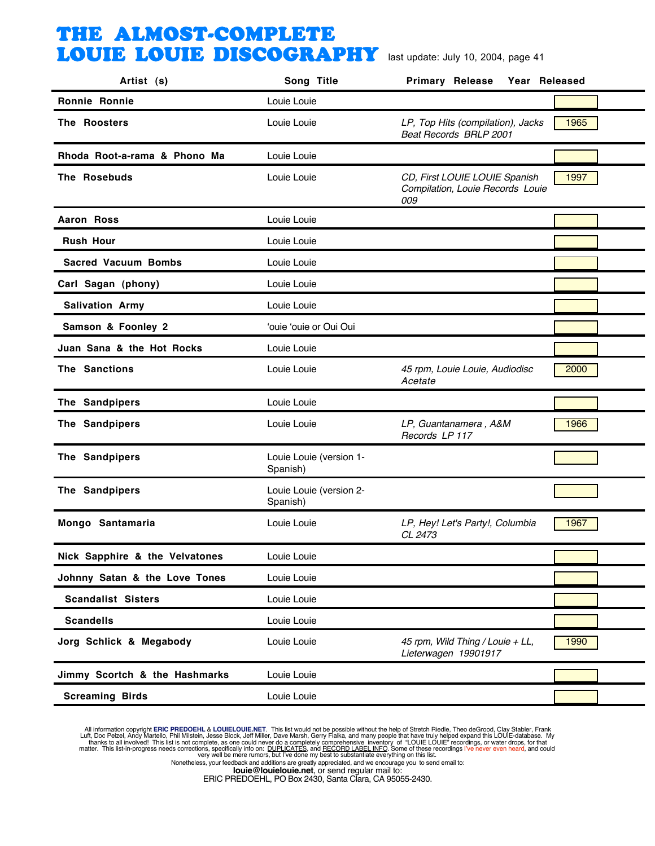| Artist (s)                     | Song Title                          | <b>Primary Release</b><br>Year Released                                  |      |
|--------------------------------|-------------------------------------|--------------------------------------------------------------------------|------|
| <b>Ronnie Ronnie</b>           | Louie Louie                         |                                                                          |      |
| The Roosters                   | Louie Louie                         | LP, Top Hits (compilation), Jacks<br>Beat Records BRLP 2001              | 1965 |
| Rhoda Root-a-rama & Phono Ma   | Louie Louie                         |                                                                          |      |
| The Rosebuds                   | Louie Louie                         | CD, First LOUIE LOUIE Spanish<br>Compilation, Louie Records Louie<br>009 | 1997 |
| Aaron Ross                     | Louie Louie                         |                                                                          |      |
| <b>Rush Hour</b>               | Louie Louie                         |                                                                          |      |
| <b>Sacred Vacuum Bombs</b>     | Louie Louie                         |                                                                          |      |
| Carl Sagan (phony)             | Louie Louie                         |                                                                          |      |
| <b>Salivation Army</b>         | Louie Louie                         |                                                                          |      |
| Samson & Foonley 2             | 'ouie 'ouie or Oui Oui              |                                                                          |      |
| Juan Sana & the Hot Rocks      | Louie Louie                         |                                                                          |      |
| The Sanctions                  | Louie Louie                         | 45 rpm, Louie Louie, Audiodisc<br>Acetate                                | 2000 |
| The Sandpipers                 | Louie Louie                         |                                                                          |      |
| The Sandpipers                 | Louie Louie                         | LP, Guantanamera, A&M<br>Records LP 117                                  | 1966 |
| The Sandpipers                 | Louie Louie (version 1-<br>Spanish) |                                                                          |      |
| The Sandpipers                 | Louie Louie (version 2-<br>Spanish) |                                                                          |      |
| Mongo Santamaria               | Louie Louie                         | LP, Hey! Let's Party!, Columbia<br>CL 2473                               | 1967 |
| Nick Sapphire & the Velvatones | Louie Louie                         |                                                                          | ┍    |
| Johnny Satan & the Love Tones  | Louie Louie                         |                                                                          |      |
| <b>Scandalist Sisters</b>      | Louie Louie                         |                                                                          |      |
| <b>Scandells</b>               | Louie Louie                         |                                                                          |      |
| Jorg Schlick & Megabody        | Louie Louie                         | 45 rpm, Wild Thing / Louie + LL,<br>Lieterwagen 19901917                 | 1990 |
| Jimmy Scortch & the Hashmarks  | Louie Louie                         |                                                                          |      |
| <b>Screaming Birds</b>         | Louie Louie                         |                                                                          |      |

All information copyright **ERIC PREDOEHL & LOUIELOUIE.NET**. This list would not be possible without the help of Stretch Riedle, Theo deGrood, Clay Stabler, Frank Luft, Doc Pelzel, Andy Martello, Phil Mislistin, Jesse Block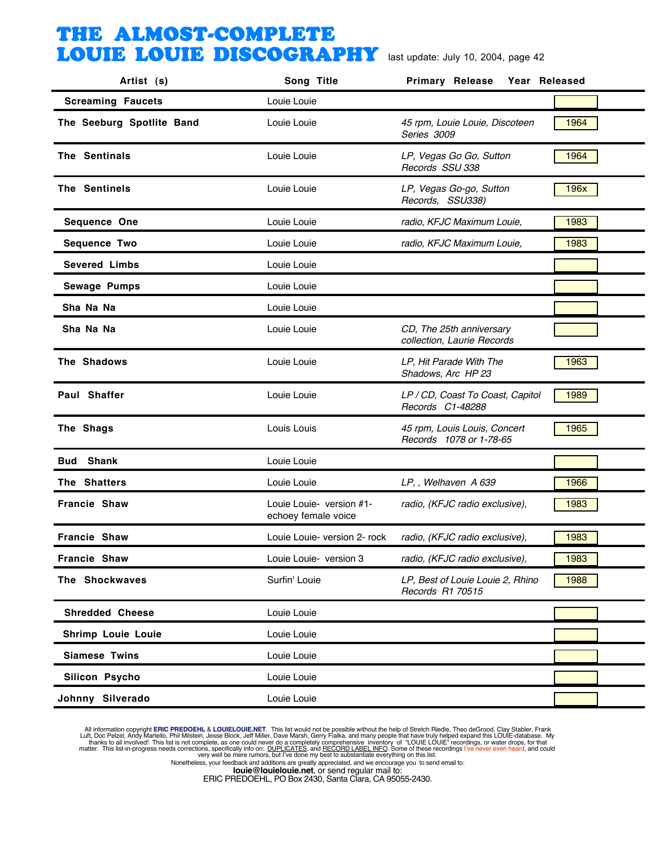| Artist (s)                | Song Title                                      | <b>Primary Release</b><br>Year Released                 |                                  |
|---------------------------|-------------------------------------------------|---------------------------------------------------------|----------------------------------|
| <b>Screaming Faucets</b>  | Louie Louie                                     |                                                         |                                  |
| The Seeburg Spotlite Band | Louie Louie                                     | 45 rpm, Louie Louie, Discoteen<br>Series 3009           | 1964                             |
| The Sentinals             | Louie Louie                                     | LP, Vegas Go Go, Sutton<br>Records SSU 338              | 1964                             |
| The Sentinels             | Louie Louie                                     | LP, Vegas Go-go, Sutton<br>Records, SSU338)             | 196x                             |
| Sequence One              | Louie Louie                                     | radio, KFJC Maximum Louie,                              | 1983                             |
| <b>Sequence Two</b>       | Louie Louie                                     | radio, KFJC Maximum Louie,                              | 1983                             |
| <b>Severed Limbs</b>      | Louie Louie                                     |                                                         |                                  |
| <b>Sewage Pumps</b>       | Louie Louie                                     |                                                         |                                  |
| Sha Na Na                 | Louie Louie                                     |                                                         |                                  |
| Sha Na Na                 | Louie Louie                                     | CD, The 25th anniversary<br>collection, Laurie Records  |                                  |
| The Shadows               | Louie Louie                                     | LP, Hit Parade With The<br>Shadows, Arc HP 23           | 1963                             |
| Paul Shaffer              | Louie Louie                                     | LP / CD, Coast To Coast, Capitol<br>Records C1-48288    | 1989                             |
| The Shags                 | Louis Louis                                     | 45 rpm, Louis Louis, Concert<br>Records 1078 or 1-78-65 | 1965                             |
| <b>Bud Shank</b>          | Louie Louie                                     |                                                         |                                  |
| The Shatters              | Louie Louie                                     | LP, , Welhaven A 639                                    | 1966                             |
| Francie Shaw              | Louie Louie- version #1-<br>echoey female voice | radio, (KFJC radio exclusive),                          | 1983                             |
| <b>Francie Shaw</b>       | Louie Louie- version 2- rock                    | radio, (KFJC radio exclusive),                          | 1983                             |
| Francie Shaw              | Louie Louie- version 3                          | radio, (KFJC radio exclusive),                          | $\overline{\phantom{0}}$<br>1983 |
| The Shockwaves            | Surfin' Louie                                   | LP, Best of Louie Louie 2, Rhino<br>Records R1 70515    | 1988                             |
| <b>Shredded Cheese</b>    | Louie Louie                                     |                                                         |                                  |
| <b>Shrimp Louie Louie</b> | Louie Louie                                     |                                                         |                                  |
| <b>Siamese Twins</b>      | Louie Louie                                     |                                                         |                                  |
| Silicon Psycho            | Louie Louie                                     |                                                         |                                  |
| Johnny Silverado          | Louie Louie                                     |                                                         |                                  |

All information copyright **ERIC PREDOEHL & LOUIELOUIE.NET**. This list would not be possible without the help of Stretch Riedle, Theo deGrood, Clay Stabler, Frank Luft, Doc Pelzel, Andy Martello, Phil Mislistin, Jesse Block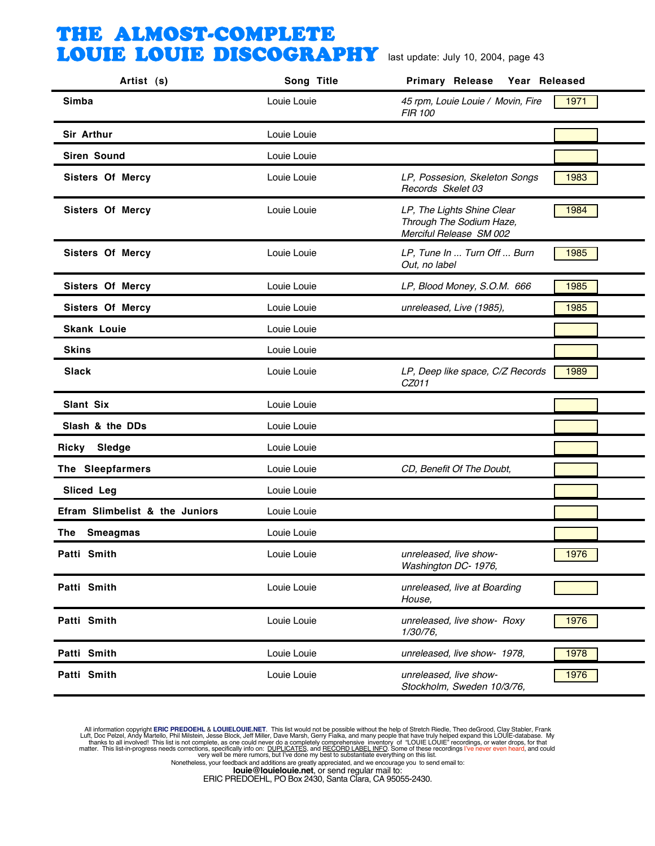| Artist (s)                     | Song Title  | <b>Primary Release</b><br>Year Released                                                   |  |
|--------------------------------|-------------|-------------------------------------------------------------------------------------------|--|
| Simba                          | Louie Louie | 45 rpm, Louie Louie / Movin, Fire<br>1971<br><b>FIR 100</b>                               |  |
| Sir Arthur                     | Louie Louie |                                                                                           |  |
| <b>Siren Sound</b>             | Louie Louie |                                                                                           |  |
| <b>Sisters Of Mercy</b>        | Louie Louie | LP, Possesion, Skeleton Songs<br>1983<br>Records Skelet 03                                |  |
| <b>Sisters Of Mercy</b>        | Louie Louie | LP, The Lights Shine Clear<br>1984<br>Through The Sodium Haze,<br>Merciful Release SM 002 |  |
| <b>Sisters Of Mercy</b>        | Louie Louie | LP, Tune In  Turn Off  Burn<br>1985<br>Out, no label                                      |  |
| Sisters Of Mercy               | Louie Louie | LP, Blood Money, S.O.M. 666<br>1985                                                       |  |
| Sisters Of Mercy               | Louie Louie | unreleased, Live (1985),<br>1985                                                          |  |
| <b>Skank Louie</b>             | Louie Louie |                                                                                           |  |
| <b>Skins</b>                   | Louie Louie |                                                                                           |  |
| <b>Slack</b>                   | Louie Louie | 1989<br>LP, Deep like space, C/Z Records<br>CZ011                                         |  |
| Slant Six                      | Louie Louie |                                                                                           |  |
| Slash & the DDs                | Louie Louie |                                                                                           |  |
| Sledge<br>Ricky                | Louie Louie |                                                                                           |  |
| The Sleepfarmers               | Louie Louie | CD, Benefit Of The Doubt,                                                                 |  |
| <b>Sliced Leg</b>              | Louie Louie |                                                                                           |  |
| Efram Slimbelist & the Juniors | Louie Louie |                                                                                           |  |
| <b>Smeagmas</b><br>The         | Louie Louie |                                                                                           |  |
| Patti Smith                    | Louie Louie | 1976<br>unreleased, live show-<br>Washington DC- 1976,                                    |  |
| Patti Smith                    | Louie Louie | unreleased, live at Boarding<br>House,                                                    |  |
| Patti Smith                    | Louie Louie | 1976<br>unreleased, live show- Roxy<br>1/30/76,                                           |  |
| Patti Smith                    | Louie Louie | unreleased, live show- 1978,<br>1978                                                      |  |
| Patti Smith                    | Louie Louie | unreleased, live show-<br>1976<br>Stockholm, Sweden 10/3/76,                              |  |
|                                |             |                                                                                           |  |

All information copyright **ERIC PREDOEHL & LOUIELOUIE.NET**. This list would not be possible without the help of Stretch Riedle, Theo deGrood, Clay Stabler, Frank Luft, Doc Pelzel, Andy Martello, Phil Mislistin, Jesse Block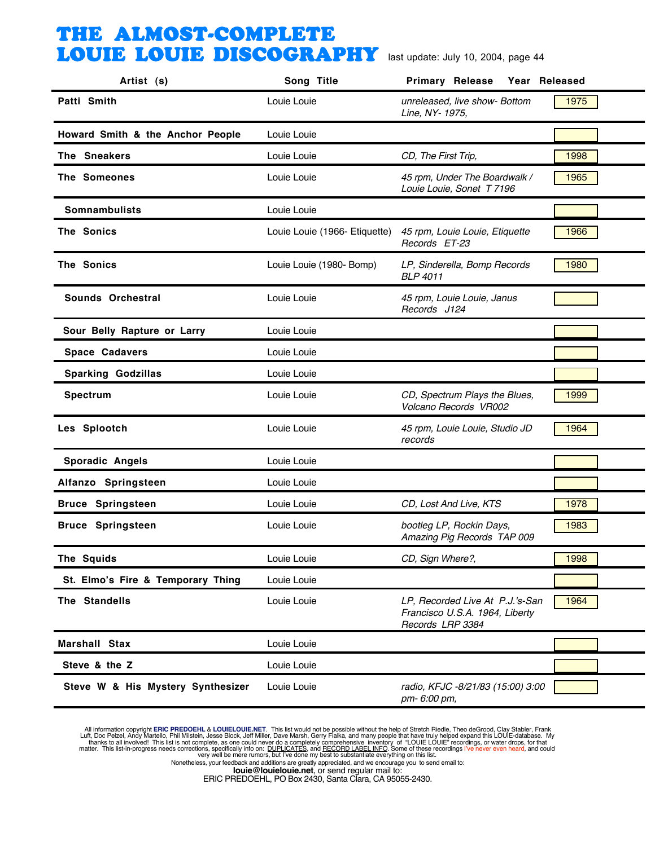| Artist (s)                        | Song Title                    | <b>Primary Release</b><br>Year Released                                               |      |
|-----------------------------------|-------------------------------|---------------------------------------------------------------------------------------|------|
| Patti Smith                       | Louie Louie                   | unreleased, live show- Bottom<br>Line, NY- 1975,                                      | 1975 |
| Howard Smith & the Anchor People  | Louie Louie                   |                                                                                       |      |
| The Sneakers                      | Louie Louie                   | CD, The First Trip,                                                                   | 1998 |
| The Someones                      | Louie Louie                   | 45 rpm, Under The Boardwalk /<br>Louie Louie, Sonet T 7196                            | 1965 |
| Somnambulists                     | Louie Louie                   |                                                                                       |      |
| The Sonics                        | Louie Louie (1966- Etiquette) | 45 rpm, Louie Louie, Etiquette<br>Records ET-23                                       | 1966 |
| The Sonics                        | Louie Louie (1980- Bomp)      | LP, Sinderella, Bomp Records<br><b>BLP 4011</b>                                       | 1980 |
| Sounds Orchestral                 | Louie Louie                   | 45 rpm, Louie Louie, Janus<br>Records J124                                            |      |
| Sour Belly Rapture or Larry       | Louie Louie                   |                                                                                       |      |
| Space Cadavers                    | Louie Louie                   |                                                                                       |      |
| <b>Sparking Godzillas</b>         | Louie Louie                   |                                                                                       |      |
| <b>Spectrum</b>                   | Louie Louie                   | CD, Spectrum Plays the Blues,<br>Volcano Records VR002                                | 1999 |
| Les Splootch                      | Louie Louie                   | 45 rpm, Louie Louie, Studio JD<br>records                                             | 1964 |
| Sporadic Angels                   | Louie Louie                   |                                                                                       |      |
| Alfanzo Springsteen               | Louie Louie                   |                                                                                       |      |
| <b>Bruce Springsteen</b>          | Louie Louie                   | CD, Lost And Live, KTS                                                                | 1978 |
| <b>Bruce Springsteen</b>          | Louie Louie                   | bootleg LP, Rockin Days,<br>Amazing Pig Records TAP 009                               | 1983 |
| The Squids                        | Louie Louie                   | CD, Sign Where?,                                                                      | 1998 |
| St. Elmo's Fire & Temporary Thing | Louie Louie                   |                                                                                       |      |
| The Standells                     | Louie Louie                   | LP, Recorded Live At P.J.'s-San<br>Francisco U.S.A. 1964, Liberty<br>Records LRP 3384 | 1964 |
| Marshall Stax                     | Louie Louie                   |                                                                                       |      |
| Steve & the Z                     | Louie Louie                   |                                                                                       |      |
| Steve W & His Mystery Synthesizer | Louie Louie                   | radio, KFJC -8/21/83 (15:00) 3:00<br>pm- 6:00 pm,                                     |      |

All information copyright **ERIC PREDOEHL & LOUIELOUIE.NET**. This list would not be possible without the help of Stretch Riedle, Theo deGrood, Clay Stabler, Frank Luft, Doc Pelzel, Andy Martello, Phil Mislistin, Jesse Block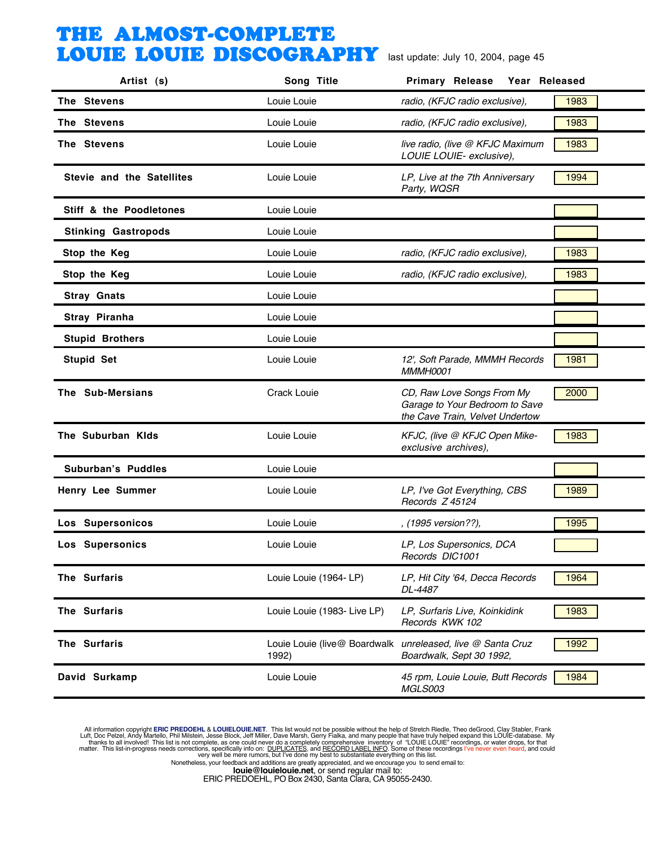| The Stevens<br>Louie Louie<br>radio, (KFJC radio exclusive),<br>1983<br>1983<br>The Stevens<br>Louie Louie<br>radio, (KFJC radio exclusive),<br>The Stevens<br>1983<br>Louie Louie<br>live radio, (live @ KFJC Maximum<br>LOUIE LOUIE- exclusive),<br>Stevie and the Satellites<br>LP, Live at the 7th Anniversary<br>1994<br>Louie Louie<br>Party, WQSR<br>Stiff & the Poodletones<br>Louie Louie<br><b>Stinking Gastropods</b><br>Louie Louie<br>1983<br>Stop the Keg<br>Louie Louie<br>radio, (KFJC radio exclusive),<br>Stop the Keg<br>Louie Louie<br>radio, (KFJC radio exclusive),<br>1983<br><b>Stray Gnats</b><br>Louie Louie<br>Stray Piranha<br>Louie Louie<br><b>Stupid Brothers</b><br>Louie Louie<br>1981<br><b>Stupid Set</b><br>Louie Louie<br>12', Soft Parade, MMMH Records<br>MMMH0001<br>The Sub-Mersians<br>Crack Louie<br>CD, Raw Love Songs From My<br>2000<br>Garage to Your Bedroom to Save<br>the Cave Train, Velvet Undertow<br>The Suburban Kids<br>1983<br>Louie Louie<br>KFJC, (live @ KFJC Open Mike-<br>exclusive archives),<br>Suburban's Puddles<br>Louie Louie<br>LP, I've Got Everything, CBS<br>1989<br>Henry Lee Summer<br>Louie Louie<br>Records Z 45124<br>Los Supersonicos<br>Louie Louie<br>1995<br>, (1995 version??),<br>Los Supersonics<br>Louie Louie<br>LP, Los Supersonics, DCA<br>Records DIC1001<br>The Surfaris<br>Louie Louie (1964- LP)<br>1964<br>LP, Hit City '64, Decca Records<br>DL-4487<br>The Surfaris<br>1983<br>Louie Louie (1983- Live LP)<br>LP, Surfaris Live, Koinkidink<br>Records KWK 102<br>The Surfaris<br>Louie Louie (live@ Boardwalk unreleased, live @ Santa Cruz<br>1992<br>1992)<br>Boardwalk, Sept 30 1992,<br>David Surkamp<br>Louie Louie<br>45 rpm, Louie Louie, Butt Records<br>1984<br>MGLS003 | Artist (s) | Song Title | <b>Primary Release</b><br>Year Released |  |
|----------------------------------------------------------------------------------------------------------------------------------------------------------------------------------------------------------------------------------------------------------------------------------------------------------------------------------------------------------------------------------------------------------------------------------------------------------------------------------------------------------------------------------------------------------------------------------------------------------------------------------------------------------------------------------------------------------------------------------------------------------------------------------------------------------------------------------------------------------------------------------------------------------------------------------------------------------------------------------------------------------------------------------------------------------------------------------------------------------------------------------------------------------------------------------------------------------------------------------------------------------------------------------------------------------------------------------------------------------------------------------------------------------------------------------------------------------------------------------------------------------------------------------------------------------------------------------------------------------------------------------------------------------------------------------------------------------------------------------------------------------------------------------|------------|------------|-----------------------------------------|--|
|                                                                                                                                                                                                                                                                                                                                                                                                                                                                                                                                                                                                                                                                                                                                                                                                                                                                                                                                                                                                                                                                                                                                                                                                                                                                                                                                                                                                                                                                                                                                                                                                                                                                                                                                                                                  |            |            |                                         |  |
|                                                                                                                                                                                                                                                                                                                                                                                                                                                                                                                                                                                                                                                                                                                                                                                                                                                                                                                                                                                                                                                                                                                                                                                                                                                                                                                                                                                                                                                                                                                                                                                                                                                                                                                                                                                  |            |            |                                         |  |
|                                                                                                                                                                                                                                                                                                                                                                                                                                                                                                                                                                                                                                                                                                                                                                                                                                                                                                                                                                                                                                                                                                                                                                                                                                                                                                                                                                                                                                                                                                                                                                                                                                                                                                                                                                                  |            |            |                                         |  |
|                                                                                                                                                                                                                                                                                                                                                                                                                                                                                                                                                                                                                                                                                                                                                                                                                                                                                                                                                                                                                                                                                                                                                                                                                                                                                                                                                                                                                                                                                                                                                                                                                                                                                                                                                                                  |            |            |                                         |  |
|                                                                                                                                                                                                                                                                                                                                                                                                                                                                                                                                                                                                                                                                                                                                                                                                                                                                                                                                                                                                                                                                                                                                                                                                                                                                                                                                                                                                                                                                                                                                                                                                                                                                                                                                                                                  |            |            |                                         |  |
|                                                                                                                                                                                                                                                                                                                                                                                                                                                                                                                                                                                                                                                                                                                                                                                                                                                                                                                                                                                                                                                                                                                                                                                                                                                                                                                                                                                                                                                                                                                                                                                                                                                                                                                                                                                  |            |            |                                         |  |
|                                                                                                                                                                                                                                                                                                                                                                                                                                                                                                                                                                                                                                                                                                                                                                                                                                                                                                                                                                                                                                                                                                                                                                                                                                                                                                                                                                                                                                                                                                                                                                                                                                                                                                                                                                                  |            |            |                                         |  |
|                                                                                                                                                                                                                                                                                                                                                                                                                                                                                                                                                                                                                                                                                                                                                                                                                                                                                                                                                                                                                                                                                                                                                                                                                                                                                                                                                                                                                                                                                                                                                                                                                                                                                                                                                                                  |            |            |                                         |  |
|                                                                                                                                                                                                                                                                                                                                                                                                                                                                                                                                                                                                                                                                                                                                                                                                                                                                                                                                                                                                                                                                                                                                                                                                                                                                                                                                                                                                                                                                                                                                                                                                                                                                                                                                                                                  |            |            |                                         |  |
|                                                                                                                                                                                                                                                                                                                                                                                                                                                                                                                                                                                                                                                                                                                                                                                                                                                                                                                                                                                                                                                                                                                                                                                                                                                                                                                                                                                                                                                                                                                                                                                                                                                                                                                                                                                  |            |            |                                         |  |
|                                                                                                                                                                                                                                                                                                                                                                                                                                                                                                                                                                                                                                                                                                                                                                                                                                                                                                                                                                                                                                                                                                                                                                                                                                                                                                                                                                                                                                                                                                                                                                                                                                                                                                                                                                                  |            |            |                                         |  |
|                                                                                                                                                                                                                                                                                                                                                                                                                                                                                                                                                                                                                                                                                                                                                                                                                                                                                                                                                                                                                                                                                                                                                                                                                                                                                                                                                                                                                                                                                                                                                                                                                                                                                                                                                                                  |            |            |                                         |  |
|                                                                                                                                                                                                                                                                                                                                                                                                                                                                                                                                                                                                                                                                                                                                                                                                                                                                                                                                                                                                                                                                                                                                                                                                                                                                                                                                                                                                                                                                                                                                                                                                                                                                                                                                                                                  |            |            |                                         |  |
|                                                                                                                                                                                                                                                                                                                                                                                                                                                                                                                                                                                                                                                                                                                                                                                                                                                                                                                                                                                                                                                                                                                                                                                                                                                                                                                                                                                                                                                                                                                                                                                                                                                                                                                                                                                  |            |            |                                         |  |
|                                                                                                                                                                                                                                                                                                                                                                                                                                                                                                                                                                                                                                                                                                                                                                                                                                                                                                                                                                                                                                                                                                                                                                                                                                                                                                                                                                                                                                                                                                                                                                                                                                                                                                                                                                                  |            |            |                                         |  |
|                                                                                                                                                                                                                                                                                                                                                                                                                                                                                                                                                                                                                                                                                                                                                                                                                                                                                                                                                                                                                                                                                                                                                                                                                                                                                                                                                                                                                                                                                                                                                                                                                                                                                                                                                                                  |            |            |                                         |  |
|                                                                                                                                                                                                                                                                                                                                                                                                                                                                                                                                                                                                                                                                                                                                                                                                                                                                                                                                                                                                                                                                                                                                                                                                                                                                                                                                                                                                                                                                                                                                                                                                                                                                                                                                                                                  |            |            |                                         |  |
|                                                                                                                                                                                                                                                                                                                                                                                                                                                                                                                                                                                                                                                                                                                                                                                                                                                                                                                                                                                                                                                                                                                                                                                                                                                                                                                                                                                                                                                                                                                                                                                                                                                                                                                                                                                  |            |            |                                         |  |
|                                                                                                                                                                                                                                                                                                                                                                                                                                                                                                                                                                                                                                                                                                                                                                                                                                                                                                                                                                                                                                                                                                                                                                                                                                                                                                                                                                                                                                                                                                                                                                                                                                                                                                                                                                                  |            |            |                                         |  |
|                                                                                                                                                                                                                                                                                                                                                                                                                                                                                                                                                                                                                                                                                                                                                                                                                                                                                                                                                                                                                                                                                                                                                                                                                                                                                                                                                                                                                                                                                                                                                                                                                                                                                                                                                                                  |            |            |                                         |  |
|                                                                                                                                                                                                                                                                                                                                                                                                                                                                                                                                                                                                                                                                                                                                                                                                                                                                                                                                                                                                                                                                                                                                                                                                                                                                                                                                                                                                                                                                                                                                                                                                                                                                                                                                                                                  |            |            |                                         |  |
|                                                                                                                                                                                                                                                                                                                                                                                                                                                                                                                                                                                                                                                                                                                                                                                                                                                                                                                                                                                                                                                                                                                                                                                                                                                                                                                                                                                                                                                                                                                                                                                                                                                                                                                                                                                  |            |            |                                         |  |

All information copyright **ERIC PREDOEHL & LOUIELOUIE.NET**. This list would not be possible without the help of Stretch Riedle, Theo deGrood, Clay Stabler, Frank Luft, Doc Pelzel, Andy Martello, Phil Mislistin, Jesse Block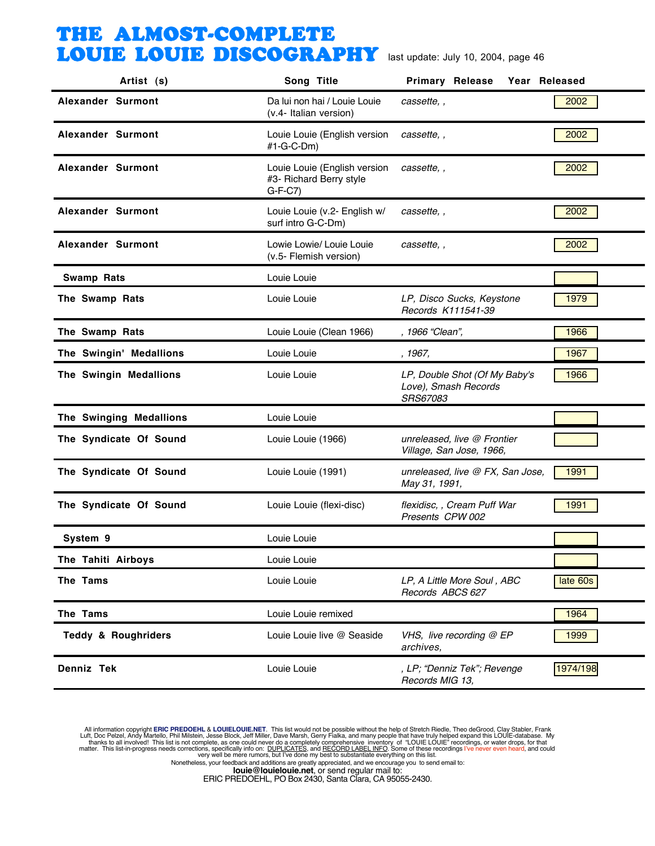| Artist (s)                     | Song Title                                                          | <b>Primary Release</b><br>Year Released                           |          |
|--------------------------------|---------------------------------------------------------------------|-------------------------------------------------------------------|----------|
| Alexander Surmont              | Da lui non hai / Louie Louie<br>(v.4- Italian version)              | cassette, ,                                                       | 2002     |
| Alexander Surmont              | Louie Louie (English version<br>#1-G-C-Dm)                          | cassette,                                                         | 2002     |
| Alexander Surmont              | Louie Louie (English version<br>#3- Richard Berry style<br>$G-F-C7$ | cassette,,                                                        | 2002     |
| Alexander Surmont              | Louie Louie (v.2- English w/<br>surf intro G-C-Dm)                  | cassette, ,                                                       | 2002     |
| Alexander Surmont              | Lowie Lowie/ Louie Louie<br>(v.5- Flemish version)                  | cassette,,                                                        | 2002     |
| <b>Swamp Rats</b>              | Louie Louie                                                         |                                                                   |          |
| The Swamp Rats                 | Louie Louie                                                         | LP, Disco Sucks, Keystone<br>Records K111541-39                   | 1979     |
| The Swamp Rats                 | Louie Louie (Clean 1966)                                            | , 1966 "Clean",                                                   | 1966     |
| The Swingin' Medallions        | Louie Louie                                                         | , 1967,                                                           | 1967     |
| The Swingin Medallions         | Louie Louie                                                         | LP, Double Shot (Of My Baby's<br>Love), Smash Records<br>SRS67083 | 1966     |
| The Swinging Medallions        | Louie Louie                                                         |                                                                   |          |
| The Syndicate Of Sound         | Louie Louie (1966)                                                  | unreleased, live @ Frontier<br>Village, San Jose, 1966,           |          |
| The Syndicate Of Sound         | Louie Louie (1991)                                                  | unreleased, live @ FX, San Jose,<br>May 31, 1991,                 | 1991     |
| The Syndicate Of Sound         | Louie Louie (flexi-disc)                                            | flexidisc, , Cream Puff War<br>Presents CPW 002                   | 1991     |
| System 9                       | Louie Louie                                                         |                                                                   |          |
| The Tahiti Airboys             | Louie Louie                                                         |                                                                   |          |
| The Tams                       | Louie Louie                                                         | LP, A Little More Soul, ABC<br>Records ABCS 627                   | late 60s |
| The Tams                       | Louie Louie remixed                                                 |                                                                   | 1964     |
| <b>Teddy &amp; Roughriders</b> | Louie Louie live @ Seaside                                          | VHS, live recording @ EP<br>archives,                             | 1999     |
| Denniz Tek                     | Louie Louie                                                         | , LP; "Denniz Tek"; Revenge<br>Records MIG 13,                    | 1974/198 |

All information copyright **ERIC PREDOEHL & LOUIELOUIE.NET**. This list would not be possible without the help of Stretch Riedle, Theo deGrood, Clay Stabler, Frank Luft, Doc Pelzel, Andy Martello, Phil Mislistin, Jesse Block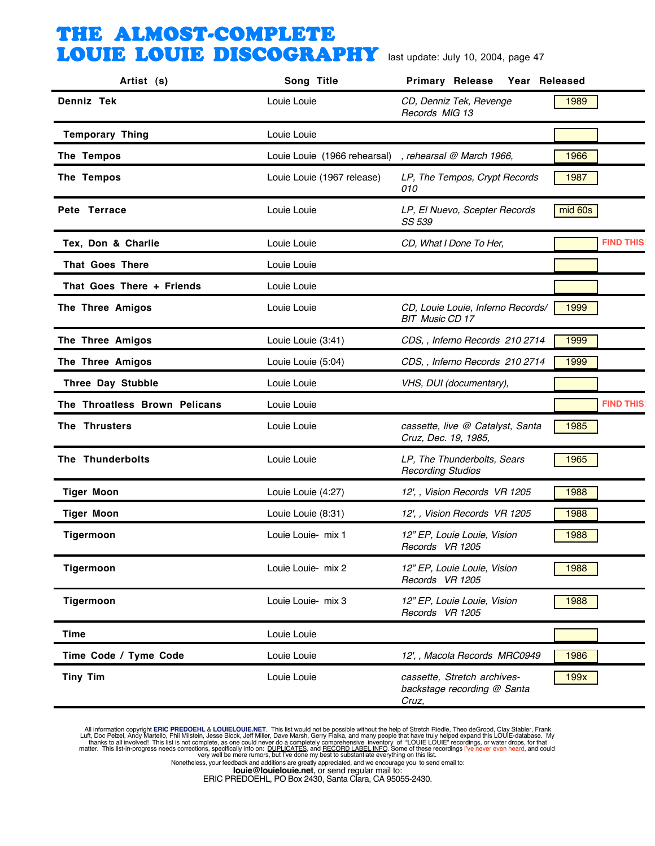| Artist (s)                    | Song Title                   | <b>Primary Release</b><br>Year Released                             |                  |
|-------------------------------|------------------------------|---------------------------------------------------------------------|------------------|
| Denniz Tek                    | Louie Louie                  | CD, Denniz Tek, Revenge<br>Records MIG 13                           | 1989             |
| <b>Temporary Thing</b>        | Louie Louie                  |                                                                     |                  |
| The Tempos                    | Louie Louie (1966 rehearsal) | , rehearsal @ March 1966,                                           | 1966             |
| The Tempos                    | Louie Louie (1967 release)   | LP, The Tempos, Crypt Records<br>010                                | 1987             |
| Pete Terrace                  | Louie Louie                  | LP, El Nuevo, Scepter Records<br>SS 539                             | mid 60s          |
| Tex, Don & Charlie            | Louie Louie                  | CD, What I Done To Her,                                             | <b>FIND THIS</b> |
| <b>That Goes There</b>        | Louie Louie                  |                                                                     |                  |
| That Goes There + Friends     | Louie Louie                  |                                                                     |                  |
| The Three Amigos              | Louie Louie                  | CD, Louie Louie, Inferno Records/<br><b>BIT Music CD 17</b>         | 1999             |
| The Three Amigos              | Louie Louie (3:41)           | CDS, , Inferno Records 210 2714                                     | 1999             |
| The Three Amigos              | Louie Louie (5:04)           | CDS, , Inferno Records 210 2714                                     | 1999             |
| Three Day Stubble             | Louie Louie                  | VHS, DUI (documentary),                                             |                  |
| The Throatless Brown Pelicans | Louie Louie                  |                                                                     | <b>FIND THIS</b> |
| The Thrusters                 | Louie Louie                  | cassette, live @ Catalyst, Santa<br>Cruz, Dec. 19, 1985,            | 1985             |
| The Thunderbolts              | Louie Louie                  | LP, The Thunderbolts, Sears<br><b>Recording Studios</b>             | 1965             |
| <b>Tiger Moon</b>             | Louie Louie (4:27)           | 12', , Vision Records VR 1205                                       | 1988             |
| <b>Tiger Moon</b>             | Louie Louie (8:31)           | 12', , Vision Records VR 1205                                       | 1988             |
| Tigermoon                     | Louie Louie- mix 1           | 12" EP, Louie Louie, Vision<br>Records VR 1205                      | 1988             |
| Tigermoon                     | Louie Louie- mix 2           | 12" EP, Louie Louie, Vision<br>Records VR 1205                      | 1988             |
| Tigermoon                     | Louie Louie- mix 3           | 12" EP, Louie Louie, Vision<br>Records VR 1205                      | 1988             |
| <b>Time</b>                   | Louie Louie                  |                                                                     |                  |
| Time Code / Tyme Code         | Louie Louie                  | 12', , Macola Records MRC0949                                       | 1986             |
| <b>Tiny Tim</b>               | Louie Louie                  | cassette, Stretch archives-<br>backstage recording @ Santa<br>Cruz, | 199x             |

All information copyright **ERIC PREDOEHL & LOUIELOUIE.NET**. This list would not be possible without the help of Stretch Riedle, Theo deGrood, Clay Stabler, Frank Luft, Doc Pelzel, Andy Martello, Phil Mislistin, Jesse Block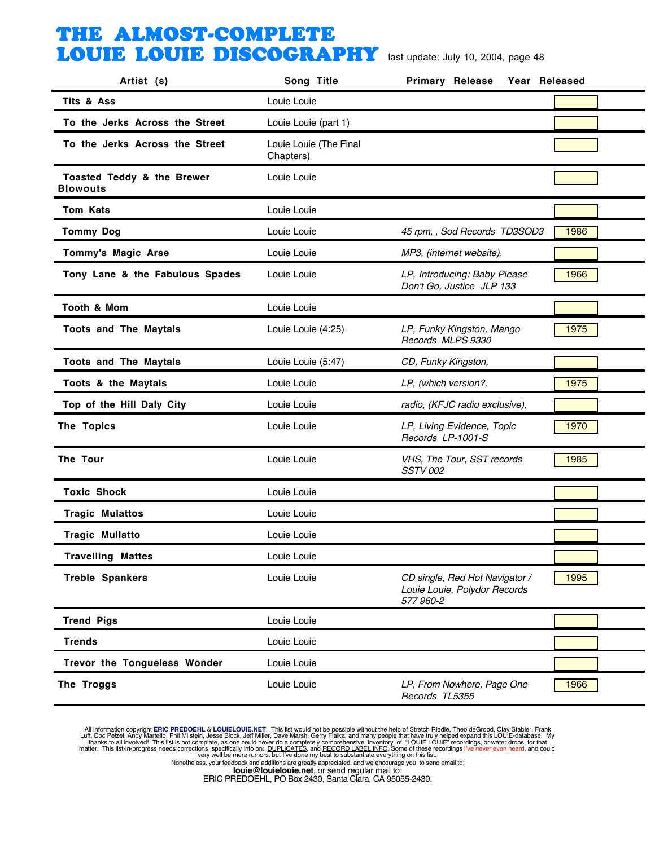| Artist (s)                                    | Song Title                          | Primary Release<br>Year Released                                            |      |
|-----------------------------------------------|-------------------------------------|-----------------------------------------------------------------------------|------|
| Tits & Ass                                    | Louie Louie                         |                                                                             |      |
| To the Jerks Across the Street                | Louie Louie (part 1)                |                                                                             |      |
| To the Jerks Across the Street                | Louie Louie (The Final<br>Chapters) |                                                                             |      |
| Toasted Teddy & the Brewer<br><b>Blowouts</b> | Louie Louie                         |                                                                             |      |
| <b>Tom Kats</b>                               | Louie Louie                         |                                                                             |      |
| <b>Tommy Dog</b>                              | Louie Louie                         | 45 rpm, , Sod Records TD3SOD3                                               | 1986 |
| Tommy's Magic Arse                            | Louie Louie                         | MP3, (internet website),                                                    |      |
| Tony Lane & the Fabulous Spades               | Louie Louie                         | LP, Introducing: Baby Please<br>Don't Go, Justice JLP 133                   | 1966 |
| Tooth & Mom                                   | Louie Louie                         |                                                                             |      |
| <b>Toots and The Maytals</b>                  | Louie Louie (4:25)                  | LP, Funky Kingston, Mango<br>Records MLPS 9330                              | 1975 |
| <b>Toots and The Maytals</b>                  | Louie Louie (5:47)                  | CD, Funky Kingston,                                                         |      |
| Toots & the Maytals                           | Louie Louie                         | LP, (which version?,                                                        | 1975 |
| Top of the Hill Daly City                     | Louie Louie                         | radio, (KFJC radio exclusive),                                              |      |
| The Topics                                    | Louie Louie                         | LP, Living Evidence, Topic<br>Records LP-1001-S                             | 1970 |
| The Tour                                      | Louie Louie                         | VHS, The Tour, SST records<br><b>SSTV 002</b>                               | 1985 |
| <b>Toxic Shock</b>                            | Louie Louie                         |                                                                             |      |
| <b>Tragic Mulattos</b>                        | Louie Louie                         |                                                                             |      |
| <b>Tragic Mullatto</b>                        | Louie Louie                         |                                                                             |      |
| <b>Travelling Mattes</b>                      | Louie Louie                         |                                                                             |      |
| <b>Treble Spankers</b>                        | Louie Louie                         | CD single, Red Hot Navigator /<br>Louie Louie, Polydor Records<br>577 960-2 | 1995 |
| <b>Trend Pigs</b>                             | Louie Louie                         |                                                                             |      |
| <b>Trends</b>                                 | Louie Louie                         |                                                                             |      |
| Trevor the Tongueless Wonder                  | Louie Louie                         |                                                                             |      |
| The Troggs                                    | Louie Louie                         | LP, From Nowhere, Page One<br>Records TL5355                                | 1966 |

All information copyright **ERIC PREDOEHL & LOUIELOUIE.NET**. This list would not be possible without the help of Stretch Riedle, Theo deGrood, Clay Stabler, Frank Luft, Doc Pelzel, Andy Martello, Phil Mislistin, Jesse Block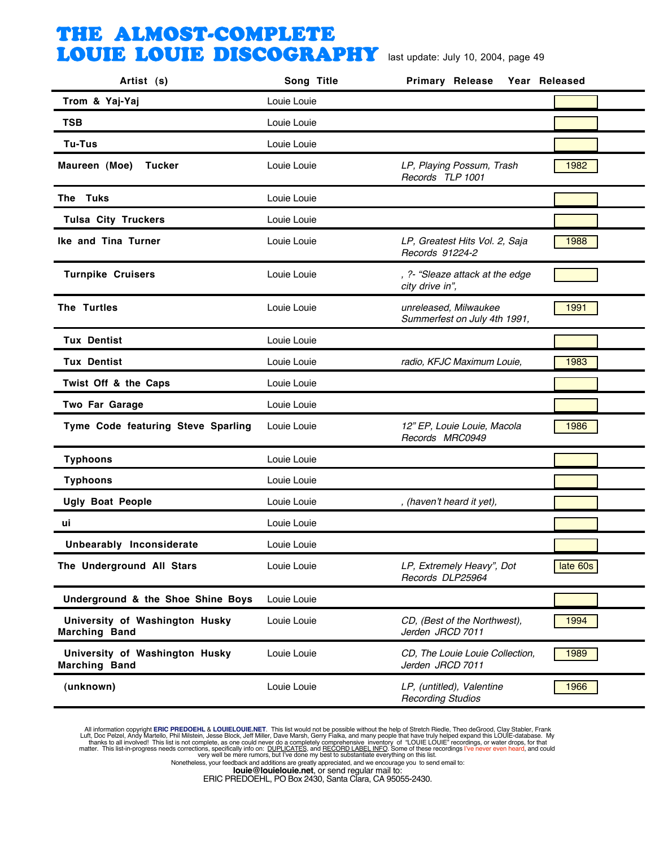| Artist (s)                                             | Song Title  | <b>Primary Release</b><br>Year Released               |          |
|--------------------------------------------------------|-------------|-------------------------------------------------------|----------|
| Trom & Yaj-Yaj                                         | Louie Louie |                                                       |          |
| <b>TSB</b>                                             | Louie Louie |                                                       |          |
| <b>Tu-Tus</b>                                          | Louie Louie |                                                       |          |
| Maureen (Moe)<br><b>Tucker</b>                         | Louie Louie | LP, Playing Possum, Trash<br>Records TLP 1001         | 1982     |
| The Tuks                                               | Louie Louie |                                                       |          |
| <b>Tulsa City Truckers</b>                             | Louie Louie |                                                       |          |
| Ike and Tina Turner                                    | Louie Louie | LP, Greatest Hits Vol. 2, Saja<br>Records 91224-2     | 1988     |
| <b>Turnpike Cruisers</b>                               | Louie Louie | , ?- "Sleaze attack at the edge<br>city drive in",    |          |
| The Turtles                                            | Louie Louie | unreleased, Milwaukee<br>Summerfest on July 4th 1991, | 1991     |
| <b>Tux Dentist</b>                                     | Louie Louie |                                                       |          |
| <b>Tux Dentist</b>                                     | Louie Louie | radio, KFJC Maximum Louie,                            | 1983     |
| Twist Off & the Caps                                   | Louie Louie |                                                       |          |
| Two Far Garage                                         | Louie Louie |                                                       |          |
| Tyme Code featuring Steve Sparling                     | Louie Louie | 12" EP, Louie Louie, Macola<br>Records MRC0949        | 1986     |
| <b>Typhoons</b>                                        | Louie Louie |                                                       |          |
| <b>Typhoons</b>                                        | Louie Louie |                                                       |          |
| <b>Ugly Boat People</b>                                | Louie Louie | , (haven't heard it yet),                             |          |
| ui                                                     | Louie Louie |                                                       |          |
| Unbearably Inconsiderate                               | Louie Louie |                                                       |          |
| The Underground All Stars                              | Louie Louie | LP, Extremely Heavy", Dot<br>Records DLP25964         | late 60s |
| Underground & the Shoe Shine Boys                      | Louie Louie |                                                       |          |
| University of Washington Husky<br><b>Marching Band</b> | Louie Louie | CD, (Best of the Northwest),<br>Jerden JRCD 7011      | 1994     |
| University of Washington Husky<br><b>Marching Band</b> | Louie Louie | CD, The Louie Louie Collection,<br>Jerden JRCD 7011   | 1989     |
| (unknown)                                              | Louie Louie | LP, (untitled), Valentine<br><b>Recording Studios</b> | 1966     |

All information copyright **ERIC PREDOEHL & LOUIELOUIE.NET**. This list would not be possible without the help of Stretch Riedle, Theo deGrood, Clay Stabler, Frank Luft, Doc Pelzel, Andy Martello, Phil Mislistin, Jesse Block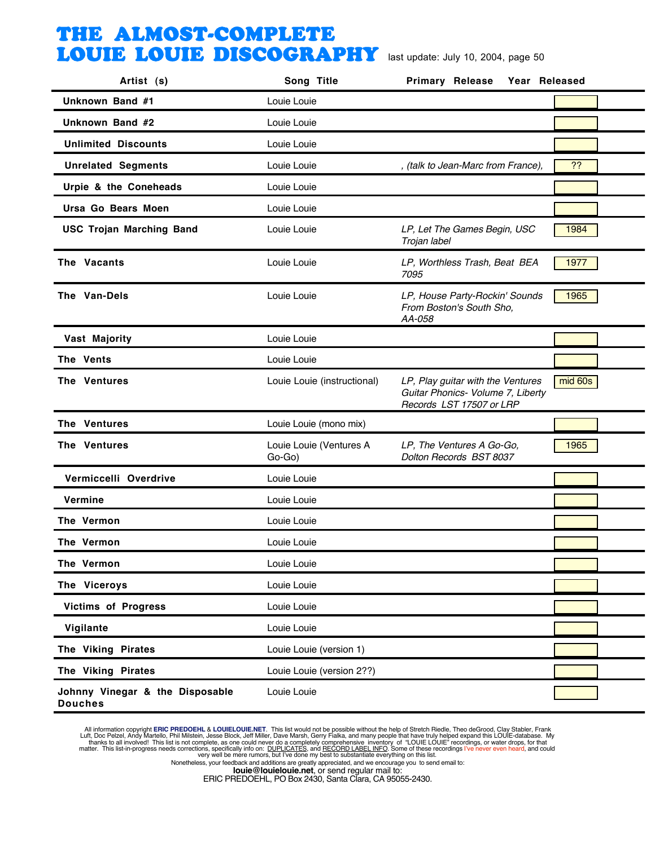| Artist (s)                                        | Song Title                        | <b>Primary Release</b><br>Year Released                                                            |         |
|---------------------------------------------------|-----------------------------------|----------------------------------------------------------------------------------------------------|---------|
| Unknown Band #1                                   | Louie Louie                       |                                                                                                    |         |
| Unknown Band #2                                   | Louie Louie                       |                                                                                                    |         |
| <b>Unlimited Discounts</b>                        | Louie Louie                       |                                                                                                    |         |
| <b>Unrelated Segments</b>                         | Louie Louie                       | , (talk to Jean-Marc from France),                                                                 | ??      |
| Urpie & the Coneheads                             | Louie Louie                       |                                                                                                    |         |
| Ursa Go Bears Moen                                | Louie Louie                       |                                                                                                    |         |
| <b>USC Trojan Marching Band</b>                   | Louie Louie                       | LP, Let The Games Begin, USC<br>Trojan label                                                       | 1984    |
| The Vacants                                       | Louie Louie                       | LP, Worthless Trash, Beat BEA<br>7095                                                              | 1977    |
| The Van-Dels                                      | Louie Louie                       | LP, House Party-Rockin' Sounds<br>From Boston's South Sho,<br>AA-058                               | 1965    |
| Vast Majority                                     | Louie Louie                       |                                                                                                    |         |
| The Vents                                         | Louie Louie                       |                                                                                                    |         |
| The Ventures                                      | Louie Louie (instructional)       | LP, Play guitar with the Ventures<br>Guitar Phonics- Volume 7, Liberty<br>Records LST 17507 or LRP | mid 60s |
| The Ventures                                      | Louie Louie (mono mix)            |                                                                                                    |         |
| The Ventures                                      | Louie Louie (Ventures A<br>Go-Go) | LP, The Ventures A Go-Go,<br>Dolton Records BST 8037                                               | 1965    |
| Vermiccelli Overdrive                             | Louie Louie                       |                                                                                                    |         |
| Vermine                                           | Louie Louie                       |                                                                                                    |         |
| The Vermon                                        | Louie Louie                       |                                                                                                    |         |
| The Vermon                                        | Louie Louie                       |                                                                                                    |         |
| The Vermon                                        | Louie Louie                       |                                                                                                    |         |
| The Viceroys                                      | Louie Louie                       |                                                                                                    |         |
| <b>Victims of Progress</b>                        | Louie Louie                       |                                                                                                    |         |
| Vigilante                                         | Louie Louie                       |                                                                                                    |         |
| The Viking Pirates                                | Louie Louie (version 1)           |                                                                                                    |         |
| The Viking Pirates                                | Louie Louie (version 2??)         |                                                                                                    |         |
| Johnny Vinegar & the Disposable<br><b>Douches</b> | Louie Louie                       |                                                                                                    |         |

All information copyright **ERIC PREDOEHL & LOUIELOUIE.NET**. This list would not be possible without the help of Stretch Riedle, Theo deGrood, Clay Stabler, Frank Luft, Doc Pelzel, Andy Martello, Phil Mislistin, Jesse Block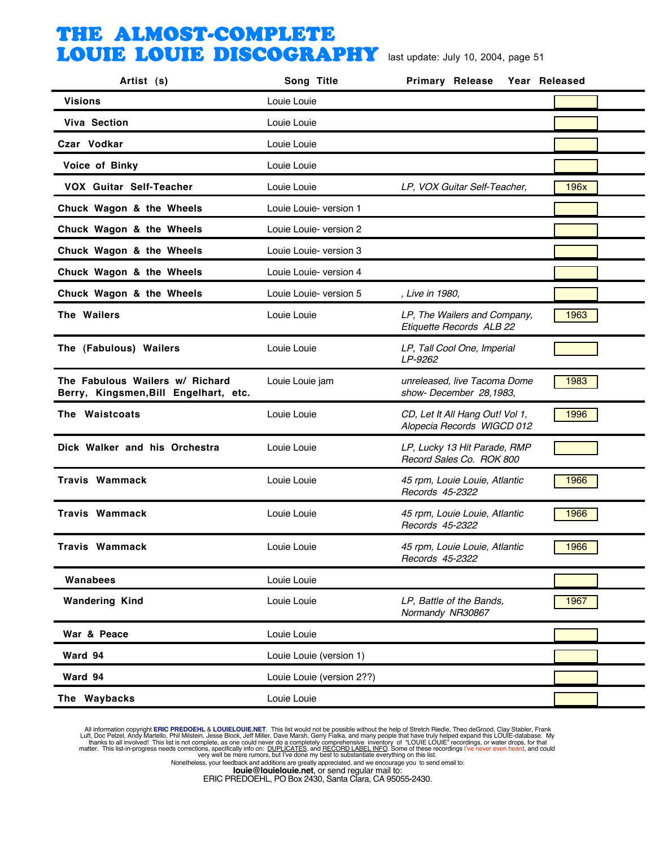| Artist (s)                                                               | Song Title                | <b>Primary Release</b><br>Year Released                       |      |
|--------------------------------------------------------------------------|---------------------------|---------------------------------------------------------------|------|
| <b>Visions</b>                                                           | Louie Louie               |                                                               |      |
| <b>Viva Section</b>                                                      | Louie Louie               |                                                               |      |
| Czar Vodkar                                                              | Louie Louie               |                                                               |      |
| Voice of Binky                                                           | Louie Louie               |                                                               |      |
| <b>VOX Guitar Self-Teacher</b>                                           | Louie Louie               | LP, VOX Guitar Self-Teacher,                                  | 196x |
| Chuck Wagon & the Wheels                                                 | Louie Louie- version 1    |                                                               |      |
| Chuck Wagon & the Wheels                                                 | Louie Louie- version 2    |                                                               |      |
| Chuck Wagon & the Wheels                                                 | Louie Louie- version 3    |                                                               |      |
| Chuck Wagon & the Wheels                                                 | Louie Louie- version 4    |                                                               |      |
| Chuck Wagon & the Wheels                                                 | Louie Louie- version 5    | , Live in 1980,                                               |      |
| The Wailers                                                              | Louie Louie               | LP, The Wailers and Company,<br>Etiquette Records ALB 22      | 1963 |
| The (Fabulous) Wailers                                                   | Louie Louie               | LP, Tall Cool One, Imperial<br>LP-9262                        |      |
| The Fabulous Wailers w/ Richard<br>Berry, Kingsmen, Bill Engelhart, etc. | Louie Louie jam           | unreleased, live Tacoma Dome<br>show-December 28,1983,        | 1983 |
| The Waistcoats                                                           | Louie Louie               | CD, Let It All Hang Out! Vol 1,<br>Alopecia Records WIGCD 012 | 1996 |
| Dick Walker and his Orchestra                                            | Louie Louie               | LP, Lucky 13 Hit Parade, RMP<br>Record Sales Co. ROK 800      |      |
| <b>Travis Wammack</b>                                                    | Louie Louie               | 45 rpm, Louie Louie, Atlantic<br>Records 45-2322              | 1966 |
| <b>Travis Wammack</b>                                                    | Louie Louie               | 45 rpm, Louie Louie, Atlantic<br>Records 45-2322              | 1966 |
| <b>Travis Wammack</b>                                                    | Louie Louie               | 45 rpm, Louie Louie, Atlantic<br>Records 45-2322              | 1966 |
| Wanabees                                                                 | Louie Louie               |                                                               |      |
| <b>Wandering Kind</b>                                                    | Louie Louie               | LP, Battle of the Bands,<br>Normandy NR30867                  | 1967 |
| War & Peace                                                              | Louie Louie               |                                                               |      |
| Ward 94                                                                  | Louie Louie (version 1)   |                                                               |      |
| Ward 94                                                                  | Louie Louie (version 2??) |                                                               |      |
| The Waybacks                                                             | Louie Louie               |                                                               |      |

All information copyright **ERIC PREDOEHL & LOUIELOUIE.NET**. This list would not be possible without the help of Stretch Riedle, Theo deGrood, Clay Stabler, Frank Luft, Doc Pelzel, Andy Martello, Phil Mislistin, Jesse Block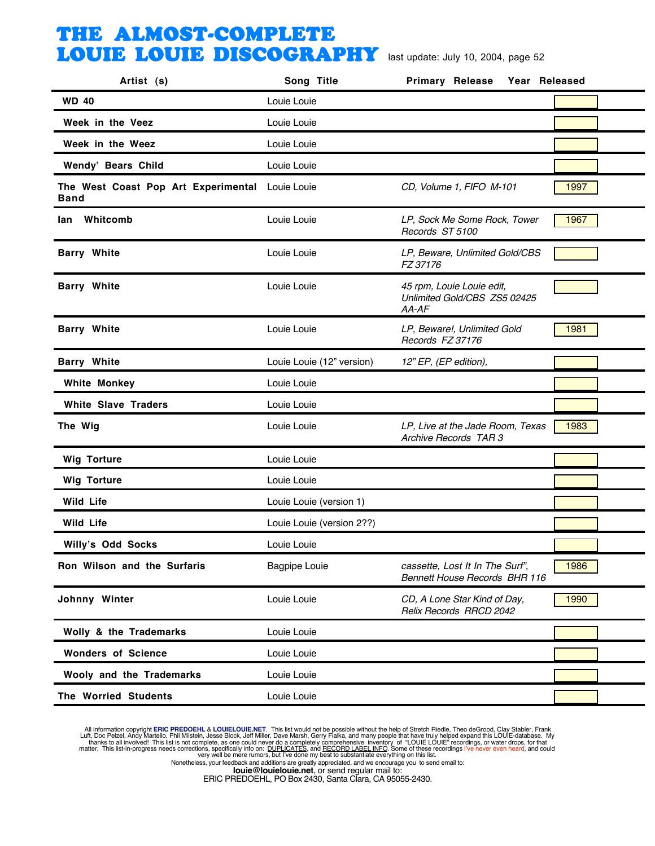| Artist (s)                                              | Song Title                | <b>Primary Release</b><br>Year Released                                 |      |
|---------------------------------------------------------|---------------------------|-------------------------------------------------------------------------|------|
| <b>WD 40</b>                                            | Louie Louie               |                                                                         |      |
| Week in the Veez                                        | Louie Louie               |                                                                         |      |
| Week in the Weez                                        | Louie Louie               |                                                                         |      |
| Wendy' Bears Child                                      | Louie Louie               |                                                                         |      |
| The West Coast Pop Art Experimental Louie Louie<br>Band |                           | CD, Volume 1, FIFO M-101                                                | 1997 |
| Whitcomb<br>lan                                         | Louie Louie               | LP, Sock Me Some Rock, Tower<br>Records ST 5100                         | 1967 |
| <b>Barry White</b>                                      | Louie Louie               | LP, Beware, Unlimited Gold/CBS<br>FZ 37176                              |      |
| <b>Barry White</b>                                      | Louie Louie               | 45 rpm, Louie Louie edit,<br>Unlimited Gold/CBS ZS5 02425<br>AA-AF      |      |
| <b>Barry White</b>                                      | Louie Louie               | LP, Beware!, Unlimited Gold<br>Records FZ 37176                         | 1981 |
| <b>Barry White</b>                                      | Louie Louie (12" version) | 12" EP, (EP edition),                                                   |      |
| <b>White Monkey</b>                                     | Louie Louie               |                                                                         |      |
| <b>White Slave Traders</b>                              | Louie Louie               |                                                                         |      |
| The Wig                                                 | Louie Louie               | LP, Live at the Jade Room, Texas<br>Archive Records TAR 3               | 1983 |
| <b>Wig Torture</b>                                      | Louie Louie               |                                                                         |      |
| <b>Wig Torture</b>                                      | Louie Louie               |                                                                         |      |
| <b>Wild Life</b>                                        | Louie Louie (version 1)   |                                                                         |      |
| Wild Life                                               | Louie Louie (version 2??) |                                                                         |      |
| Willy's Odd Socks                                       | Louie Louie               |                                                                         |      |
| Ron Wilson and the Surfaris                             | <b>Bagpipe Louie</b>      | cassette, Lost It In The Surf",<br><b>Bennett House Records BHR 116</b> | 1986 |
| Johnny Winter                                           | Louie Louie               | CD, A Lone Star Kind of Day,<br>Relix Records RRCD 2042                 | 1990 |
| Wolly & the Trademarks                                  | Louie Louie               |                                                                         |      |
| <b>Wonders of Science</b>                               | Louie Louie               |                                                                         |      |
| Wooly and the Trademarks                                | Louie Louie               |                                                                         |      |
| The Worried Students                                    | Louie Louie               |                                                                         |      |
|                                                         |                           |                                                                         |      |

All information copyright **ERIC PREDOEHL & LOUIELOUIE.NET**. This list would not be possible without the help of Stretch Riedle, Theo deGrood, Clay Stabler, Frank Luft, Doc Pelzel, Andy Martello, Phil Mislistin, Jesse Block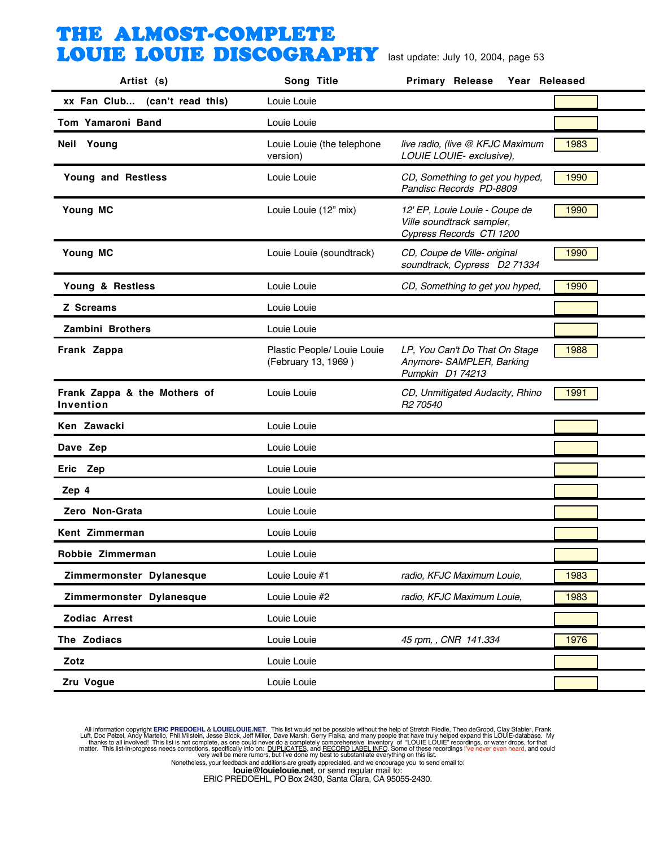| Artist (s)                                | Song Title                                         | Primary Release<br>Year Released                                                        |      |
|-------------------------------------------|----------------------------------------------------|-----------------------------------------------------------------------------------------|------|
| xx Fan Club (can't read this)             | Louie Louie                                        |                                                                                         |      |
| Tom Yamaroni Band                         | Louie Louie                                        |                                                                                         |      |
| Neil Young                                | Louie Louie (the telephone<br>version)             | live radio, (live @ KFJC Maximum<br>LOUIE LOUIE- exclusive),                            | 1983 |
| Young and Restless                        | Louie Louie                                        | CD, Something to get you hyped,<br>Pandisc Records PD-8809                              | 1990 |
| Young MC                                  | Louie Louie (12" mix)                              | 12' EP, Louie Louie - Coupe de<br>Ville soundtrack sampler,<br>Cypress Records CTI 1200 | 1990 |
| Young MC                                  | Louie Louie (soundtrack)                           | CD, Coupe de Ville- original<br>soundtrack, Cypress D2 71334                            | 1990 |
| Young & Restless                          | Louie Louie                                        | CD, Something to get you hyped,                                                         | 1990 |
| Z Screams                                 | Louie Louie                                        |                                                                                         |      |
| Zambini Brothers                          | Louie Louie                                        |                                                                                         |      |
| Frank Zappa                               | Plastic People/ Louie Louie<br>(February 13, 1969) | LP, You Can't Do That On Stage<br>Anymore- SAMPLER, Barking<br>Pumpkin D1 74213         | 1988 |
| Frank Zappa & the Mothers of<br>Invention | Louie Louie                                        | CD, Unmitigated Audacity, Rhino<br>R <sub>2</sub> 70540                                 | 1991 |
| Ken Zawacki                               | Louie Louie                                        |                                                                                         |      |
| Dave Zep                                  | Louie Louie                                        |                                                                                         |      |
| Eric Zep                                  | Louie Louie                                        |                                                                                         |      |
| Zep 4                                     | Louie Louie                                        |                                                                                         |      |
| Zero Non-Grata                            | Louie Louie                                        |                                                                                         |      |
| Kent Zimmerman                            | Louie Louie                                        |                                                                                         |      |
| Robbie Zimmerman                          | Louie Louie                                        |                                                                                         |      |
| Zimmermonster Dylanesque                  | Louie Louie #1                                     | radio, KFJC Maximum Louie,                                                              | 1983 |
| Zimmermonster Dylanesque                  | Louie Louie #2                                     | radio, KFJC Maximum Louie,                                                              | 1983 |
| Zodiac Arrest                             | Louie Louie                                        |                                                                                         |      |
| The Zodiacs                               | Louie Louie                                        | 45 rpm, , CNR 141.334                                                                   | 1976 |
| Zotz                                      | Louie Louie                                        |                                                                                         |      |
| Zru Vogue                                 | Louie Louie                                        |                                                                                         |      |

All information copyright **ERIC PREDOEHL & LOUIELOUIE.NET**. This list would not be possible without the help of Stretch Riedle, Theo deGrood, Clay Stabler, Frank Luft, Doc Pelzel, Andy Martello, Phil Mislistin, Jesse Block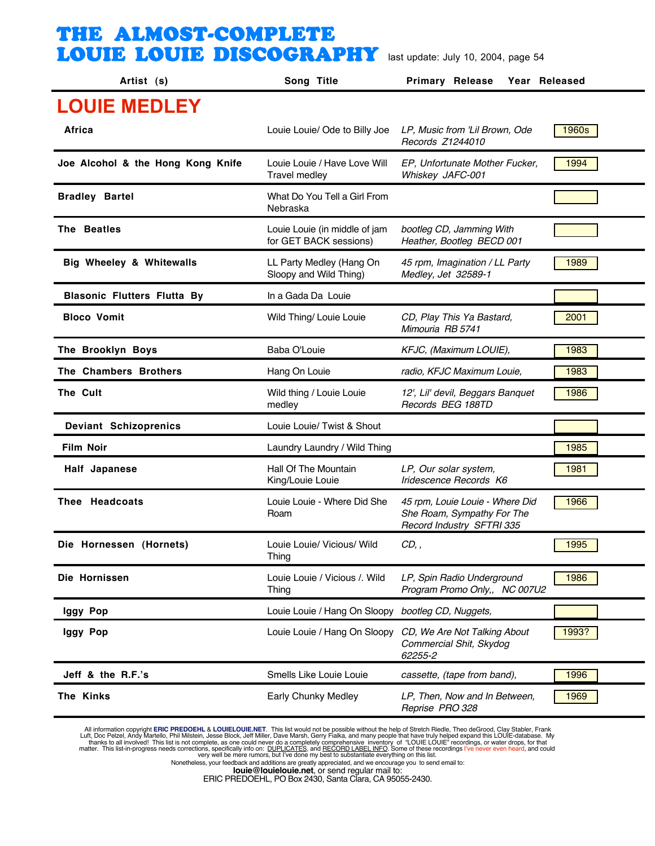| Artist (s)                         | Song Title                                              | <b>Primary Release</b><br>Year Released                                                    |       |
|------------------------------------|---------------------------------------------------------|--------------------------------------------------------------------------------------------|-------|
| <b>LOUIE MEDLEY</b>                |                                                         |                                                                                            |       |
| Africa                             | Louie Louie/ Ode to Billy Joe                           | LP, Music from 'Lil Brown, Ode<br>Records Z1244010                                         | 1960s |
| Joe Alcohol & the Hong Kong Knife  | Louie Louie / Have Love Will<br><b>Travel medley</b>    | EP, Unfortunate Mother Fucker,<br>Whiskey JAFC-001                                         | 1994  |
| <b>Bradley Bartel</b>              | What Do You Tell a Girl From<br>Nebraska                |                                                                                            |       |
| The Beatles                        | Louie Louie (in middle of jam<br>for GET BACK sessions) | bootleg CD, Jamming With<br>Heather, Bootleg BECD 001                                      |       |
| Big Wheeley & Whitewalls           | LL Party Medley (Hang On<br>Sloopy and Wild Thing)      | 45 rpm, Imagination / LL Party<br>Medley, Jet 32589-1                                      | 1989  |
| <b>Blasonic Flutters Flutta By</b> | In a Gada Da Louie                                      |                                                                                            |       |
| <b>Bloco Vomit</b>                 | Wild Thing/ Louie Louie                                 | CD, Play This Ya Bastard,<br>Mimouria RB 5741                                              | 2001  |
| The Brooklyn Boys                  | Baba O'Louie                                            | KFJC, (Maximum LOUIE),                                                                     | 1983  |
| The Chambers Brothers              | Hang On Louie                                           | radio, KFJC Maximum Louie,                                                                 | 1983  |
| The Cult                           | Wild thing / Louie Louie<br>medley                      | 12', Lil' devil, Beggars Banquet<br>Records BEG 188TD                                      | 1986  |
| <b>Deviant Schizoprenics</b>       | Louie Louie/ Twist & Shout                              |                                                                                            |       |
| <b>Film Noir</b>                   | Laundry Laundry / Wild Thing                            |                                                                                            | 1985  |
| <b>Half Japanese</b>               | Hall Of The Mountain<br>King/Louie Louie                | LP, Our solar system,<br>Iridescence Records K6                                            | 1981  |
| Thee Headcoats                     | Louie Louie - Where Did She<br>Roam                     | 45 rpm, Louie Louie - Where Did<br>She Roam, Sympathy For The<br>Record Industry SFTRI 335 | 1966  |
| Die Hornessen (Hornets)            | Louie Louie/ Vicious/ Wild<br>Thing                     | CD,,                                                                                       | 1995  |
| Die Hornissen                      | Louie Louie / Vicious /. Wild<br>Thing                  | LP, Spin Radio Underground<br>Program Promo Only,, NC 007U2                                | 1986  |
| Iggy Pop                           | Louie Louie / Hang On Sloopy bootleg CD, Nuggets,       |                                                                                            |       |
| Iggy Pop                           | Louie Louie / Hang On Sloopy                            | CD, We Are Not Talking About<br>Commercial Shit, Skydog<br>62255-2                         | 1993? |
| Jeff & the R.F.'s                  | Smells Like Louie Louie                                 | cassette, (tape from band),                                                                | 1996  |
| The Kinks                          | Early Chunky Medley                                     | LP, Then, Now and In Between,<br>Reprise PRO 328                                           | 1969  |

All information copyright **ERIC PREDOEHL & LOUIELOUIE.NET**. This list would not be possible without the help of Stretch Riedle, Theo deGrood, Clay Stabler, Frank Luft, Doc Pelzel, Andy Martello, Phil Mislistin, Jesse Block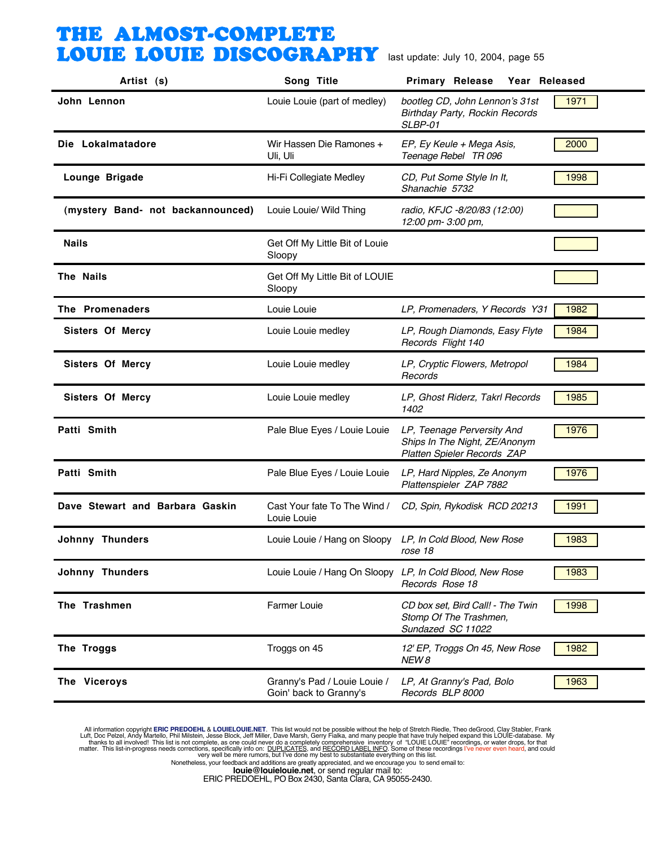| Artist (s)                        | Song Title                                               | <b>Primary Release</b><br>Year Released                                                           |      |
|-----------------------------------|----------------------------------------------------------|---------------------------------------------------------------------------------------------------|------|
| John Lennon                       | Louie Louie (part of medley)                             | bootleg CD, John Lennon's 31st<br>Birthday Party, Rockin Records<br>SLBP-01                       | 1971 |
| Die Lokalmatadore                 | Wir Hassen Die Ramones +<br>Uli, Uli                     | EP, Ey Keule + Mega Asis,<br>Teenage Rebel TR 096                                                 | 2000 |
| Lounge Brigade                    | Hi-Fi Collegiate Medley                                  | CD, Put Some Style In It,<br>Shanachie 5732                                                       | 1998 |
| (mystery Band- not backannounced) | Louie Louie/ Wild Thing                                  | radio, KFJC -8/20/83 (12:00)<br>12:00 pm- 3:00 pm,                                                |      |
| <b>Nails</b>                      | Get Off My Little Bit of Louie<br>Sloopy                 |                                                                                                   |      |
| The Nails                         | Get Off My Little Bit of LOUIE<br>Sloopy                 |                                                                                                   |      |
| The Promenaders                   | Louie Louie                                              | LP, Promenaders, Y Records Y31                                                                    | 1982 |
| <b>Sisters Of Mercy</b>           | Louie Louie medley                                       | LP, Rough Diamonds, Easy Flyte<br>Records Flight 140                                              | 1984 |
| <b>Sisters Of Mercy</b>           | Louie Louie medley                                       | LP, Cryptic Flowers, Metropol<br>Records                                                          | 1984 |
| <b>Sisters Of Mercy</b>           | Louie Louie medley                                       | LP, Ghost Riderz, Takrl Records<br>1402                                                           | 1985 |
| Patti Smith                       | Pale Blue Eyes / Louie Louie                             | LP, Teenage Perversity And<br>Ships In The Night, ZE/Anonym<br><b>Platten Spieler Records ZAP</b> | 1976 |
| Patti Smith                       | Pale Blue Eyes / Louie Louie                             | LP, Hard Nipples, Ze Anonym<br>Plattenspieler ZAP 7882                                            | 1976 |
| Dave Stewart and Barbara Gaskin   | Cast Your fate To The Wind /<br>Louie Louie              | CD, Spin, Rykodisk RCD 20213                                                                      | 1991 |
| <b>Johnny Thunders</b>            | Louie Louie / Hang on Sloopy LP, In Cold Blood, New Rose | rose 18                                                                                           | 1983 |
| <b>Johnny Thunders</b>            | Louie Louie / Hang On Sloopy LP, In Cold Blood, New Rose | Records Rose 18                                                                                   | 1983 |
| The Trashmen                      | <b>Farmer Louie</b>                                      | CD box set, Bird Call! - The Twin<br>Stomp Of The Trashmen,<br>Sundazed SC 11022                  | 1998 |
| The Troggs                        | Troggs on 45                                             | 12' EP, Troggs On 45, New Rose<br>NEW 8                                                           | 1982 |
| The Viceroys                      | Granny's Pad / Louie Louie /<br>Goin' back to Granny's   | LP, At Granny's Pad, Bolo<br>Records BLP 8000                                                     | 1963 |

All information copyright **ERIC PREDOEHL & LOUIELOUIE.NET**. This list would not be possible without the help of Stretch Riedle, Theo deGrood, Clay Stabler, Frank Luft, Doc Pelzel, Andy Martello, Phil Mislistin, Jesse Block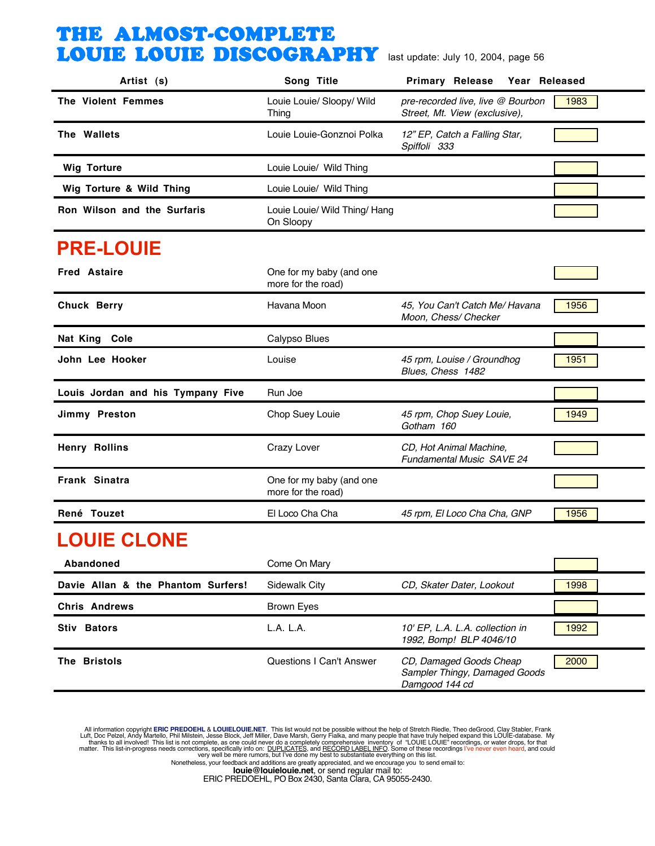| Artist (s)                        | Song Title                                     | <b>Primary Release</b><br>Year Released                                    |      |
|-----------------------------------|------------------------------------------------|----------------------------------------------------------------------------|------|
| <b>The Violent Femmes</b>         | Louie Louie/ Sloopy/ Wild<br>Thing             | pre-recorded live, live @ Bourbon<br>Street, Mt. View (exclusive),         | 1983 |
| The Wallets                       | Louie Louie-Gonznoi Polka                      | 12" EP, Catch a Falling Star,<br>Spiffoli 333                              |      |
| <b>Wig Torture</b>                | Louie Louie/ Wild Thing                        |                                                                            |      |
| Wig Torture & Wild Thing          | Louie Louie/ Wild Thing                        |                                                                            |      |
| Ron Wilson and the Surfaris       | Louie Louie/ Wild Thing/ Hang<br>On Sloopy     |                                                                            |      |
| <b>PRE-LOUIE</b>                  |                                                |                                                                            |      |
| <b>Fred Astaire</b>               | One for my baby (and one<br>more for the road) |                                                                            |      |
| <b>Chuck Berry</b>                | Havana Moon                                    | 45, You Can't Catch Me/ Havana<br>Moon, Chess/ Checker                     | 1956 |
| Nat King Cole                     | Calypso Blues                                  |                                                                            |      |
| John Lee Hooker                   | Louise                                         | 45 rpm, Louise / Groundhog<br>Blues, Chess 1482                            | 1951 |
| Louis Jordan and his Tympany Five | Run Joe                                        |                                                                            |      |
| Jimmy Preston                     | Chop Suey Louie                                | 45 rpm, Chop Suey Louie,<br>Gotham 160                                     | 1949 |
| <b>Henry Rollins</b>              | Crazy Lover                                    | CD, Hot Animal Machine,<br>Fundamental Music SAVE 24                       |      |
| <b>Frank Sinatra</b>              | One for my baby (and one<br>more for the road) |                                                                            |      |
| René Touzet                       | El Loco Cha Cha                                | 45 rpm, El Loco Cha Cha, GNP                                               | 1956 |
| <b>LOUIE CLONE</b>                |                                                |                                                                            |      |
| Abandoned                         | Come On Mary                                   |                                                                            |      |
| Davie Allan & the Phantom Surfers | <b>Sidewalk City</b>                           | CD, Skater Dater, Lookout                                                  | 1998 |
| <b>Chris Andrews</b>              | <b>Brown Eyes</b>                              |                                                                            |      |
| Stiv Bators                       | L.A. L.A.                                      | 10' EP, L.A. L.A. collection in<br>1992, Bomp! BLP 4046/10                 | 1992 |
| The Bristols                      | <b>Questions I Can't Answer</b>                | CD, Damaged Goods Cheap<br>Sampler Thingy, Damaged Goods<br>Damgood 144 cd | 2000 |

All information copyright **ERIC PREDOEHL & LOUIELOUIE.NET**. This list would not be possible without the help of Stretch Riedle, Theo deGrood, Clay Stabler, Frank Luft, Doc Pelzel, Andy Martello, Phil Mislistin, Jesse Block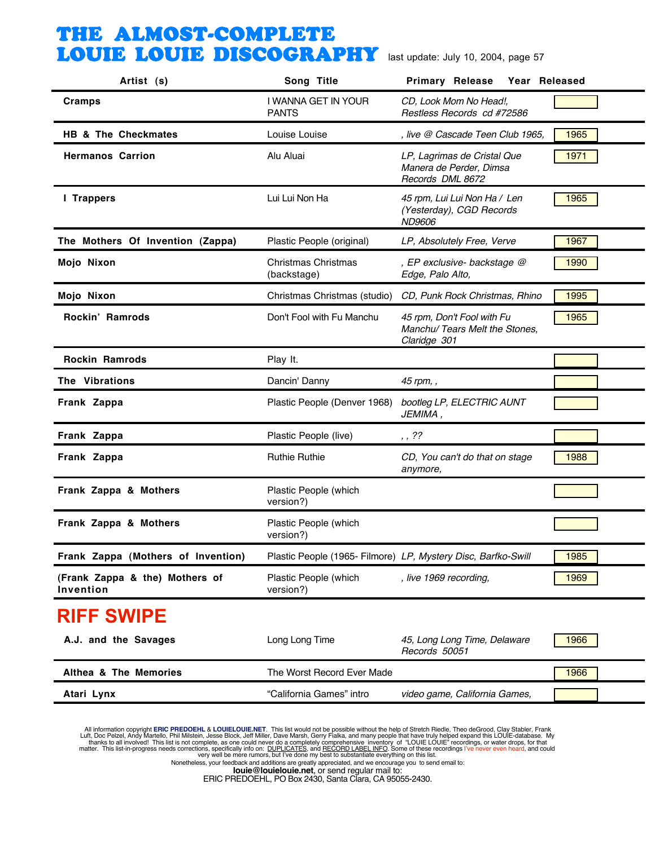| Artist (s)                                  | Song Title                          | <b>Primary Release</b><br>Year Released                                      |      |
|---------------------------------------------|-------------------------------------|------------------------------------------------------------------------------|------|
| Cramps                                      | I WANNA GET IN YOUR<br><b>PANTS</b> | CD, Look Mom No Head!,<br>Restless Records cd #72586                         |      |
| HB & The Checkmates                         | Louise Louise                       | , live @ Cascade Teen Club 1965,                                             | 1965 |
| <b>Hermanos Carrion</b>                     | Alu Aluai                           | LP, Lagrimas de Cristal Que<br>Manera de Perder, Dimsa<br>Records DML 8672   | 1971 |
| <b>I</b> Trappers                           | Lui Lui Non Ha                      | 45 rpm, Lui Lui Non Ha / Len<br>(Yesterday), CGD Records<br>ND9606           | 1965 |
| The Mothers Of Invention (Zappa)            | Plastic People (original)           | LP, Absolutely Free, Verve                                                   | 1967 |
| Mojo Nixon                                  | Christmas Christmas<br>(backstage)  | , EP exclusive- backstage @<br>Edge, Palo Alto,                              | 1990 |
| Mojo Nixon                                  |                                     | Christmas Christmas (studio) CD, Punk Rock Christmas, Rhino                  | 1995 |
| Rockin' Ramrods                             | Don't Fool with Fu Manchu           | 45 rpm, Don't Fool with Fu<br>Manchu/ Tears Melt the Stones,<br>Claridge 301 | 1965 |
| <b>Rockin Ramrods</b>                       | Play It.                            |                                                                              |      |
| The Vibrations                              | Dancin' Danny                       | 45 rpm, ,                                                                    |      |
| Frank Zappa                                 | Plastic People (Denver 1968)        | bootleg LP, ELECTRIC AUNT<br>JEMIMA,                                         |      |
| Frank Zappa                                 | Plastic People (live)               | , 72                                                                         |      |
| Frank Zappa                                 | <b>Ruthie Ruthie</b>                | CD, You can't do that on stage<br>anymore,                                   | 1988 |
| Frank Zappa & Mothers                       | Plastic People (which<br>version?)  |                                                                              |      |
| Frank Zappa & Mothers                       | Plastic People (which<br>version?)  |                                                                              |      |
| Frank Zappa (Mothers of Invention)          |                                     | Plastic People (1965- Filmore) LP, Mystery Disc, Barfko-Swill                | 1985 |
| (Frank Zappa & the) Mothers of<br>Invention | Plastic People (which<br>version?)  | , live 1969 recording,                                                       | 1969 |
| <b>RIFF SWIPE</b>                           |                                     |                                                                              |      |
| A.J. and the Savages                        | Long Long Time                      | 45, Long Long Time, Delaware<br>Records 50051                                | 1966 |
| Althea & The Memories                       | The Worst Record Ever Made          |                                                                              | 1966 |
| Atari Lynx                                  | "California Games" intro            | video game, California Games,                                                |      |

All information copyright **ERIC PREDOEHL & LOUIELOUIE.NET**. This list would not be possible without the help of Stretch Riedle, Theo deGrood, Clay Stabler, Frank Luft, Doc Pelzel, Andy Martello, Phil Mislistin, Jesse Block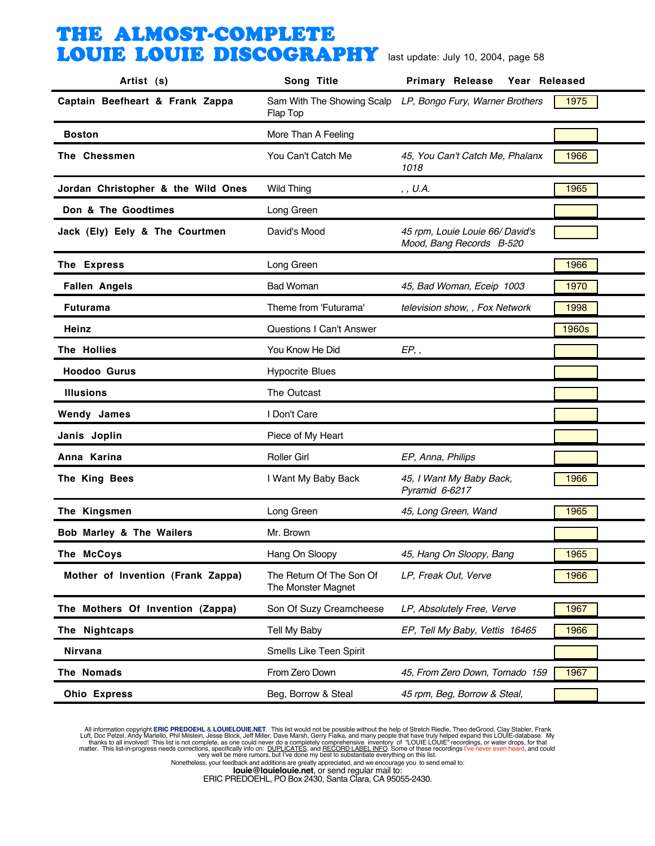| Artist (s)                         | Song Title                                     | <b>Primary Release</b><br>Year Released                     |                |
|------------------------------------|------------------------------------------------|-------------------------------------------------------------|----------------|
| Captain Beefheart & Frank Zappa    | Flap Top                                       | Sam With The Showing Scalp LP, Bongo Fury, Warner Brothers  | 1975           |
| <b>Boston</b>                      | More Than A Feeling                            |                                                             |                |
| The Chessmen                       | You Can't Catch Me                             | 45, You Can't Catch Me, Phalanx<br>1018                     | 1966           |
| Jordan Christopher & the Wild Ones | <b>Wild Thing</b>                              | , , U.A.                                                    | 1965           |
| Don & The Goodtimes                | Long Green                                     |                                                             |                |
| Jack (Ely) Eely & The Courtmen     | David's Mood                                   | 45 rpm, Louie Louie 66/ David's<br>Mood, Bang Records B-520 |                |
| The Express                        | Long Green                                     |                                                             | 1966           |
| <b>Fallen Angels</b>               | <b>Bad Woman</b>                               | 45, Bad Woman, Eceip 1003                                   | 1970           |
| <b>Futurama</b>                    | Theme from 'Futurama'                          | television show, , Fox Network                              | 1998           |
| Heinz                              | <b>Questions I Can't Answer</b>                |                                                             | 1960s          |
| The Hollies                        | You Know He Did                                | EP,                                                         |                |
| <b>Hoodoo Gurus</b>                | <b>Hypocrite Blues</b>                         |                                                             |                |
| <b>Illusions</b>                   | The Outcast                                    |                                                             |                |
| <b>Wendy James</b>                 | I Don't Care                                   |                                                             |                |
| Janis Joplin                       | Piece of My Heart                              |                                                             |                |
| Anna Karina                        | <b>Roller Girl</b>                             | EP, Anna, Philips                                           |                |
| The King Bees                      | I Want My Baby Back                            | 45, I Want My Baby Back,<br>Pyramid 6-6217                  | 1966           |
| The Kingsmen                       | Long Green                                     | 45, Long Green, Wand                                        | 1965           |
| Bob Marley & The Wailers           | Mr. Brown                                      |                                                             |                |
| The McCoys                         | Hang On Sloopy                                 | 45, Hang On Sloopy, Bang                                    | $\boxed{1965}$ |
| Mother of Invention (Frank Zappa)  | The Return Of The Son Of<br>The Monster Magnet | LP, Freak Out, Verve                                        | 1966           |
| The Mothers Of Invention (Zappa)   | Son Of Suzy Creamcheese                        | LP, Absolutely Free, Verve                                  | 1967           |
| The Nightcaps                      | Tell My Baby                                   | EP, Tell My Baby, Vettis 16465                              | 1966           |
| <b>Nirvana</b>                     | Smells Like Teen Spirit                        |                                                             |                |
| The Nomads                         | From Zero Down                                 | 45, From Zero Down, Tornado 159                             | 1967           |
| <b>Ohio Express</b>                | Beg, Borrow & Steal                            | 45 rpm, Beg, Borrow & Steal,                                |                |

All information copyright **ERIC PREDOEHL & LOUIELOUIE.NET**. This list would not be possible without the help of Stretch Riedle, Theo deGrood, Clay Stabler, Frank Luft, Doc Pelzel, Andy Martello, Phil Mislistin, Jesse Block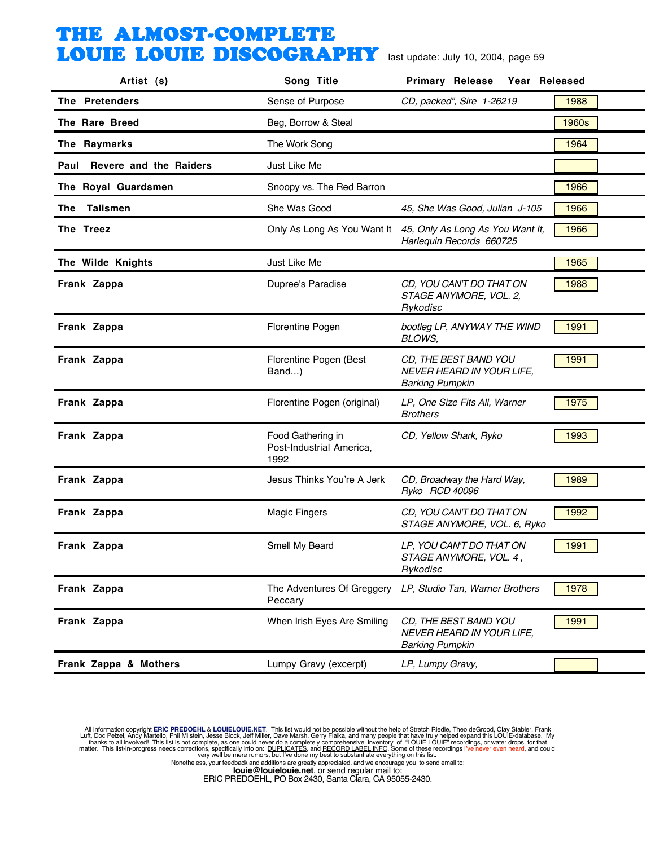| Artist (s)                     | Song Title                                            | Year Released<br><b>Primary Release</b>                                                  |       |
|--------------------------------|-------------------------------------------------------|------------------------------------------------------------------------------------------|-------|
| The Pretenders                 | Sense of Purpose                                      | CD, packed", Sire 1-26219                                                                | 1988  |
| The Rare Breed                 | Beg, Borrow & Steal                                   |                                                                                          | 1960s |
| The Raymarks                   | The Work Song                                         |                                                                                          | 1964  |
| Revere and the Raiders<br>Paul | Just Like Me                                          |                                                                                          |       |
| The Royal Guardsmen            | Snoopy vs. The Red Barron                             |                                                                                          | 1966  |
| The Talismen                   | She Was Good                                          | 45, She Was Good, Julian J-105                                                           | 1966  |
| The Treez                      |                                                       | Only As Long As You Want It 45, Only As Long As You Want It,<br>Harlequin Records 660725 | 1966  |
| The Wilde Knights              | Just Like Me                                          |                                                                                          | 1965  |
| Frank Zappa                    | Dupree's Paradise                                     | CD, YOU CAN'T DO THAT ON<br>STAGE ANYMORE, VOL. 2,<br>Rykodisc                           | 1988  |
| Frank Zappa                    | Florentine Pogen                                      | bootleg LP, ANYWAY THE WIND<br>BLOWS,                                                    | 1991  |
| Frank Zappa                    | Florentine Pogen (Best<br>Band)                       | CD, THE BEST BAND YOU<br>NEVER HEARD IN YOUR LIFE,<br><b>Barking Pumpkin</b>             | 1991  |
| Frank Zappa                    | Florentine Pogen (original)                           | LP, One Size Fits All, Warner<br><b>Brothers</b>                                         | 1975  |
| Frank Zappa                    | Food Gathering in<br>Post-Industrial America,<br>1992 | CD, Yellow Shark, Ryko                                                                   | 1993  |
| Frank Zappa                    | Jesus Thinks You're A Jerk                            | CD, Broadway the Hard Way,<br>Ryko RCD 40096                                             | 1989  |
| Frank Zappa                    | <b>Magic Fingers</b>                                  | CD, YOU CAN'T DO THAT ON<br>STAGE ANYMORE, VOL. 6, Ryko                                  | 1992  |
| Frank Zappa                    | Smell My Beard                                        | LP, YOU CAN'T DO THAT ON<br>STAGE ANYMORE, VOL. 4,<br>Rykodisc                           | 1991  |
| Frank Zappa                    | The Adventures Of Greggery<br>Peccary                 | LP, Studio Tan, Warner Brothers                                                          | 1978  |
| Frank Zappa                    | When Irish Eyes Are Smiling                           | CD, THE BEST BAND YOU<br>NEVER HEARD IN YOUR LIFE,<br><b>Barking Pumpkin</b>             | 1991  |
| Frank Zappa & Mothers          | Lumpy Gravy (excerpt)                                 | LP, Lumpy Gravy,                                                                         |       |

All information copyright **ERIC PREDOEHL & LOUIELOUIE.NET**. This list would not be possible without the help of Stretch Riedle, Theo deGrood, Clay Stabler, Frank Luft, Doc Pelzel, Andy Martello, Phil Mislistin, Jesse Block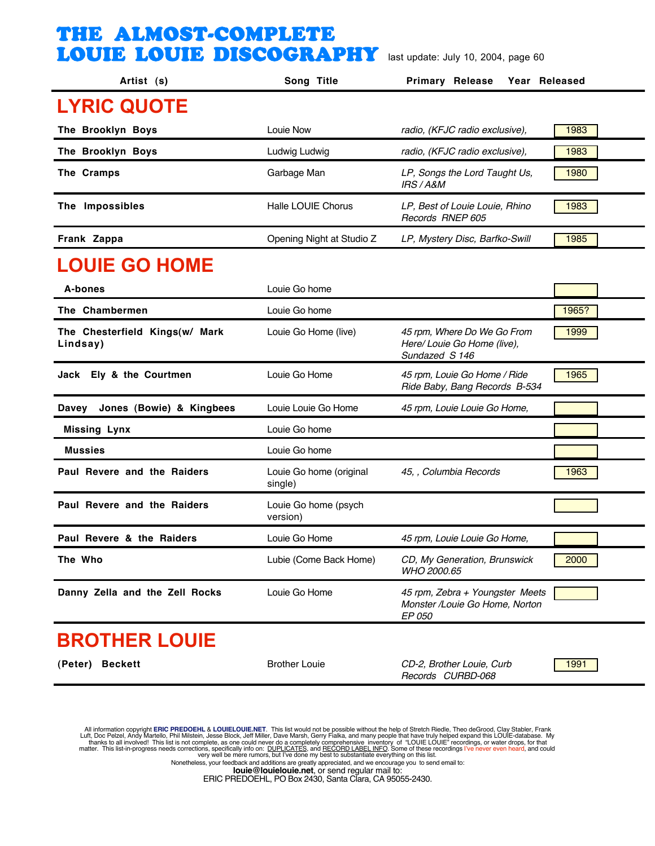| Artist (s)                                 | Song Title                         | <b>Primary Release</b><br>Year Released                                      |       |
|--------------------------------------------|------------------------------------|------------------------------------------------------------------------------|-------|
| <b>LYRIC QUOTE</b>                         |                                    |                                                                              |       |
| The Brooklyn Boys                          | Louie Now                          | radio, (KFJC radio exclusive),                                               | 1983  |
| The Brooklyn Boys                          | Ludwig Ludwig                      | radio, (KFJC radio exclusive),                                               | 1983  |
| The Cramps                                 | Garbage Man                        | LP, Songs the Lord Taught Us,<br>IRS / A&M                                   | 1980  |
| The Impossibles                            | <b>Halle LOUIE Chorus</b>          | LP, Best of Louie Louie, Rhino<br>Records RNEP 605                           | 1983  |
| Frank Zappa                                | Opening Night at Studio Z          | LP, Mystery Disc, Barfko-Swill                                               | 1985  |
| <b>LOUIE GO HOME</b>                       |                                    |                                                                              |       |
| A-bones                                    | Louie Go home                      |                                                                              |       |
| The Chambermen                             | Louie Go home                      |                                                                              | 1965? |
| The Chesterfield Kings(w/ Mark<br>Lindsay) | Louie Go Home (live)               | 45 rpm, Where Do We Go From<br>Here/ Louie Go Home (live),<br>Sundazed S 146 | 1999  |
| Jack Ely & the Courtmen                    | Louie Go Home                      | 45 rpm, Louie Go Home / Ride<br>Ride Baby, Bang Records B-534                | 1965  |
| Jones (Bowie) & Kingbees<br>Davey          | Louie Louie Go Home                | 45 rpm, Louie Louie Go Home,                                                 |       |
| <b>Missing Lynx</b>                        | Louie Go home                      |                                                                              |       |
| <b>Mussies</b>                             | Louie Go home                      |                                                                              |       |
| Paul Revere and the Raiders                | Louie Go home (original<br>single) | 45, , Columbia Records                                                       | 1963  |
| Paul Revere and the Raiders                | Louie Go home (psych<br>version)   |                                                                              |       |
| Paul Revere & the Raiders                  | Louie Go Home                      | 45 rpm, Louie Louie Go Home,                                                 |       |
| The Who                                    | Lubie (Come Back Home)             | CD, My Generation, Brunswick<br>WHO 2000.65                                  | 2000  |
| Danny Zella and the Zell Rocks             | Louie Go Home                      | 45 rpm, Zebra + Youngster Meets<br>Monster /Louie Go Home, Norton<br>EP 050  |       |
| <b>BROTHER LOUIE</b>                       |                                    |                                                                              |       |
| (Peter) Beckett                            | <b>Brother Louie</b>               | CD-2, Brother Louie, Curb<br>Records CURBD-068                               | 1991  |

All information copyright **ERIC PREDOEHL & LOUIELOUIE.NET**. This list would not be possible without the help of Stretch Riedle, Theo deGrood, Clay Stabler, Frank Luft, Doc Pelzel, Andy Martello, Phil Mislistin, Jesse Block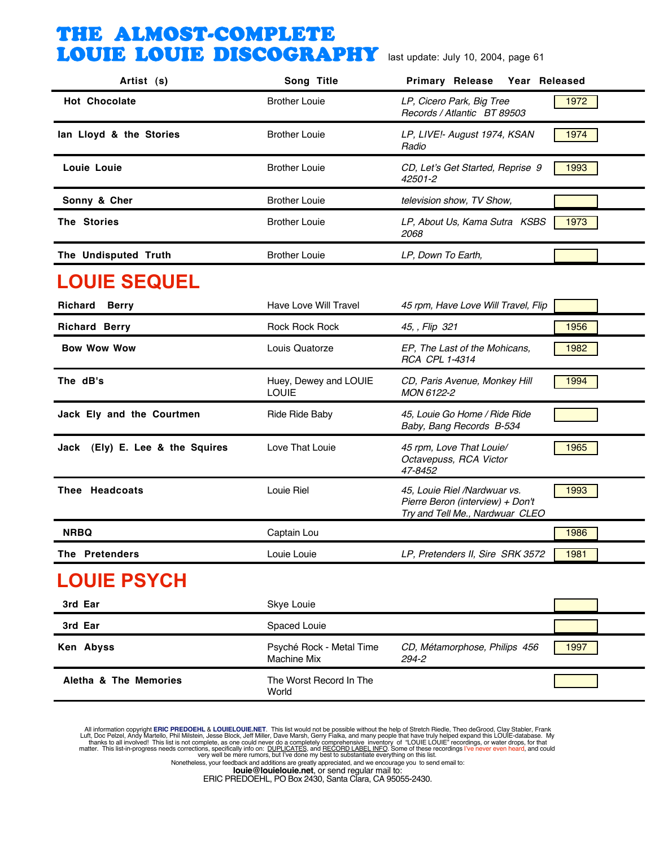| Artist (s)                      | Song Title                                     | Primary Release Year Released                                                                       |               |
|---------------------------------|------------------------------------------------|-----------------------------------------------------------------------------------------------------|---------------|
| <b>Hot Chocolate</b>            | <b>Brother Louie</b>                           | LP, Cicero Park, Big Tree<br>Records / Atlantic BT 89503                                            | 1972          |
| lan Lloyd & the Stories         | <b>Brother Louie</b>                           | LP, LIVE!- August 1974, KSAN<br>Radio                                                               | 1974          |
| Louie Louie                     | <b>Brother Louie</b>                           | CD, Let's Get Started, Reprise 9<br>42501-2                                                         | 1993          |
| Sonny & Cher                    | <b>Brother Louie</b>                           | television show, TV Show,                                                                           |               |
| The Stories                     | <b>Brother Louie</b>                           | LP, About Us, Kama Sutra KSBS<br>2068                                                               | 1973          |
| The Undisputed Truth            | <b>Brother Louie</b>                           | LP, Down To Earth,                                                                                  |               |
| <b>LOUIE SEQUEL</b>             |                                                |                                                                                                     |               |
| Richard<br><b>Berry</b>         | Have Love Will Travel                          | 45 rpm, Have Love Will Travel, Flip                                                                 |               |
| <b>Richard Berry</b>            | <b>Rock Rock Rock</b>                          | 45, , Flip 321                                                                                      | 1956          |
| <b>Bow Wow Wow</b>              | Louis Quatorze                                 | EP, The Last of the Mohicans,<br>RCA CPL 1-4314                                                     | 1982          |
| The dB's                        | Huey, Dewey and LOUIE<br><b>LOUIE</b>          | CD, Paris Avenue, Monkey Hill<br>MON 6122-2                                                         | 1994          |
| Jack Ely and the Courtmen       | <b>Ride Ride Baby</b>                          | 45, Louie Go Home / Ride Ride<br>Baby, Bang Records B-534                                           |               |
| Jack (Ely) E. Lee & the Squires | Love That Louie                                | 45 rpm, Love That Louie/<br>Octavepuss, RCA Victor<br>47-8452                                       | 1965          |
| Thee Headcoats                  | Louie Riel                                     | 45, Louie Riel /Nardwuar vs.<br>Pierre Beron (interview) + Don't<br>Try and Tell Me., Nardwuar CLEO | 1993          |
| <b>NRBQ</b>                     | Captain Lou                                    |                                                                                                     | 1986          |
| <b>The Pretenders</b>           | Louie Louie                                    | LP, Pretenders II, Sire SRK 3572                                                                    | $\sqrt{1981}$ |
| <b>LOUIE PSYCH</b>              |                                                |                                                                                                     |               |
| 3rd Ear                         | Skye Louie                                     |                                                                                                     |               |
| 3rd Ear                         | Spaced Louie                                   |                                                                                                     |               |
| Ken Abyss                       | Psyché Rock - Metal Time<br><b>Machine Mix</b> | CD, Métamorphose, Philips 456<br>294-2                                                              | 1997          |
| Aletha & The Memories           | The Worst Record In The<br>World               |                                                                                                     |               |

All information copyright **ERIC PREDOEHL & LOUIELOUIE.NET**. This list would not be possible without the help of Stretch Riedle, Theo deGrood, Clay Stabler, Frank Luft, Doc Pelzel, Andy Martello, Phil Mislistin, Jesse Block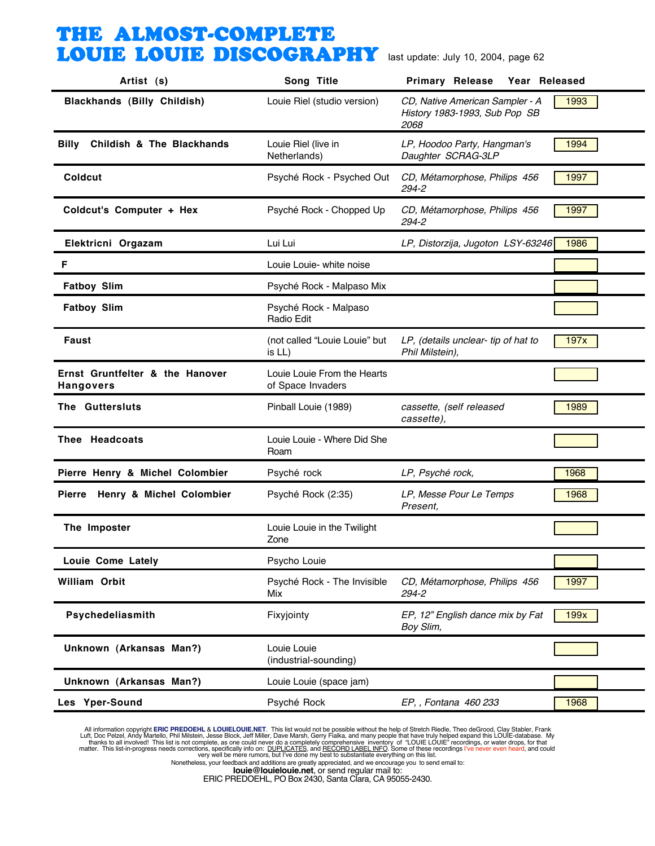| Artist (s)                                          | Song Title                                       | <b>Primary Release</b><br>Year Released                                  |      |
|-----------------------------------------------------|--------------------------------------------------|--------------------------------------------------------------------------|------|
| Blackhands (Billy Childish)                         | Louie Riel (studio version)                      | CD, Native American Sampler - A<br>History 1983-1993, Sub Pop SB<br>2068 | 1993 |
| Childish & The Blackhands<br><b>Billy</b>           | Louie Riel (live in<br>Netherlands)              | LP, Hoodoo Party, Hangman's<br>Daughter SCRAG-3LP                        | 1994 |
| Coldcut                                             | Psyché Rock - Psyched Out                        | CD, Métamorphose, Philips 456<br>294-2                                   | 1997 |
| Coldcut's Computer + Hex                            | Psyché Rock - Chopped Up                         | CD, Métamorphose, Philips 456<br>294-2                                   | 1997 |
| Elektricni Orgazam                                  | Lui Lui                                          | LP, Distorzija, Jugoton LSY-63246                                        | 1986 |
| F                                                   | Louie Louie- white noise                         |                                                                          |      |
| <b>Fatboy Slim</b>                                  | Psyché Rock - Malpaso Mix                        |                                                                          |      |
| <b>Fatboy Slim</b>                                  | Psyché Rock - Malpaso<br><b>Radio Edit</b>       |                                                                          |      |
| Faust                                               | (not called "Louie Louie" but<br>is $LL$ )       | LP, (details unclear- tip of hat to<br>Phil Milstein),                   | 197x |
| Ernst Gruntfelter & the Hanover<br><b>Hangovers</b> | Louie Louie From the Hearts<br>of Space Invaders |                                                                          |      |
| The Guttersluts                                     | Pinball Louie (1989)                             | cassette, (self released<br>cassette),                                   | 1989 |
| Thee Headcoats                                      | Louie Louie - Where Did She<br>Roam              |                                                                          |      |
| Pierre Henry & Michel Colombier                     | Psyché rock                                      | LP, Psyché rock,                                                         | 1968 |
| Pierre Henry & Michel Colombier                     | Psyché Rock (2:35)                               | LP, Messe Pour Le Temps<br>Present,                                      | 1968 |
| The Imposter                                        | Louie Louie in the Twilight<br>Zone              |                                                                          |      |
| Louie Come Lately                                   | Psycho Louie                                     |                                                                          |      |
| William Orbit                                       | Psyché Rock - The Invisible<br>Mix               | CD, Métamorphose, Philips 456<br>294-2                                   | 1997 |
| Psychedeliasmith                                    | Fixyjointy                                       | EP, 12" English dance mix by Fat<br>Boy Slim,                            | 199x |
| Unknown (Arkansas Man?)                             | Louie Louie<br>(industrial-sounding)             |                                                                          |      |
| Unknown (Arkansas Man?)                             | Louie Louie (space jam)                          |                                                                          |      |
| Les Yper-Sound                                      | Psyché Rock                                      | EP, , Fontana 460 233                                                    | 1968 |

All information copyright **ERIC PREDOEHL & LOUIELOUIE.NET**. This list would not be possible without the help of Stretch Riedle, Theo deGrood, Clay Stabler, Frank Luft, Doc Pelzel, Andy Martello, Phil Mislistin, Jesse Block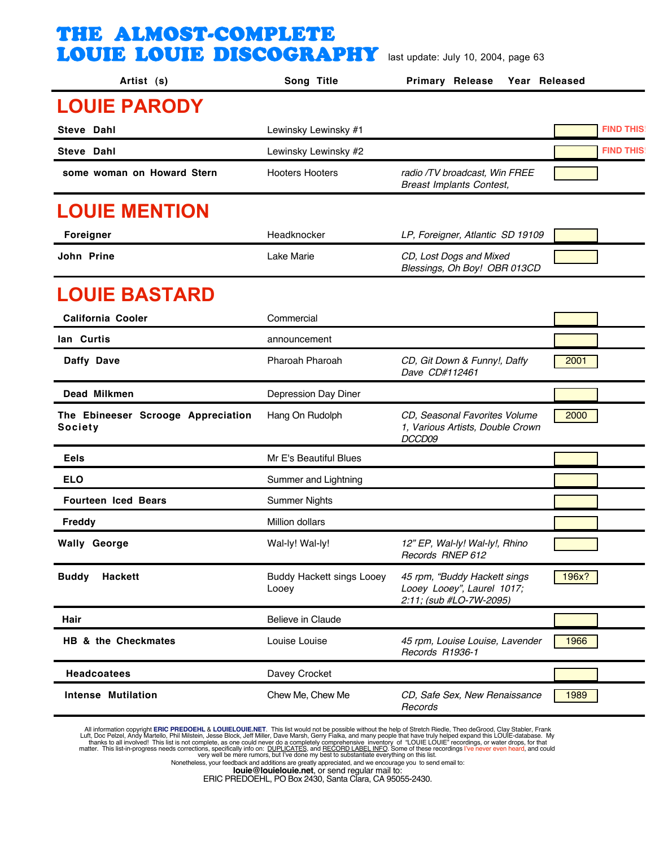| Artist (s)                                           | Song Title                                | <b>Primary Release</b><br>Year Released                                               |                  |
|------------------------------------------------------|-------------------------------------------|---------------------------------------------------------------------------------------|------------------|
| <b>LOUIE PARODY</b>                                  |                                           |                                                                                       |                  |
| Steve Dahl                                           | Lewinsky Lewinsky #1                      |                                                                                       | <b>FIND THIS</b> |
| Steve Dahl                                           | Lewinsky Lewinsky #2                      |                                                                                       | <b>FIND THIS</b> |
| some woman on Howard Stern                           | <b>Hooters Hooters</b>                    | radio /TV broadcast, Win FREE<br><b>Breast Implants Contest,</b>                      |                  |
| <b>LOUIE MENTION</b>                                 |                                           |                                                                                       |                  |
| Foreigner                                            | Headknocker                               | LP, Foreigner, Atlantic SD 19109                                                      |                  |
| John Prine                                           | Lake Marie                                | CD, Lost Dogs and Mixed<br>Blessings, Oh Boy! OBR 013CD                               |                  |
| <b>LOUIE BASTARD</b>                                 |                                           |                                                                                       |                  |
| California Cooler                                    | Commercial                                |                                                                                       |                  |
| lan Curtis                                           | announcement                              |                                                                                       |                  |
| Daffy Dave                                           | Pharoah Pharoah                           | CD, Git Down & Funny!, Daffy<br>Dave CD#112461                                        | 2001             |
| Dead Milkmen                                         | Depression Day Diner                      |                                                                                       |                  |
| The Ebineeser Scrooge Appreciation<br><b>Society</b> | Hang On Rudolph                           | CD, Seasonal Favorites Volume<br>1, Various Artists, Double Crown<br>DCCD09           | 2000             |
| Eels                                                 | Mr E's Beautiful Blues                    |                                                                                       |                  |
| <b>ELO</b>                                           | Summer and Lightning                      |                                                                                       |                  |
| <b>Fourteen Iced Bears</b>                           | <b>Summer Nights</b>                      |                                                                                       |                  |
| <b>Freddy</b>                                        | Million dollars                           |                                                                                       |                  |
| <b>Wally George</b>                                  | Wal-ly! Wal-ly!                           | 12" EP, Wal-ly! Wal-ly!, Rhino<br>Records RNEP 612                                    |                  |
| <b>Buddy</b><br><b>Hackett</b>                       | <b>Buddy Hackett sings Looey</b><br>Looey | 45 rpm, "Buddy Hackett sings<br>Looey Looey", Laurel 1017;<br>2:11; (sub #LO-7W-2095) | 196x?            |
| Hair                                                 | Believe in Claude                         |                                                                                       |                  |
| HB & the Checkmates                                  | Louise Louise                             | 45 rpm, Louise Louise, Lavender<br>Records R1936-1                                    | 1966             |
| <b>Headcoatees</b>                                   | Davey Crocket                             |                                                                                       |                  |
| <b>Intense Mutilation</b>                            | Chew Me, Chew Me                          | CD, Safe Sex, New Renaissance<br>Records                                              | 1989             |

All information copyright **ERIC PREDOEHL & LOUIELOUIE.NET**. This list would not be possible without the help of Stretch Riedle, Theo deGrood, Clay Stabler, Frank Luft, Doc Pelzel, Andy Martello, Phil Mislistin, Jesse Block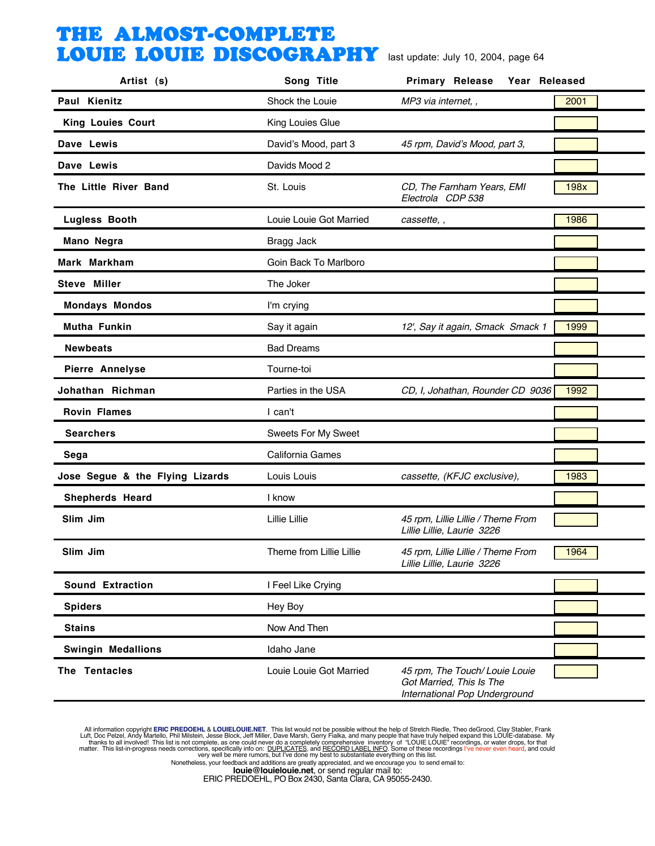| Artist (s)                      | Song Title               | <b>Primary Release</b><br>Year Released                                                     |      |
|---------------------------------|--------------------------|---------------------------------------------------------------------------------------------|------|
| Paul Kienitz                    | Shock the Louie          | MP3 via internet, ,                                                                         | 2001 |
| King Louies Court               | King Louies Glue         |                                                                                             |      |
| Dave Lewis                      | David's Mood, part 3     | 45 rpm, David's Mood, part 3,                                                               |      |
| Dave Lewis                      | Davids Mood 2            |                                                                                             |      |
| The Little River Band           | St. Louis                | CD, The Farnham Years, EMI<br>Electrola CDP 538                                             | 198x |
| <b>Lugless Booth</b>            | Louie Louie Got Married  | cassette, ,                                                                                 | 1986 |
| Mano Negra                      | <b>Bragg Jack</b>        |                                                                                             |      |
| Mark Markham                    | Goin Back To Marlboro    |                                                                                             |      |
| Steve Miller                    | The Joker                |                                                                                             |      |
| <b>Mondays Mondos</b>           | I'm crying               |                                                                                             |      |
| Mutha Funkin                    | Say it again             | 12', Say it again, Smack Smack 1                                                            | 1999 |
| <b>Newbeats</b>                 | <b>Bad Dreams</b>        |                                                                                             |      |
| Pierre Annelyse                 | Tourne-toi               |                                                                                             |      |
| Johathan Richman                | Parties in the USA       | CD, I, Johathan, Rounder CD 9036                                                            | 1992 |
| <b>Rovin Flames</b>             | I can't                  |                                                                                             |      |
| <b>Searchers</b>                | Sweets For My Sweet      |                                                                                             |      |
| Sega                            | California Games         |                                                                                             |      |
| Jose Segue & the Flying Lizards | Louis Louis              | cassette, (KFJC exclusive),                                                                 | 1983 |
| Shepherds Heard                 | I know                   |                                                                                             |      |
| Slim Jim                        | Lillie Lillie            | 45 rpm, Lillie Lillie / Theme From<br>Lillie Lillie, Laurie 3226                            |      |
| Slim Jim                        | Theme from Lillie Lillie | 45 rpm, Lillie Lillie / Theme From<br>Lillie Lillie, Laurie 3226                            | 1964 |
| <b>Sound Extraction</b>         | I Feel Like Crying       |                                                                                             |      |
| <b>Spiders</b>                  | Hey Boy                  |                                                                                             |      |
| <b>Stains</b>                   | Now And Then             |                                                                                             |      |
| <b>Swingin Medallions</b>       | Idaho Jane               |                                                                                             |      |
| The Tentacles                   | Louie Louie Got Married  | 45 rpm, The Touch/ Louie Louie<br>Got Married, This Is The<br>International Pop Underground |      |

All information copyright **ERIC PREDOEHL & LOUIELOUIE.NET**. This list would not be possible without the help of Stretch Riedle, Theo deGrood, Clay Stabler, Frank Luft, Doc Pelzel, Andy Martello, Phil Mislistin, Jesse Block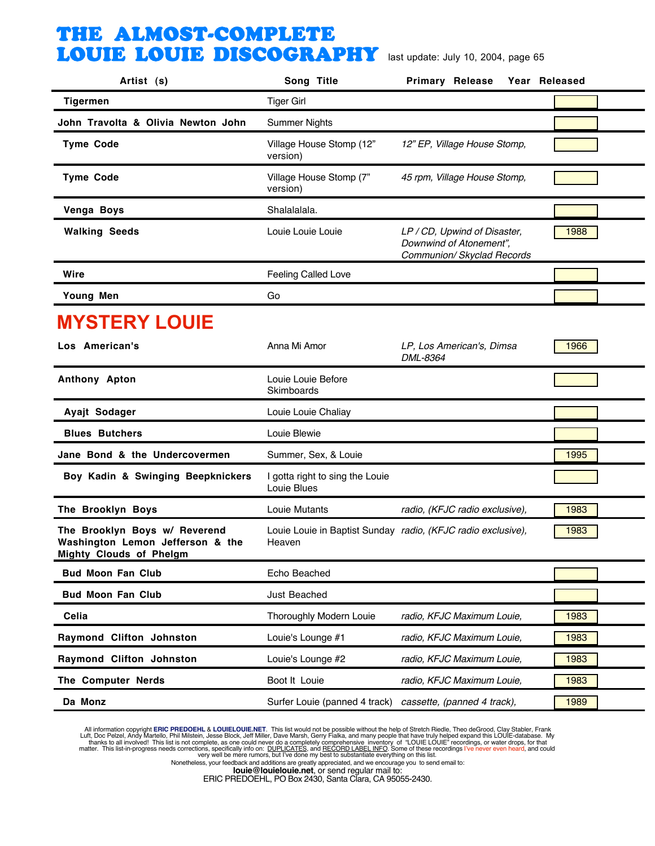| Artist (s)                                                                                          | Song Title                                     | <b>Primary Release</b>                                                                | Year Released |
|-----------------------------------------------------------------------------------------------------|------------------------------------------------|---------------------------------------------------------------------------------------|---------------|
| <b>Tigermen</b>                                                                                     | <b>Tiger Girl</b>                              |                                                                                       |               |
| John Travolta & Olivia Newton John                                                                  | <b>Summer Nights</b>                           |                                                                                       |               |
| <b>Tyme Code</b>                                                                                    | Village House Stomp (12"<br>version)           | 12" EP, Village House Stomp,                                                          |               |
| <b>Tyme Code</b>                                                                                    | Village House Stomp (7"<br>version)            | 45 rpm, Village House Stomp,                                                          |               |
| Venga Boys                                                                                          | Shalalalala.                                   |                                                                                       |               |
| <b>Walking Seeds</b>                                                                                | Louie Louie Louie                              | LP / CD, Upwind of Disaster,<br>Downwind of Atonement",<br>Communion/ Skyclad Records | 1988          |
| Wire                                                                                                | <b>Feeling Called Love</b>                     |                                                                                       |               |
| Young Men                                                                                           | Go                                             |                                                                                       |               |
| <b>MYSTERY LOUIE</b>                                                                                |                                                |                                                                                       |               |
| Los American's                                                                                      | Anna Mi Amor                                   | LP, Los American's, Dimsa<br>DML-8364                                                 | 1966          |
| Anthony Apton                                                                                       | Louie Louie Before<br>Skimboards               |                                                                                       |               |
| Ayajt Sodager                                                                                       | Louie Louie Chaliay                            |                                                                                       |               |
| <b>Blues Butchers</b>                                                                               | Louie Blewie                                   |                                                                                       |               |
| Jane Bond & the Undercovermen                                                                       | Summer, Sex, & Louie                           |                                                                                       | 1995          |
| Boy Kadin & Swinging Beepknickers                                                                   | I gotta right to sing the Louie<br>Louie Blues |                                                                                       |               |
| The Brooklyn Boys                                                                                   | Louie Mutants                                  | radio, (KFJC radio exclusive),                                                        | 1983          |
| The Brooklyn Boys w/ Reverend<br>Washington Lemon Jefferson & the<br><b>Mighty Clouds of Phelgm</b> | Heaven                                         | Louie Louie in Baptist Sunday radio, (KFJC radio exclusive),                          | 1983          |
| <b>Bud Moon Fan Club</b>                                                                            | Echo Beached                                   |                                                                                       |               |
| <b>Bud Moon Fan Club</b>                                                                            | Just Beached                                   |                                                                                       |               |
| Celia                                                                                               | Thoroughly Modern Louie                        | radio, KFJC Maximum Louie,                                                            | 1983          |
| Raymond Clifton Johnston                                                                            | Louie's Lounge #1                              | radio, KFJC Maximum Louie,                                                            | 1983          |
| Raymond Clifton Johnston                                                                            | Louie's Lounge #2                              | radio, KFJC Maximum Louie,                                                            | 1983          |
| The Computer Nerds                                                                                  | Boot It Louie                                  | radio, KFJC Maximum Louie,                                                            | 1983          |
| Da Monz                                                                                             | Surfer Louie (panned 4 track)                  | cassette, (panned 4 track),                                                           | 1989          |

All information copyright **ERIC PREDOEHL & LOUIELOUIE.NET**. This list would not be possible without the help of Stretch Riedle, Theo deGrood, Clay Stabler, Frank Luft, Doc Pelzel, Andy Martello, Phil Mislistin, Jesse Block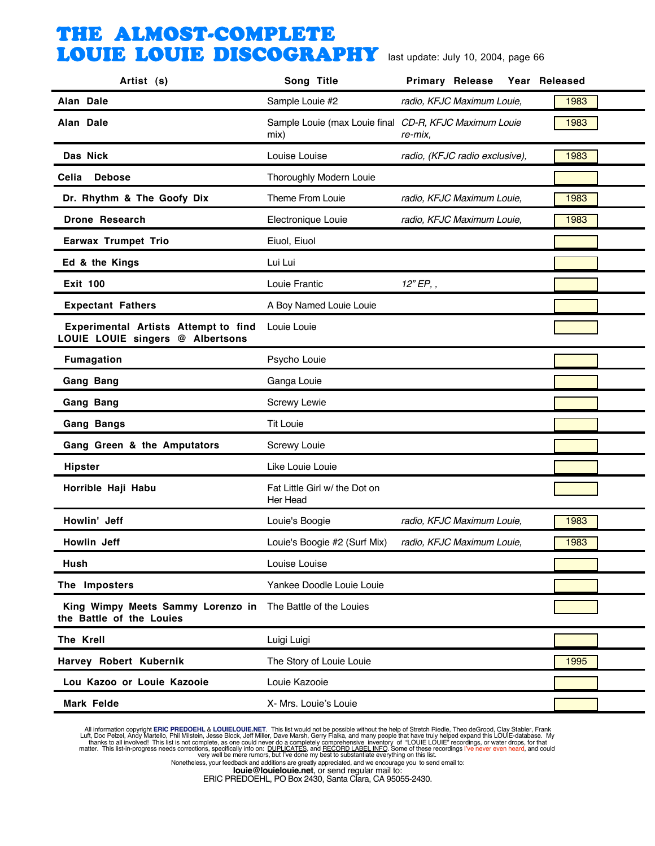| Artist (s)                                                               | Song Title                                                     | <b>Primary Release</b>         | Year Released |
|--------------------------------------------------------------------------|----------------------------------------------------------------|--------------------------------|---------------|
| Alan Dale                                                                | Sample Louie #2                                                | radio, KFJC Maximum Louie,     | 1983          |
| Alan Dale                                                                | Sample Louie (max Louie final CD-R, KFJC Maximum Louie<br>mix) | re-mix.                        | 1983          |
| Das Nick                                                                 | Louise Louise                                                  | radio, (KFJC radio exclusive), | 1983          |
| Celia<br><b>Debose</b>                                                   | Thoroughly Modern Louie                                        |                                |               |
| Dr. Rhythm & The Goofy Dix                                               | Theme From Louie                                               | radio, KFJC Maximum Louie,     | 1983          |
| <b>Drone Research</b>                                                    | Electronique Louie                                             | radio, KFJC Maximum Louie,     | 1983          |
| <b>Earwax Trumpet Trio</b>                                               | Eiuol, Eiuol                                                   |                                |               |
| Ed & the Kings                                                           | Lui Lui                                                        |                                |               |
| <b>Exit 100</b>                                                          | Louie Frantic                                                  | $12"$ EP, ,                    |               |
| <b>Expectant Fathers</b>                                                 | A Boy Named Louie Louie                                        |                                |               |
| Experimental Artists Attempt"to find<br>LOUIE LOUIE singers @ Albertsons | Louie Louie                                                    |                                |               |
| <b>Fumagation</b>                                                        | Psycho Louie                                                   |                                |               |
| <b>Gang Bang</b>                                                         | Ganga Louie                                                    |                                |               |
| <b>Gang Bang</b>                                                         | <b>Screwy Lewie</b>                                            |                                |               |
| <b>Gang Bangs</b>                                                        | <b>Tit Louie</b>                                               |                                |               |
| Gang Green & the Amputators                                              | Screwy Louie                                                   |                                |               |
| <b>Hipster</b>                                                           | Like Louie Louie                                               |                                |               |
| Horrible Haji Habu                                                       | Fat Little Girl w/ the Dot on<br>Her Head                      |                                |               |
| Howlin' Jeff                                                             | Louie's Boogie                                                 | radio, KFJC Maximum Louie,     | 1983          |
| Howlin Jeff                                                              | Louie's Boogie #2 (Surf Mix)                                   | radio, KFJC Maximum Louie,     | 1983          |
| Hush                                                                     | Louise Louise                                                  |                                |               |
| The Imposters                                                            | Yankee Doodle Louie Louie                                      |                                |               |
| King Wimpy Meets Sammy Lorenzo in<br>the Battle of the Louies            | The Battle of the Louies                                       |                                |               |
| The Krell                                                                | Luigi Luigi                                                    |                                |               |
| Harvey Robert Kubernik                                                   | The Story of Louie Louie                                       |                                | 1995          |
| Lou Kazoo or Louie Kazooie                                               | Louie Kazooie                                                  |                                |               |
| Mark Felde                                                               | X- Mrs. Louie's Louie                                          |                                |               |

All information copyright **ERIC PREDOEHL & LOUIELOUIE.NET**. This list would not be possible without the help of Stretch Riedle, Theo deGrood, Clay Stabler, Frank Luft, Doc Pelzel, Andy Martello, Phil Mislistin, Jesse Block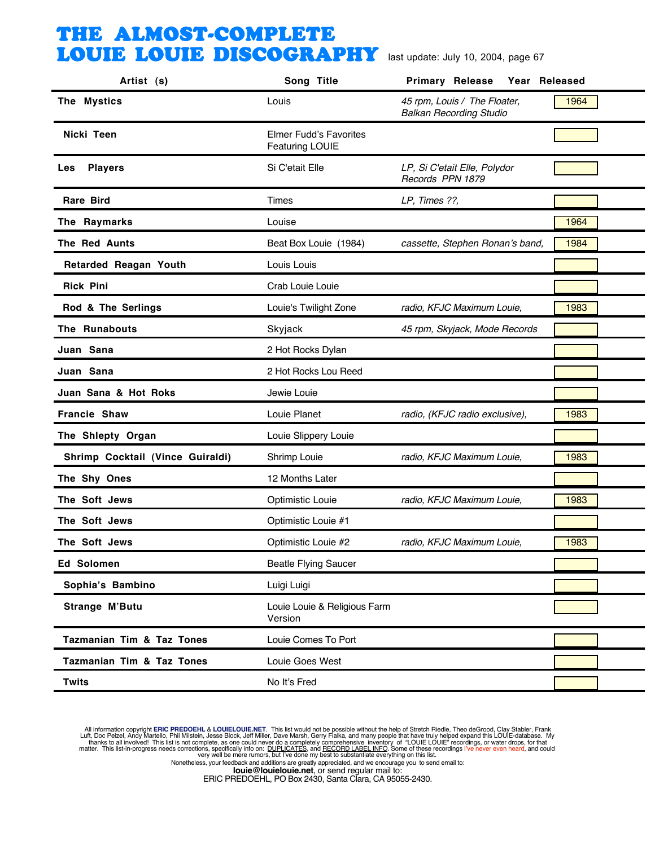| Artist (s)                           | Song Title                                              | <b>Primary Release</b><br>Year Released                        |      |
|--------------------------------------|---------------------------------------------------------|----------------------------------------------------------------|------|
| The Mystics                          | Louis                                                   | 45 rpm, Louis / The Floater,<br><b>Balkan Recording Studio</b> | 1964 |
| Nicki Teen                           | <b>Elmer Fudd's Favorites</b><br><b>Featuring LOUIE</b> |                                                                |      |
| <b>Players</b><br>Les                | Si C'etait Elle                                         | LP, Si C'etait Elle, Polydor<br>Records PPN 1879               |      |
| <b>Rare Bird</b>                     | Times                                                   | LP, Times ??,                                                  |      |
| The Raymarks                         | Louise                                                  |                                                                | 1964 |
| <b>The Red Aunts</b>                 | Beat Box Louie (1984)                                   | cassette, Stephen Ronan's band,                                | 1984 |
| <b>Retarded Reagan Youth</b>         | Louis Louis                                             |                                                                |      |
| <b>Rick Pini</b>                     | Crab Louie Louie                                        |                                                                |      |
| Rod & The Serlings                   | Louie's Twilight Zone                                   | radio, KFJC Maximum Louie,                                     | 1983 |
| The Runabouts                        | Skyjack                                                 | 45 rpm, Skyjack, Mode Records                                  |      |
| Juan Sana                            | 2 Hot Rocks Dylan                                       |                                                                |      |
| Juan Sana                            | 2 Hot Rocks Lou Reed                                    |                                                                |      |
| Juan Sana & Hot Roks                 | Jewie Louie                                             |                                                                |      |
| <b>Francie Shaw</b>                  | Louie Planet                                            | radio, (KFJC radio exclusive),                                 | 1983 |
| The Shlepty Organ                    | Louie Slippery Louie                                    |                                                                |      |
| Shrimp Cocktail (Vince Guiraldi)     | Shrimp Louie                                            | radio, KFJC Maximum Louie,                                     | 1983 |
| The Shy Ones                         | 12 Months Later                                         |                                                                |      |
| The Soft Jews                        | <b>Optimistic Louie</b>                                 | radio, KFJC Maximum Louie,                                     | 1983 |
| The Soft Jews                        | Optimistic Louie #1                                     |                                                                |      |
| The Soft Jews                        | Optimistic Louie #2                                     | radio, KFJC Maximum Louie,                                     | 1983 |
| Ed Solomen                           | <b>Beatle Flying Saucer</b>                             |                                                                |      |
| Sophia's Bambino                     | Luigi Luigi                                             |                                                                |      |
| Strange M'Butu                       | Louie Louie & Religious Farm<br>Version                 |                                                                |      |
| <b>Tazmanian Tim &amp; Taz Tones</b> | Louie Comes To Port                                     |                                                                |      |
| <b>Tazmanian Tim &amp; Taz Tones</b> | Louie Goes West                                         |                                                                |      |
| <b>Twits</b>                         | No It's Fred                                            |                                                                |      |

All information copyright **ERIC PREDOEHL & LOUIELOUIE.NET**. This list would not be possible without the help of Stretch Riedle, Theo deGrood, Clay Stabler, Frank Luft, Doc Pelzel, Andy Martello, Phil Mislistin, Jesse Block